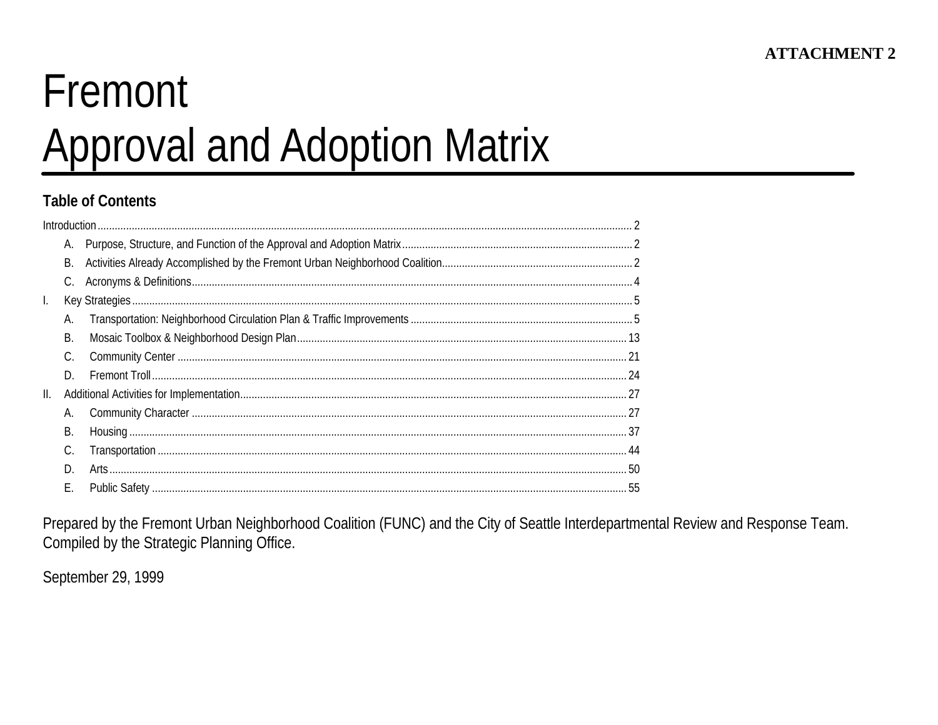# Fremont **Approval and Adoption Matrix**

## **Table of Contents**

|     | В. |  |
|-----|----|--|
|     | C. |  |
| L.  |    |  |
|     | А. |  |
|     | В. |  |
|     | C. |  |
|     | D. |  |
| II. |    |  |
|     | А. |  |
|     | В. |  |
|     | C. |  |
|     | D. |  |
|     | Е. |  |

Prepared by the Fremont Urban Neighborhood Coalition (FUNC) and the City of Seattle Interdepartmental Review and Response Team. Compiled by the Strategic Planning Office.

September 29, 1999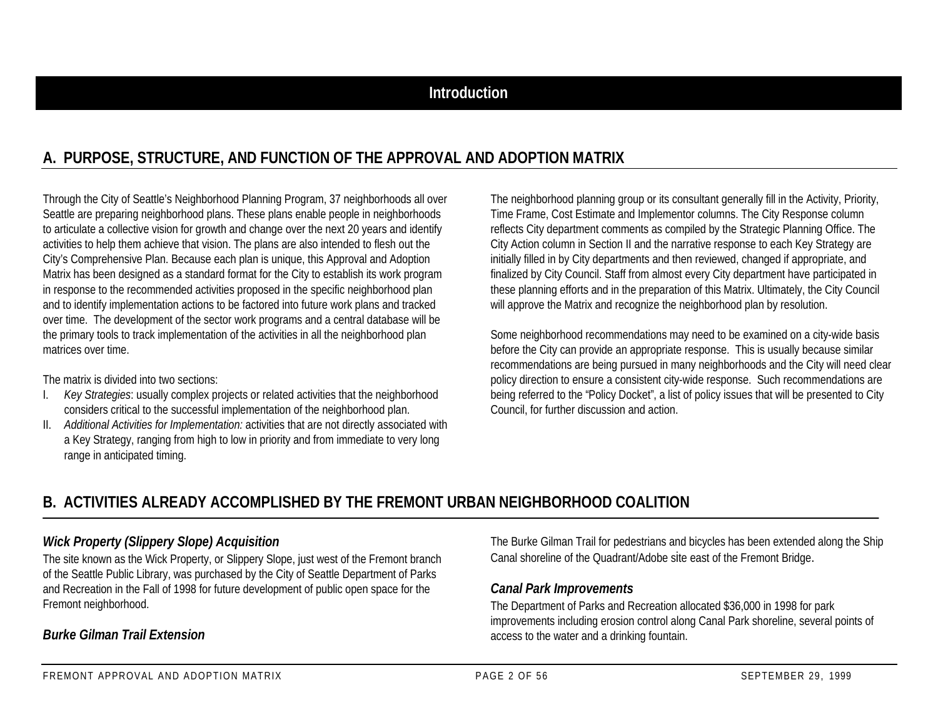# **A. PURPOSE, STRUCTURE, AND FUNCTION OF THE APPROVAL AND ADOPTION MATRIX**

Through the City of Seattle's Neighborhood Planning Program, 37 neighborhoods all over Seattle are preparing neighborhood plans. These plans enable people in neighborhoods to articulate a collective vision for growth and change over the next 20 years and identify activities to help them achieve that vision. The plans are also intended to flesh out the City's Comprehensive Plan. Because each plan is unique, this Approval and Adoption Matrix has been designed as a standard format for the City to establish its work program in response to the recommended activities proposed in the specific neighborhood plan and to identify implementation actions to be factored into future work plans and tracked over time. The development of the sector work programs and a central database will be the primary tools to track implementation of the activities in all the neighborhood plan matrices over time.

The matrix is divided into two sections:

- Key Strategies: usually complex projects or related activities that the neighborhood considers critical to the successful implementation of the neighborhood plan.
- II. *Additional Activities for Implementation:* activities that are not directly associated with a Key Strategy, ranging from high to low in priority and from immediate to very long range in anticipated timing.

The neighborhood planning group or its consultant generally fill in the Activity, Priority, Time Frame, Cost Estimate and Implementor columns. The City Response column reflects City department comments as compiled by the Strategic Planning Office. The City Action column in Section II and the narrative response to each Key Strategy are initially filled in by City departments and then reviewed, changed if appropriate, and finalized by City Council. Staff from almost every City department have participated in these planning efforts and in the preparation of this Matrix. Ultimately, the City Council will approve the Matrix and recognize the neighborhood plan by resolution.

Some neighborhood recommendations may need to be examined on a city-wide basis before the City can provide an appropriate response. This is usually because similar recommendations are being pursued in many neighborhoods and the City will need clear policy direction to ensure a consistent city-wide response. Such recommendations are being referred to the "Policy Docket", a list of policy issues that will be presented to City Council, for further discussion and action.

# **B. ACTIVITIES ALREADY ACCOMPLISHED BY THE FREMONT URBAN NEIGHBORHOOD COALITION**

## *Wick Property (Slippery Slope) Acquisition*

The site known as the Wick Property, or Slippery Slope, just west of the Fremont branch of the Seattle Public Library, was purchased by the City of Seattle Department of Parks and Recreation in the Fall of 1998 for future development of public open space for the Fremont neighborhood.

## *Burke Gilman Trail Extension*

The Burke Gilman Trail for pedestrians and bicycles has been extended along the Ship Canal shoreline of the Quadrant/Adobe site east of the Fremont Bridge.

## *Canal Park Improvements*

The Department of Parks and Recreation allocated \$36,000 in 1998 for park improvements including erosion control along Canal Park shoreline, several points of access to the water and a drinking fountain.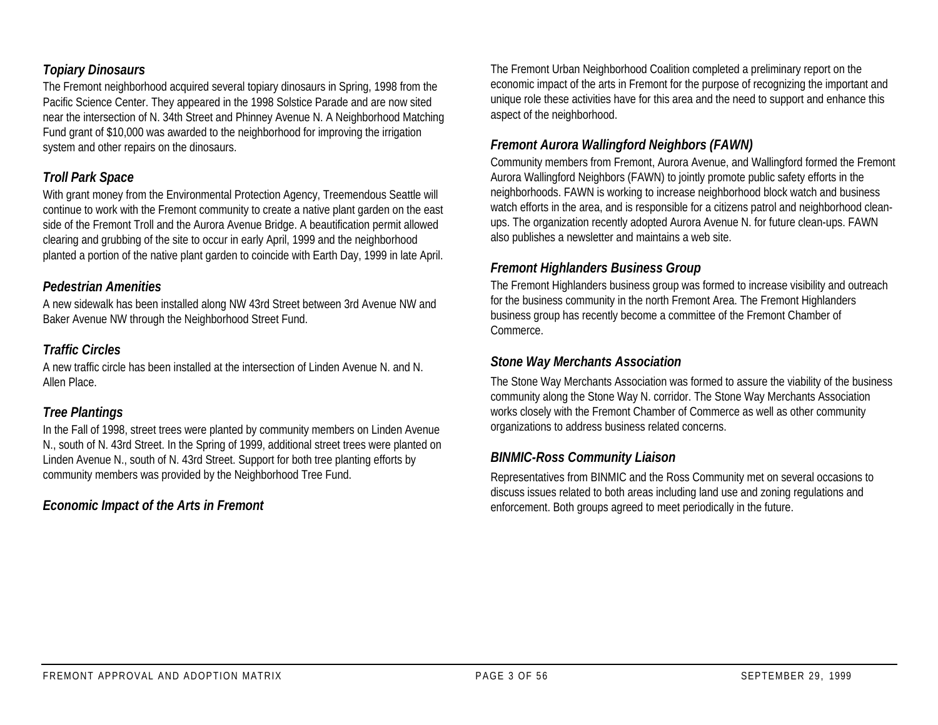## *Topiary Dinosaurs*

The Fremont neighborhood acquired several topiary dinosaurs in Spring, 1998 from the Pacific Science Center. They appeared in the 1998 Solstice Parade and are now sited near the intersection of N. 34th Street and Phinney Avenue N. A Neighborhood Matching Fund grant of \$10,000 was awarded to the neighborhood for improving the irrigation system and other repairs on the dinosaurs.

## *Troll Park Space*

With grant money from the Environmental Protection Agency, Treemendous Seattle will continue to work with the Fremont community to create a native plant garden on the east side of the Fremont Troll and the Aurora Avenue Bridge. A beautification permit allowed clearing and grubbing of the site to occur in early April, 1999 and the neighborhood planted a portion of the native plant garden to coincide with Earth Day, 1999 in late April.

## *Pedestrian Amenities*

A new sidewalk has been installed along NW 43rd Street between 3rd Avenue NW and Baker Avenue NW through the Neighborhood Street Fund.

## *Traffic Circles*

A new traffic circle has been installed at the intersection of Linden Avenue N. and N. Allen Place.

## *Tree Plantings*

In the Fall of 1998, street trees were planted by community members on Linden Avenue N., south of N. 43rd Street. In the Spring of 1999, additional street trees were planted on Linden Avenue N., south of N. 43rd Street. Support for both tree planting efforts by community members was provided by the Neighborhood Tree Fund.

## *Economic Impact of the Arts in Fremont*

The Fremont Urban Neighborhood Coalition completed a preliminary report on the economic impact of the arts in Fremont for the purpose of recognizing the important and unique role these activities have for this area and the need to support and enhance this aspect of the neighborhood.

## *Fremont Aurora Wallingford Neighbors (FAWN)*

Community members from Fremont, Aurora Avenue, and Wallingford formed the Fremont Aurora Wallingford Neighbors (FAWN) to jointly promote public safety efforts in the neighborhoods. FAWN is working to increase neighborhood block watch and business watch efforts in the area, and is responsible for a citizens patrol and neighborhood cleanups. The organization recently adopted Aurora Avenue N. for future clean-ups. FAWN also publishes a newsletter and maintains a web site.

## *Fremont Highlanders Business Group*

The Fremont Highlanders business group was formed to increase visibility and outreach for the business community in the north Fremont Area. The Fremont Highlanders business group has recently become a committee of the Fremont Chamber of Commerce.

## *Stone Way Merchants Association*

The Stone Way Merchants Association was formed to assure the viability of the business community along the Stone Way N. corridor. The Stone Way Merchants Association works closely with the Fremont Chamber of Commerce as well as other community organizations to address business related concerns.

## *BINMIC-Ross Community Liaison*

Representatives from BINMIC and the Ross Community met on several occasions to discuss issues related to both areas including land use and zoning regulations and enforcement. Both groups agreed to meet periodically in the future.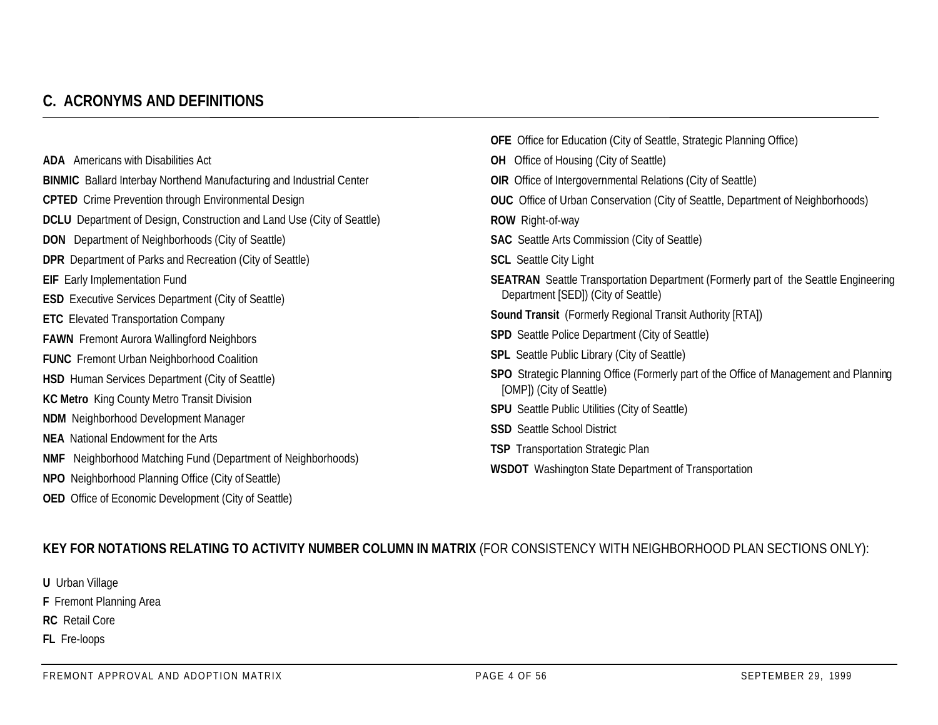# **C. ACRONYMS AND DEFINITIONS**

|                                                                               | <b>OFE</b> Office for Education (City of Seattle, Strategic Planning Office)                                      |  |  |  |
|-------------------------------------------------------------------------------|-------------------------------------------------------------------------------------------------------------------|--|--|--|
| <b>ADA</b> Americans with Disabilities Act                                    | <b>OH</b> Office of Housing (City of Seattle)                                                                     |  |  |  |
| <b>BINMIC</b> Ballard Interbay Northend Manufacturing and Industrial Center   | <b>OIR</b> Office of Intergovernmental Relations (City of Seattle)                                                |  |  |  |
| <b>CPTED</b> Crime Prevention through Environmental Design                    | <b>OUC</b> Office of Urban Conservation (City of Seattle, Department of Neighborhoods)                            |  |  |  |
| <b>DCLU</b> Department of Design, Construction and Land Use (City of Seattle) | <b>ROW</b> Right-of-way                                                                                           |  |  |  |
| <b>DON</b> Department of Neighborhoods (City of Seattle)                      | <b>SAC</b> Seattle Arts Commission (City of Seattle)                                                              |  |  |  |
| <b>DPR</b> Department of Parks and Recreation (City of Seattle)               | <b>SCL</b> Seattle City Light                                                                                     |  |  |  |
| <b>EIF</b> Early Implementation Fund                                          | <b>SEATRAN</b> Seattle Transportation Department (Formerly part of the Seattle Engineering                        |  |  |  |
| <b>ESD</b> Executive Services Department (City of Seattle)                    | Department [SED]) (City of Seattle)                                                                               |  |  |  |
| <b>ETC</b> Elevated Transportation Company                                    | <b>Sound Transit</b> (Formerly Regional Transit Authority [RTA])                                                  |  |  |  |
| <b>FAWN</b> Fremont Aurora Wallingford Neighbors                              | <b>SPD</b> Seattle Police Department (City of Seattle)                                                            |  |  |  |
| <b>FUNC</b> Fremont Urban Neighborhood Coalition                              | <b>SPL</b> Seattle Public Library (City of Seattle)                                                               |  |  |  |
| <b>HSD</b> Human Services Department (City of Seattle)                        | SPO Strategic Planning Office (Formerly part of the Office of Management and Planning<br>[OMP]) (City of Seattle) |  |  |  |
| <b>KC Metro</b> King County Metro Transit Division                            |                                                                                                                   |  |  |  |
| <b>NDM</b> Neighborhood Development Manager                                   | <b>SPU</b> Seattle Public Utilities (City of Seattle)                                                             |  |  |  |
| <b>NEA</b> National Endowment for the Arts                                    | <b>SSD</b> Seattle School District                                                                                |  |  |  |
| <b>NMF</b> Neighborhood Matching Fund (Department of Neighborhoods)           | <b>TSP</b> Transportation Strategic Plan                                                                          |  |  |  |
| NPO Neighborhood Planning Office (City of Seattle)                            | <b>WSDOT</b> Washington State Department of Transportation                                                        |  |  |  |

## **KEY FOR NOTATIONS RELATING TO ACTIVITY NUMBER COLUMN IN MATRIX** (FOR CONSISTENCY WITH NEIGHBORHOOD PLAN SECTIONS ONLY):

**U** Urban Village

**F** Fremont Planning Area

**RC** Retail Core

**FL** Fre-loops

**OED** Office of Economic Development (City of Seattle)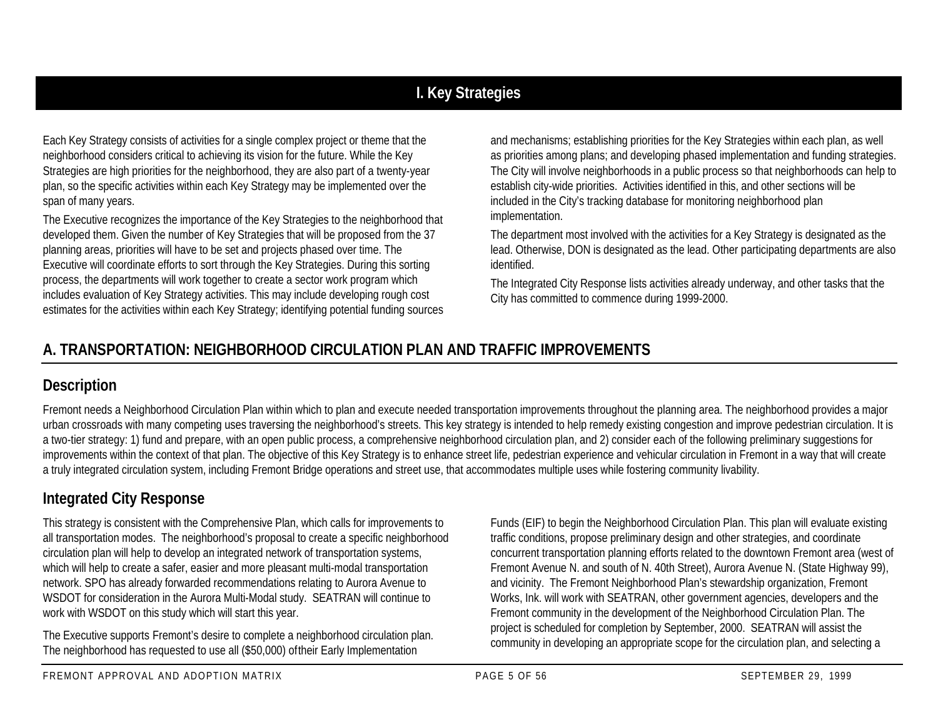# **I. Key Strategies**

Each Key Strategy consists of activities for a single complex project or theme that the neighborhood considers critical to achieving its vision for the future. While the Key Strategies are high priorities for the neighborhood, they are also part of a twenty-year plan, so the specific activities within each Key Strategy may be implemented over the span of many years.

The Executive recognizes the importance of the Key Strategies to the neighborhood that developed them. Given the number of Key Strategies that will be proposed from the 37 planning areas, priorities will have to be set and projects phased over time. The Executive will coordinate efforts to sort through the Key Strategies. During this sorting process, the departments will work together to create a sector work program which includes evaluation of Key Strategy activities. This may include developing rough cost estimates for the activities within each Key Strategy; identifying potential funding sources

and mechanisms; establishing priorities for the Key Strategies within each plan, as well as priorities among plans; and developing phased implementation and funding strategies. The City will involve neighborhoods in a public process so that neighborhoods can help to establish city-wide priorities. Activities identified in this, and other sections will be included in the City's tracking database for monitoring neighborhood plan implementation.

The department most involved with the activities for a Key Strategy is designated as the lead. Otherwise, DON is designated as the lead. Other participating departments are also identified.

The Integrated City Response lists activities already underway, and other tasks that the City has committed to commence during 1999-2000.

# **A. TRANSPORTATION: NEIGHBORHOOD CIRCULATION PLAN AND TRAFFIC IMPROVEMENTS**

## **Description**

Fremont needs a Neighborhood Circulation Plan within which to plan and execute needed transportation improvements throughout the planning area. The neighborhood provides a major urban crossroads with many competing uses traversing the neighborhood's streets. This key strategy is intended to help remedy existing congestion and improve pedestrian circulation. It is a two-tier strategy: 1) fund and prepare, with an open public process, a comprehensive neighborhood circulation plan, and 2) consider each of the following preliminary suggestions for improvements within the context of that plan. The objective of this Key Strategy is to enhance street life, pedestrian experience and vehicular circulation in Fremont in a way that will create a truly integrated circulation system, including Fremont Bridge operations and street use, that accommodates multiple uses while fostering community livability.

# **Integrated City Response**

This strategy is consistent with the Comprehensive Plan, which calls for improvements to all transportation modes. The neighborhood's proposal to create a specific neighborhood circulation plan will help to develop an integrated network of transportation systems, which will help to create a safer, easier and more pleasant multi-modal transportation network. SPO has already forwarded recommendations relating to Aurora Avenue to WSDOT for consideration in the Aurora Multi-Modal study. SEATRAN will continue to work with WSDOT on this study which will start this year.

The Executive supports Fremont's desire to complete a neighborhood circulation plan. The neighborhood has requested to use all (\$50,000) of their Early Implementation

Funds (EIF) to begin the Neighborhood Circulation Plan. This plan will evaluate existing traffic conditions, propose preliminary design and other strategies, and coordinate concurrent transportation planning efforts related to the downtown Fremont area (west of Fremont Avenue N. and south of N. 40th Street), Aurora Avenue N. (State Highway 99), and vicinity. The Fremont Neighborhood Plan's stewardship organization, Fremont Works, Ink. will work with SEATRAN, other government agencies, developers and the Fremont community in the development of the Neighborhood Circulation Plan. The project is scheduled for completion by September, 2000. SEATRAN will assist the community in developing an appropriate scope for the circulation plan, and selecting a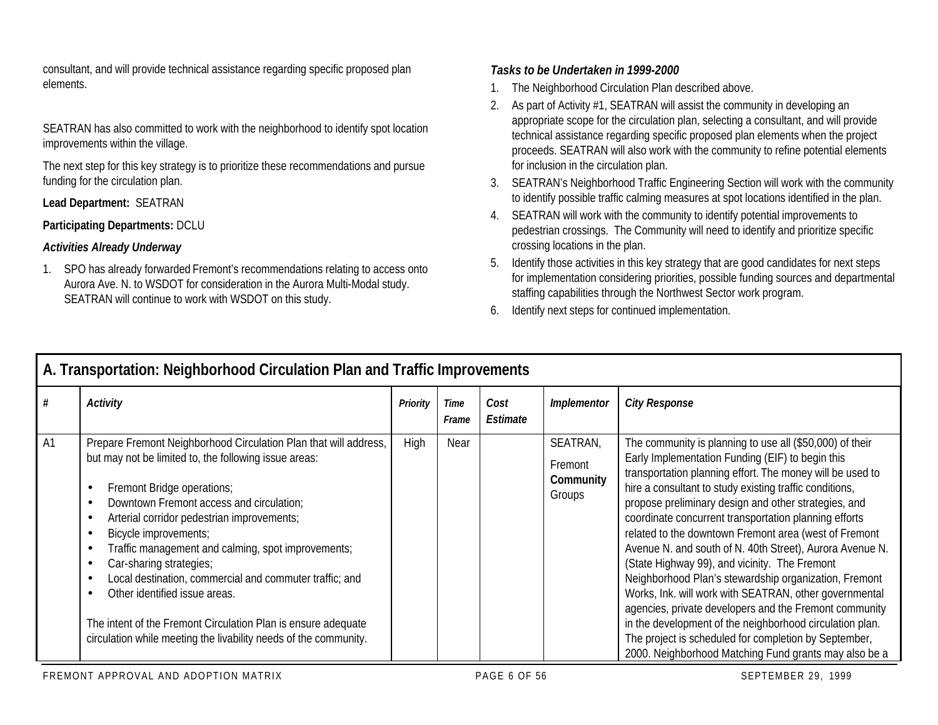consultant, and will provide technical assistance regarding specific proposed plan elements.

SEATRAN has also committed to work with the neighborhood to identify spot location improvements within the village.

The next step for this key strategy is to prioritize these recommendations and pursue funding for the circulation plan.

#### **Lead Department:** SEATRAN

#### **Participating Departments:** DCLU

## *Activities Already Underway*

1. SPO has already forwarded Fremont's recommendations relating to access onto Aurora Ave. N. to WSDOT for consideration in the Aurora Multi-Modal study. SEATRAN will continue to work with WSDOT on this study.

## *Tasks to be Undertaken in 1999-2000*

- 1. The Neighborhood Circulation Plan described above.
- 2. As part of Activity #1, SEATRAN will assist the community in developing an appropriate scope for the circulation plan, selecting a consultant, and will provide technical assistance regarding specific proposed plan elements when the project proceeds. SEATRAN will also work with the community to refine potential elements for inclusion in the circulation plan.
- 3. SEATRAN's Neighborhood Traffic Engineering Section will work with the community to identify possible traffic calming measures at spot locations identified in the plan.
- 4. SEATRAN will work with the community to identify potential improvements to pedestrian crossings. The Community will need to identify and prioritize specific crossing locations in the plan.
- 5. Identify those activities in this key strategy that are good candidates for next steps for implementation considering priorities, possible funding sources and departmental staffing capabilities through the Northwest Sector work program.
- 6. Identify next steps for continued implementation.

|    | A. Transportation: Neignbornood Circulation Plan and Traffic Improvements                                                                                                                                                                                                                                                                                                                                                                                                                                                                                                                    |          |                      |                  |                                            |                                                                                                                                                                                                                                                                                                                                                                                                                                                                                                                                                                                                                                                                                                                                                                                                                                                                                        |  |  |  |  |  |
|----|----------------------------------------------------------------------------------------------------------------------------------------------------------------------------------------------------------------------------------------------------------------------------------------------------------------------------------------------------------------------------------------------------------------------------------------------------------------------------------------------------------------------------------------------------------------------------------------------|----------|----------------------|------------------|--------------------------------------------|----------------------------------------------------------------------------------------------------------------------------------------------------------------------------------------------------------------------------------------------------------------------------------------------------------------------------------------------------------------------------------------------------------------------------------------------------------------------------------------------------------------------------------------------------------------------------------------------------------------------------------------------------------------------------------------------------------------------------------------------------------------------------------------------------------------------------------------------------------------------------------------|--|--|--|--|--|
| #  | <b>Activity</b>                                                                                                                                                                                                                                                                                                                                                                                                                                                                                                                                                                              | Priority | <b>Time</b><br>Frame | Cost<br>Estimate | Implementor                                | <b>City Response</b>                                                                                                                                                                                                                                                                                                                                                                                                                                                                                                                                                                                                                                                                                                                                                                                                                                                                   |  |  |  |  |  |
| A1 | Prepare Fremont Neighborhood Circulation Plan that will address,<br>but may not be limited to, the following issue areas:<br>Fremont Bridge operations;<br>Downtown Fremont access and circulation;<br>Arterial corridor pedestrian improvements;<br>Bicycle improvements;<br>Traffic management and calming, spot improvements;<br>Car-sharing strategies;<br>Local destination, commercial and commuter traffic; and<br>Other identified issue areas.<br>The intent of the Fremont Circulation Plan is ensure adequate<br>circulation while meeting the livability needs of the community. | High     | Near                 |                  | SEATRAN,<br>Fremont<br>Community<br>Groups | The community is planning to use all (\$50,000) of their<br>Early Implementation Funding (EIF) to begin this<br>transportation planning effort. The money will be used to<br>hire a consultant to study existing traffic conditions,<br>propose preliminary design and other strategies, and<br>coordinate concurrent transportation planning efforts<br>related to the downtown Fremont area (west of Fremont<br>Avenue N. and south of N. 40th Street), Aurora Avenue N.<br>(State Highway 99), and vicinity. The Fremont<br>Neighborhood Plan's stewardship organization, Fremont<br>Works, Ink. will work with SEATRAN, other governmental<br>agencies, private developers and the Fremont community<br>in the development of the neighborhood circulation plan.<br>The project is scheduled for completion by September,<br>2000. Neighborhood Matching Fund grants may also be a |  |  |  |  |  |

# **A. Transportation: Neighborhood Circulation Plan and Traffic Improvements**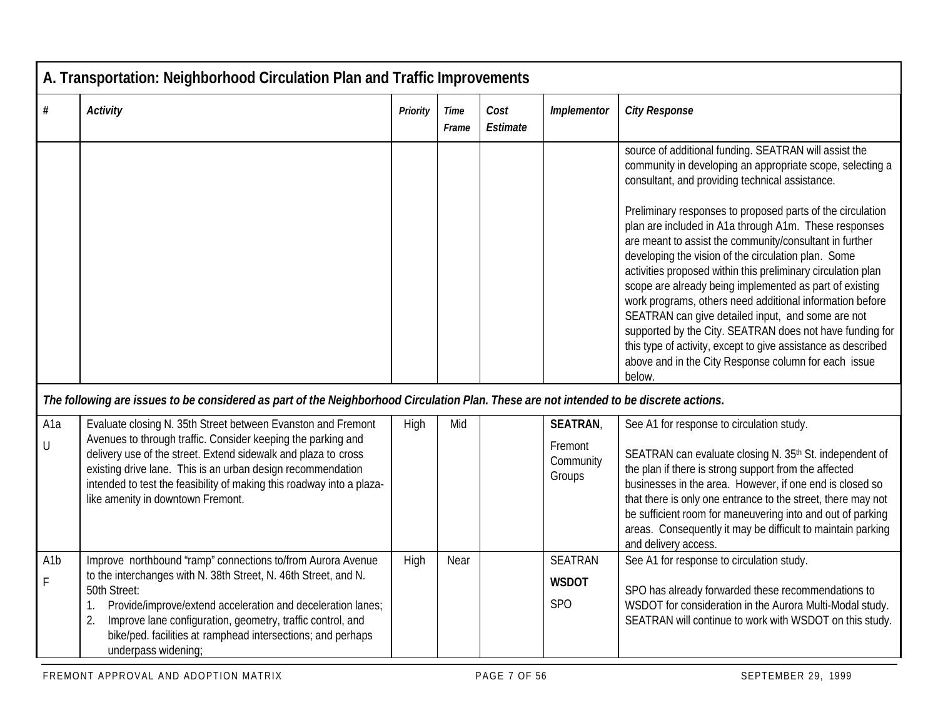|                       | A. Transportation: Neighborhood Circulation Plan and Traffic Improvements                                                                                                                                                                                                                                                                                                   |          |               |                  |                                                   |                                                                                                                                                                                                                                                                                                                                                                                                                                                                                                                                                                                                                                                                                  |  |  |  |  |
|-----------------------|-----------------------------------------------------------------------------------------------------------------------------------------------------------------------------------------------------------------------------------------------------------------------------------------------------------------------------------------------------------------------------|----------|---------------|------------------|---------------------------------------------------|----------------------------------------------------------------------------------------------------------------------------------------------------------------------------------------------------------------------------------------------------------------------------------------------------------------------------------------------------------------------------------------------------------------------------------------------------------------------------------------------------------------------------------------------------------------------------------------------------------------------------------------------------------------------------------|--|--|--|--|
| #                     | <b>Activity</b>                                                                                                                                                                                                                                                                                                                                                             | Priority | Time<br>Frame | Cost<br>Estimate | Implementor                                       | <b>City Response</b>                                                                                                                                                                                                                                                                                                                                                                                                                                                                                                                                                                                                                                                             |  |  |  |  |
|                       |                                                                                                                                                                                                                                                                                                                                                                             |          |               |                  |                                                   | source of additional funding. SEATRAN will assist the<br>community in developing an appropriate scope, selecting a<br>consultant, and providing technical assistance.                                                                                                                                                                                                                                                                                                                                                                                                                                                                                                            |  |  |  |  |
|                       |                                                                                                                                                                                                                                                                                                                                                                             |          |               |                  |                                                   | Preliminary responses to proposed parts of the circulation<br>plan are included in A1a through A1m. These responses<br>are meant to assist the community/consultant in further<br>developing the vision of the circulation plan. Some<br>activities proposed within this preliminary circulation plan<br>scope are already being implemented as part of existing<br>work programs, others need additional information before<br>SEATRAN can give detailed input, and some are not<br>supported by the City. SEATRAN does not have funding for<br>this type of activity, except to give assistance as described<br>above and in the City Response column for each issue<br>below. |  |  |  |  |
|                       | The following are issues to be considered as part of the Neighborhood Circulation Plan. These are not intended to be discrete actions.                                                                                                                                                                                                                                      |          |               |                  |                                                   |                                                                                                                                                                                                                                                                                                                                                                                                                                                                                                                                                                                                                                                                                  |  |  |  |  |
| A <sub>1</sub> a<br>U | Evaluate closing N. 35th Street between Evanston and Fremont<br>Avenues to through traffic. Consider keeping the parking and<br>delivery use of the street. Extend sidewalk and plaza to cross<br>existing drive lane. This is an urban design recommendation<br>intended to test the feasibility of making this roadway into a plaza-<br>like amenity in downtown Fremont. | High     | Mid           |                  | <b>SEATRAN</b><br>Fremont<br>Community<br>Groups  | See A1 for response to circulation study.<br>SEATRAN can evaluate closing N. 35th St. independent of<br>the plan if there is strong support from the affected<br>businesses in the area. However, if one end is closed so<br>that there is only one entrance to the street, there may not<br>be sufficient room for maneuvering into and out of parking<br>areas. Consequently it may be difficult to maintain parking<br>and delivery access.                                                                                                                                                                                                                                   |  |  |  |  |
| A <sub>1</sub> b<br>F | Improve northbound "ramp" connections to/from Aurora Avenue<br>to the interchanges with N. 38th Street, N. 46th Street, and N.<br>50th Street:<br>Provide/improve/extend acceleration and deceleration lanes;<br>Improve lane configuration, geometry, traffic control, and<br>2.<br>bike/ped. facilities at ramphead intersections; and perhaps<br>underpass widening;     | High     | Near          |                  | <b>SEATRAN</b><br><b>WSDOT</b><br>SP <sub>O</sub> | See A1 for response to circulation study.<br>SPO has already forwarded these recommendations to<br>WSDOT for consideration in the Aurora Multi-Modal study.<br>SEATRAN will continue to work with WSDOT on this study.                                                                                                                                                                                                                                                                                                                                                                                                                                                           |  |  |  |  |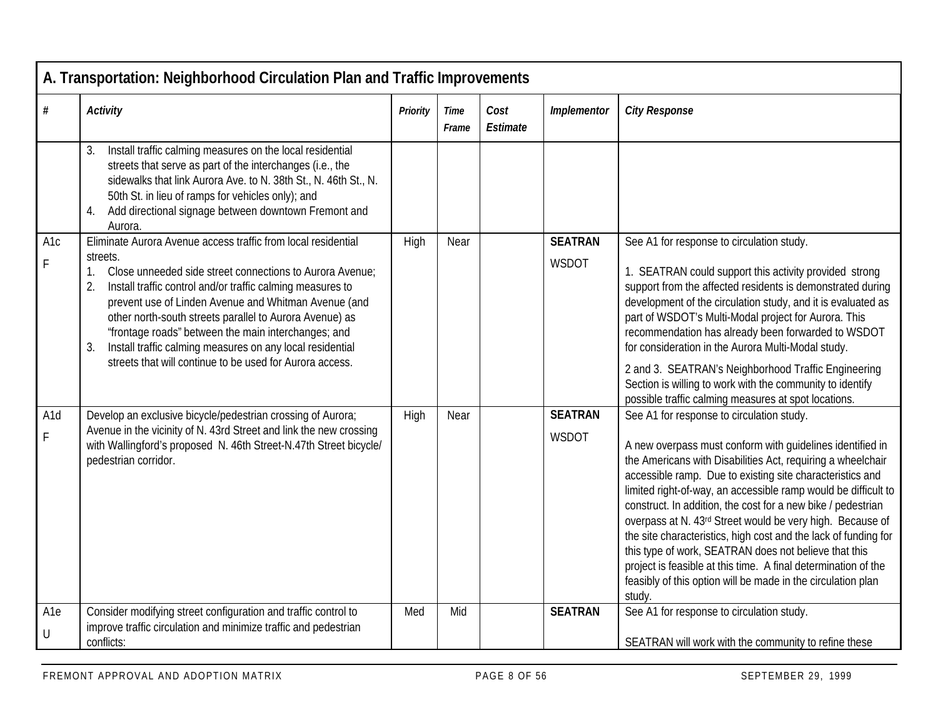|                           | A. Transportation: Neighborhood Circulation Plan and Traffic Improvements                                                                                                                                                                                                                                                                                                                                                                                                                                                |                 |               |                  |                         |                                                                                                                                                                                                                                                                                                                                                                                                                                                                                                                                                                                                                                                                                                           |
|---------------------------|--------------------------------------------------------------------------------------------------------------------------------------------------------------------------------------------------------------------------------------------------------------------------------------------------------------------------------------------------------------------------------------------------------------------------------------------------------------------------------------------------------------------------|-----------------|---------------|------------------|-------------------------|-----------------------------------------------------------------------------------------------------------------------------------------------------------------------------------------------------------------------------------------------------------------------------------------------------------------------------------------------------------------------------------------------------------------------------------------------------------------------------------------------------------------------------------------------------------------------------------------------------------------------------------------------------------------------------------------------------------|
| #                         | <b>Activity</b>                                                                                                                                                                                                                                                                                                                                                                                                                                                                                                          | <b>Priority</b> | Time<br>Frame | Cost<br>Estimate | Implementor             | <b>City Response</b>                                                                                                                                                                                                                                                                                                                                                                                                                                                                                                                                                                                                                                                                                      |
|                           | Install traffic calming measures on the local residential<br>3.<br>streets that serve as part of the interchanges (i.e., the<br>sidewalks that link Aurora Ave. to N. 38th St., N. 46th St., N.<br>50th St. in lieu of ramps for vehicles only); and<br>4. Add directional signage between downtown Fremont and<br>Aurora.                                                                                                                                                                                               |                 |               |                  |                         |                                                                                                                                                                                                                                                                                                                                                                                                                                                                                                                                                                                                                                                                                                           |
| A <sub>1</sub> c<br>F.    | Eliminate Aurora Avenue access traffic from local residential<br>streets.<br>Close unneeded side street connections to Aurora Avenue;<br>1.<br>Install traffic control and/or traffic calming measures to<br>2.<br>prevent use of Linden Avenue and Whitman Avenue (and<br>other north-south streets parallel to Aurora Avenue) as<br>'frontage roads" between the main interchanges; and<br>Install traffic calming measures on any local residential<br>3.<br>streets that will continue to be used for Aurora access. | High            | Near          |                  | <b>SEATRAN</b><br>WSDOT | See A1 for response to circulation study.<br>1. SEATRAN could support this activity provided strong<br>support from the affected residents is demonstrated during<br>development of the circulation study, and it is evaluated as<br>part of WSDOT's Multi-Modal project for Aurora. This<br>recommendation has already been forwarded to WSDOT<br>for consideration in the Aurora Multi-Modal study.<br>2 and 3. SEATRAN's Neighborhood Traffic Engineering<br>Section is willing to work with the community to identify<br>possible traffic calming measures at spot locations.                                                                                                                         |
| A <sub>1</sub> d<br>F     | Develop an exclusive bicycle/pedestrian crossing of Aurora;<br>Avenue in the vicinity of N. 43rd Street and link the new crossing<br>with Wallingford's proposed N. 46th Street-N.47th Street bicycle/<br>pedestrian corridor.                                                                                                                                                                                                                                                                                           | High            | Near          |                  | <b>SEATRAN</b><br>WSDOT | See A1 for response to circulation study.<br>A new overpass must conform with guidelines identified in<br>the Americans with Disabilities Act, requiring a wheelchair<br>accessible ramp. Due to existing site characteristics and<br>limited right-of-way, an accessible ramp would be difficult to<br>construct. In addition, the cost for a new bike / pedestrian<br>overpass at N. 43rd Street would be very high. Because of<br>the site characteristics, high cost and the lack of funding for<br>this type of work, SEATRAN does not believe that this<br>project is feasible at this time. A final determination of the<br>feasibly of this option will be made in the circulation plan<br>study. |
| A <sub>1e</sub><br>$\cup$ | Consider modifying street configuration and traffic control to<br>improve traffic circulation and minimize traffic and pedestrian<br>conflicts:                                                                                                                                                                                                                                                                                                                                                                          | Med             | Mid           |                  | <b>SEATRAN</b>          | See A1 for response to circulation study.<br>SEATRAN will work with the community to refine these                                                                                                                                                                                                                                                                                                                                                                                                                                                                                                                                                                                                         |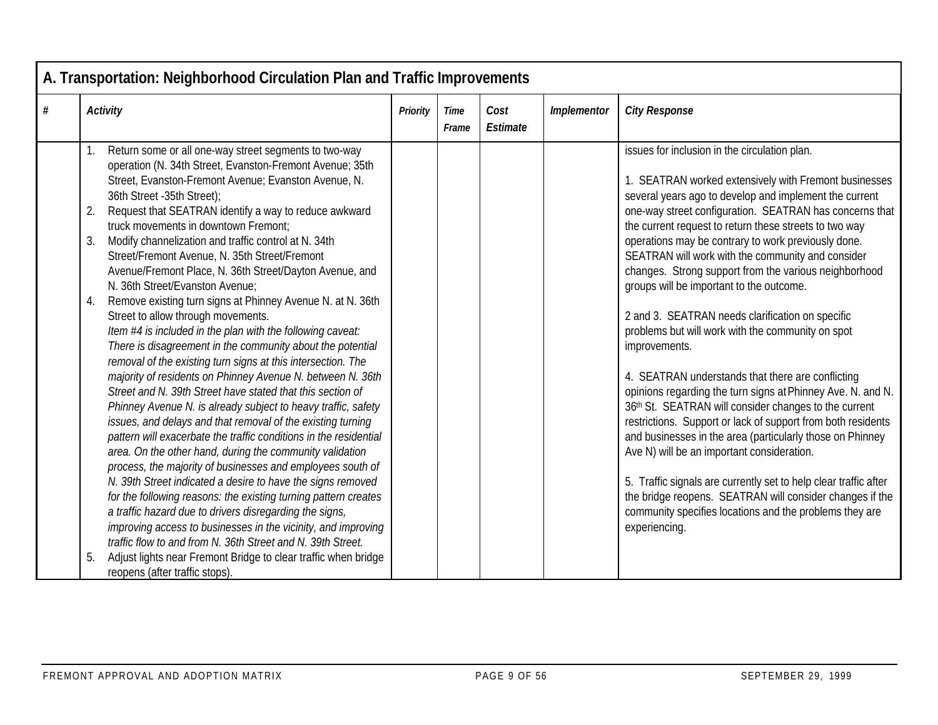|   | A. Transportation: Neighborhood Circulation Plan and Traffic Improvements                                                                                                                                                                                                                                                                                                                                                                                                                                                                                                                                                                                                                                                                                                                                                                                                                                                                                                                                                                                                                                                                                                                                                                                                                                                                                                                                                                                                                                                                                                                                                                                                                          |          |               |                  |             |                                                                                                                                                                                                                                                                                                                                                                                                                                                                                                                                                                                                                                                                                                                                                                                                                                                                                                                                                                                                                                                                                                                                                                                                      |
|---|----------------------------------------------------------------------------------------------------------------------------------------------------------------------------------------------------------------------------------------------------------------------------------------------------------------------------------------------------------------------------------------------------------------------------------------------------------------------------------------------------------------------------------------------------------------------------------------------------------------------------------------------------------------------------------------------------------------------------------------------------------------------------------------------------------------------------------------------------------------------------------------------------------------------------------------------------------------------------------------------------------------------------------------------------------------------------------------------------------------------------------------------------------------------------------------------------------------------------------------------------------------------------------------------------------------------------------------------------------------------------------------------------------------------------------------------------------------------------------------------------------------------------------------------------------------------------------------------------------------------------------------------------------------------------------------------------|----------|---------------|------------------|-------------|------------------------------------------------------------------------------------------------------------------------------------------------------------------------------------------------------------------------------------------------------------------------------------------------------------------------------------------------------------------------------------------------------------------------------------------------------------------------------------------------------------------------------------------------------------------------------------------------------------------------------------------------------------------------------------------------------------------------------------------------------------------------------------------------------------------------------------------------------------------------------------------------------------------------------------------------------------------------------------------------------------------------------------------------------------------------------------------------------------------------------------------------------------------------------------------------------|
| # | <b>Activity</b>                                                                                                                                                                                                                                                                                                                                                                                                                                                                                                                                                                                                                                                                                                                                                                                                                                                                                                                                                                                                                                                                                                                                                                                                                                                                                                                                                                                                                                                                                                                                                                                                                                                                                    | Priority | Time<br>Frame | Cost<br>Estimate | Implementor | <b>City Response</b>                                                                                                                                                                                                                                                                                                                                                                                                                                                                                                                                                                                                                                                                                                                                                                                                                                                                                                                                                                                                                                                                                                                                                                                 |
|   | Return some or all one-way street segments to two-way<br>operation (N. 34th Street, Evanston-Fremont Avenue; 35th<br>Street, Evanston-Fremont Avenue; Evanston Avenue, N.<br>36th Street - 35th Street);<br>Request that SEATRAN identify a way to reduce awkward<br>2.<br>truck movements in downtown Fremont:<br>Modify channelization and traffic control at N. 34th<br>3.<br>Street/Fremont Avenue, N. 35th Street/Fremont<br>Avenue/Fremont Place, N. 36th Street/Dayton Avenue, and<br>N. 36th Street/Evanston Avenue:<br>Remove existing turn signs at Phinney Avenue N. at N. 36th<br>4.<br>Street to allow through movements.<br>Item #4 is included in the plan with the following caveat:<br>There is disagreement in the community about the potential<br>removal of the existing turn signs at this intersection. The<br>majority of residents on Phinney Avenue N. between N. 36th<br>Street and N. 39th Street have stated that this section of<br>Phinney Avenue N. is already subject to heavy traffic, safety<br>issues, and delays and that removal of the existing turning<br>pattern will exacerbate the traffic conditions in the residential<br>area. On the other hand, during the community validation<br>process, the majority of businesses and employees south of<br>N. 39th Street indicated a desire to have the signs removed<br>for the following reasons: the existing turning pattern creates<br>a traffic hazard due to drivers disregarding the signs,<br>improving access to businesses in the vicinity, and improving<br>traffic flow to and from N. 36th Street and N. 39th Street.<br>Adjust lights near Fremont Bridge to clear traffic when bridge<br>5. |          |               |                  |             | issues for inclusion in the circulation plan.<br>1. SEATRAN worked extensively with Fremont businesses<br>several years ago to develop and implement the current<br>one-way street configuration. SEATRAN has concerns that<br>the current request to return these streets to two way<br>operations may be contrary to work previously done.<br>SEATRAN will work with the community and consider<br>changes. Strong support from the various neighborhood<br>groups will be important to the outcome.<br>2 and 3. SEATRAN needs clarification on specific<br>problems but will work with the community on spot<br>improvements.<br>4. SEATRAN understands that there are conflicting<br>opinions regarding the turn signs at Phinney Ave. N. and N.<br>36th St. SEATRAN will consider changes to the current<br>restrictions. Support or lack of support from both residents<br>and businesses in the area (particularly those on Phinney<br>Ave N) will be an important consideration.<br>5. Traffic signals are currently set to help clear traffic after<br>the bridge reopens. SEATRAN will consider changes if the<br>community specifies locations and the problems they are<br>experiencing. |
|   | reopens (after traffic stops).                                                                                                                                                                                                                                                                                                                                                                                                                                                                                                                                                                                                                                                                                                                                                                                                                                                                                                                                                                                                                                                                                                                                                                                                                                                                                                                                                                                                                                                                                                                                                                                                                                                                     |          |               |                  |             |                                                                                                                                                                                                                                                                                                                                                                                                                                                                                                                                                                                                                                                                                                                                                                                                                                                                                                                                                                                                                                                                                                                                                                                                      |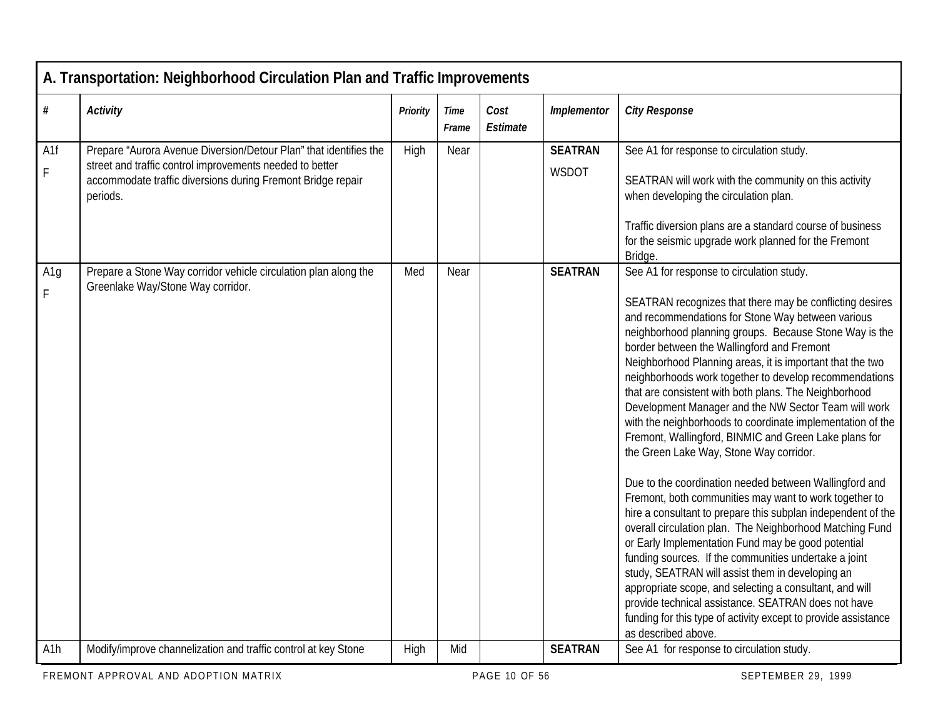|                  | A. Transportation: Neighborhood Circulation Plan and Traffic Improvements                                                           |                 |               |                  |                |                                                                                                                                                                                                                                                                                                                                                                                                                                                                                                                                                                                                                                                                                                                                                                                                                                                                                                                                                                                                                                                                                                                                                                                                                                                                                                            |  |  |  |  |
|------------------|-------------------------------------------------------------------------------------------------------------------------------------|-----------------|---------------|------------------|----------------|------------------------------------------------------------------------------------------------------------------------------------------------------------------------------------------------------------------------------------------------------------------------------------------------------------------------------------------------------------------------------------------------------------------------------------------------------------------------------------------------------------------------------------------------------------------------------------------------------------------------------------------------------------------------------------------------------------------------------------------------------------------------------------------------------------------------------------------------------------------------------------------------------------------------------------------------------------------------------------------------------------------------------------------------------------------------------------------------------------------------------------------------------------------------------------------------------------------------------------------------------------------------------------------------------------|--|--|--|--|
| $\#$             | <b>Activity</b>                                                                                                                     | <b>Priority</b> | Time<br>Frame | Cost<br>Estimate | Implementor    | <b>City Response</b>                                                                                                                                                                                                                                                                                                                                                                                                                                                                                                                                                                                                                                                                                                                                                                                                                                                                                                                                                                                                                                                                                                                                                                                                                                                                                       |  |  |  |  |
| A1f              | Prepare "Aurora Avenue Diversion/Detour Plan" that identifies the                                                                   | High            | Near          |                  | <b>SEATRAN</b> | See A1 for response to circulation study.                                                                                                                                                                                                                                                                                                                                                                                                                                                                                                                                                                                                                                                                                                                                                                                                                                                                                                                                                                                                                                                                                                                                                                                                                                                                  |  |  |  |  |
| F                | street and traffic control improvements needed to better<br>accommodate traffic diversions during Fremont Bridge repair<br>periods. |                 |               |                  | WSDOT          | SEATRAN will work with the community on this activity<br>when developing the circulation plan.                                                                                                                                                                                                                                                                                                                                                                                                                                                                                                                                                                                                                                                                                                                                                                                                                                                                                                                                                                                                                                                                                                                                                                                                             |  |  |  |  |
|                  |                                                                                                                                     |                 |               |                  |                | Traffic diversion plans are a standard course of business<br>for the seismic upgrade work planned for the Fremont<br>Bridge.                                                                                                                                                                                                                                                                                                                                                                                                                                                                                                                                                                                                                                                                                                                                                                                                                                                                                                                                                                                                                                                                                                                                                                               |  |  |  |  |
| A1g<br>F         | Prepare a Stone Way corridor vehicle circulation plan along the<br>Greenlake Way/Stone Way corridor.                                | Med             | Near          |                  | <b>SEATRAN</b> | See A1 for response to circulation study.<br>SEATRAN recognizes that there may be conflicting desires<br>and recommendations for Stone Way between various<br>neighborhood planning groups. Because Stone Way is the<br>border between the Wallingford and Fremont<br>Neighborhood Planning areas, it is important that the two<br>neighborhoods work together to develop recommendations<br>that are consistent with both plans. The Neighborhood<br>Development Manager and the NW Sector Team will work<br>with the neighborhoods to coordinate implementation of the<br>Fremont, Wallingford, BINMIC and Green Lake plans for<br>the Green Lake Way, Stone Way corridor.<br>Due to the coordination needed between Wallingford and<br>Fremont, both communities may want to work together to<br>hire a consultant to prepare this subplan independent of the<br>overall circulation plan. The Neighborhood Matching Fund<br>or Early Implementation Fund may be good potential<br>funding sources. If the communities undertake a joint<br>study, SEATRAN will assist them in developing an<br>appropriate scope, and selecting a consultant, and will<br>provide technical assistance. SEATRAN does not have<br>funding for this type of activity except to provide assistance<br>as described above. |  |  |  |  |
| A <sub>1</sub> h | Modify/improve channelization and traffic control at key Stone                                                                      | High            | Mid           |                  | <b>SEATRAN</b> | See A1 for response to circulation study.                                                                                                                                                                                                                                                                                                                                                                                                                                                                                                                                                                                                                                                                                                                                                                                                                                                                                                                                                                                                                                                                                                                                                                                                                                                                  |  |  |  |  |
|                  |                                                                                                                                     |                 |               |                  |                |                                                                                                                                                                                                                                                                                                                                                                                                                                                                                                                                                                                                                                                                                                                                                                                                                                                                                                                                                                                                                                                                                                                                                                                                                                                                                                            |  |  |  |  |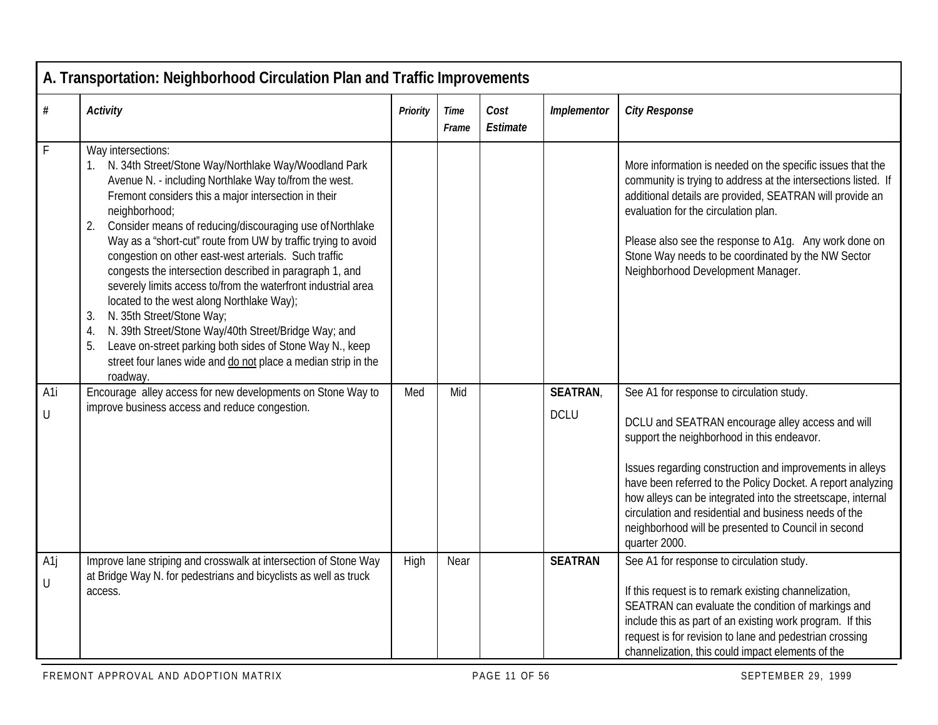|                       | A. Transportation: Neighborhood Circulation Plan and Traffic Improvements                                                                                                                                                                                                                                                                                                                                                                                                                                                                                                                                                                                                                                                                                                                                                            |          |               |                  |                |                                                                                                                                                                                                                                                                                                                                                                                                                           |  |  |  |  |
|-----------------------|--------------------------------------------------------------------------------------------------------------------------------------------------------------------------------------------------------------------------------------------------------------------------------------------------------------------------------------------------------------------------------------------------------------------------------------------------------------------------------------------------------------------------------------------------------------------------------------------------------------------------------------------------------------------------------------------------------------------------------------------------------------------------------------------------------------------------------------|----------|---------------|------------------|----------------|---------------------------------------------------------------------------------------------------------------------------------------------------------------------------------------------------------------------------------------------------------------------------------------------------------------------------------------------------------------------------------------------------------------------------|--|--|--|--|
| #                     | <b>Activity</b>                                                                                                                                                                                                                                                                                                                                                                                                                                                                                                                                                                                                                                                                                                                                                                                                                      | Priority | Time<br>Frame | Cost<br>Estimate | Implementor    | <b>City Response</b>                                                                                                                                                                                                                                                                                                                                                                                                      |  |  |  |  |
| F                     | Way intersections:<br>1. N. 34th Street/Stone Way/Northlake Way/Woodland Park<br>Avenue N. - including Northlake Way to/from the west.<br>Fremont considers this a major intersection in their<br>neighborhood;<br>Consider means of reducing/discouraging use of Northlake<br>2.<br>Way as a "short-cut" route from UW by traffic trying to avoid<br>congestion on other east-west arterials. Such traffic<br>congests the intersection described in paragraph 1, and<br>severely limits access to/from the waterfront industrial area<br>located to the west along Northlake Way);<br>N. 35th Street/Stone Way;<br>3.<br>N. 39th Street/Stone Way/40th Street/Bridge Way; and<br>4.<br>Leave on-street parking both sides of Stone Way N., keep<br>5.<br>street four lanes wide and do not place a median strip in the<br>roadway. |          |               |                  |                | More information is needed on the specific issues that the<br>community is trying to address at the intersections listed. If<br>additional details are provided, SEATRAN will provide an<br>evaluation for the circulation plan.<br>Please also see the response to A1g. Any work done on<br>Stone Way needs to be coordinated by the NW Sector<br>Neighborhood Development Manager.                                      |  |  |  |  |
| A1i                   | Encourage alley access for new developments on Stone Way to                                                                                                                                                                                                                                                                                                                                                                                                                                                                                                                                                                                                                                                                                                                                                                          | Med      | Mid           |                  | <b>SEATRAN</b> | See A1 for response to circulation study.                                                                                                                                                                                                                                                                                                                                                                                 |  |  |  |  |
| U                     | improve business access and reduce congestion.                                                                                                                                                                                                                                                                                                                                                                                                                                                                                                                                                                                                                                                                                                                                                                                       |          |               |                  | <b>DCLU</b>    | DCLU and SEATRAN encourage alley access and will<br>support the neighborhood in this endeavor.<br>Issues regarding construction and improvements in alleys<br>have been referred to the Policy Docket. A report analyzing<br>how alleys can be integrated into the streetscape, internal<br>circulation and residential and business needs of the<br>neighborhood will be presented to Council in second<br>quarter 2000. |  |  |  |  |
| A <sub>1</sub> j<br>U | Improve lane striping and crosswalk at intersection of Stone Way<br>at Bridge Way N. for pedestrians and bicyclists as well as truck<br>access.                                                                                                                                                                                                                                                                                                                                                                                                                                                                                                                                                                                                                                                                                      | High     | Near          |                  | <b>SEATRAN</b> | See A1 for response to circulation study.<br>If this request is to remark existing channelization,<br>SEATRAN can evaluate the condition of markings and<br>include this as part of an existing work program. If this<br>request is for revision to lane and pedestrian crossing<br>channelization, this could impact elements of the                                                                                     |  |  |  |  |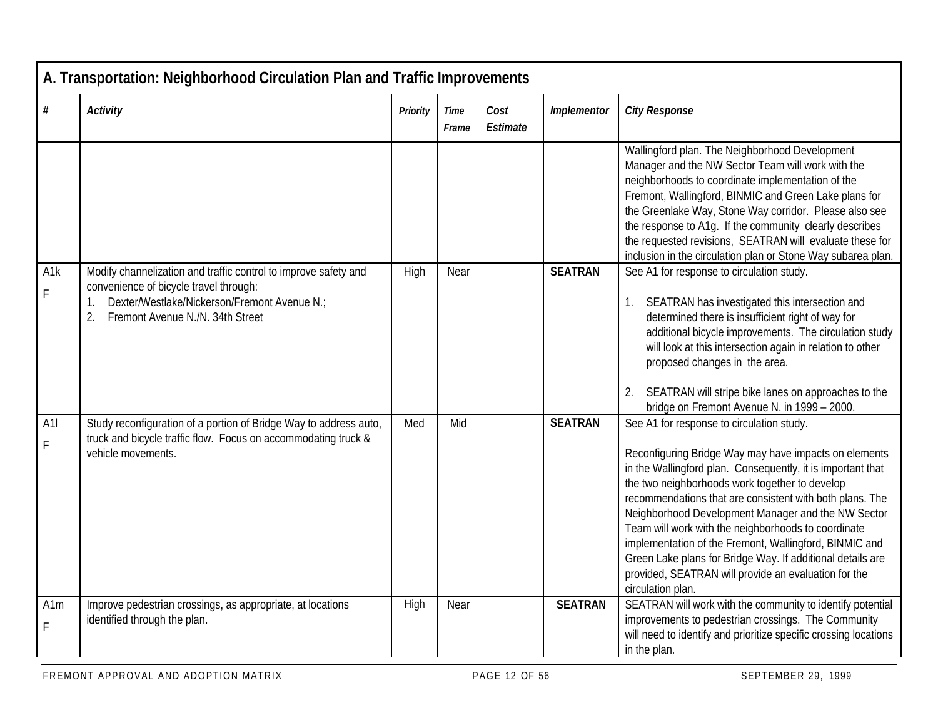| A. Transportation: Neighborhood Circulation Plan and Traffic Improvements |                                                                                                                                                                                                     |          |                      |                  |                |                                                                                                                                                                                                                                                                                                                                                                                                                                                                                                                                                                                                   |  |  |  |
|---------------------------------------------------------------------------|-----------------------------------------------------------------------------------------------------------------------------------------------------------------------------------------------------|----------|----------------------|------------------|----------------|---------------------------------------------------------------------------------------------------------------------------------------------------------------------------------------------------------------------------------------------------------------------------------------------------------------------------------------------------------------------------------------------------------------------------------------------------------------------------------------------------------------------------------------------------------------------------------------------------|--|--|--|
| #                                                                         | <b>Activity</b>                                                                                                                                                                                     | Priority | <b>Time</b><br>Frame | Cost<br>Estimate | Implementor    | <b>City Response</b>                                                                                                                                                                                                                                                                                                                                                                                                                                                                                                                                                                              |  |  |  |
|                                                                           |                                                                                                                                                                                                     |          |                      |                  |                | Wallingford plan. The Neighborhood Development<br>Manager and the NW Sector Team will work with the<br>neighborhoods to coordinate implementation of the<br>Fremont, Wallingford, BINMIC and Green Lake plans for<br>the Greenlake Way, Stone Way corridor. Please also see<br>the response to A1g. If the community clearly describes<br>the requested revisions, SEATRAN will evaluate these for<br>inclusion in the circulation plan or Stone Way subarea plan.                                                                                                                                |  |  |  |
| A1k<br>$\mathsf{F}$                                                       | Modify channelization and traffic control to improve safety and<br>convenience of bicycle travel through:<br>Dexter/Westlake/Nickerson/Fremont Avenue N.;<br>Fremont Avenue N./N. 34th Street<br>2. | High     | Near                 |                  | <b>SEATRAN</b> | See A1 for response to circulation study.<br>SEATRAN has investigated this intersection and<br>1.<br>determined there is insufficient right of way for<br>additional bicycle improvements. The circulation study<br>will look at this intersection again in relation to other<br>proposed changes in the area.<br>SEATRAN will stripe bike lanes on approaches to the<br>2.<br>bridge on Fremont Avenue N. in 1999 - 2000.                                                                                                                                                                        |  |  |  |
| A1<br>$\mathsf F$                                                         | Study reconfiguration of a portion of Bridge Way to address auto,<br>truck and bicycle traffic flow. Focus on accommodating truck &<br>vehicle movements.                                           | Med      | Mid                  |                  | <b>SEATRAN</b> | See A1 for response to circulation study.<br>Reconfiguring Bridge Way may have impacts on elements<br>in the Wallingford plan. Consequently, it is important that<br>the two neighborhoods work together to develop<br>recommendations that are consistent with both plans. The<br>Neighborhood Development Manager and the NW Sector<br>Team will work with the neighborhoods to coordinate<br>implementation of the Fremont, Wallingford, BINMIC and<br>Green Lake plans for Bridge Way. If additional details are<br>provided, SEATRAN will provide an evaluation for the<br>circulation plan. |  |  |  |
| A1m<br>F                                                                  | Improve pedestrian crossings, as appropriate, at locations<br>identified through the plan.                                                                                                          | High     | Near                 |                  | <b>SEATRAN</b> | SEATRAN will work with the community to identify potential<br>improvements to pedestrian crossings. The Community<br>will need to identify and prioritize specific crossing locations<br>in the plan.                                                                                                                                                                                                                                                                                                                                                                                             |  |  |  |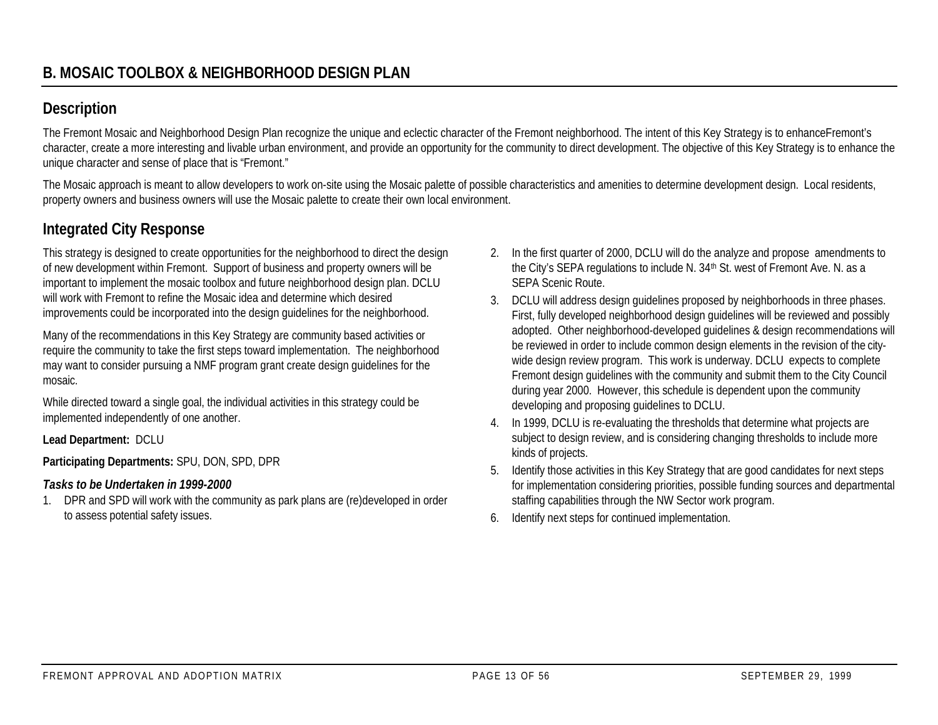# **Description**

The Fremont Mosaic and Neighborhood Design Plan recognize the unique and eclectic character of the Fremont neighborhood. The intent of this Key Strategy is to enhance Fremont's character, create a more interesting and livable urban environment, and provide an opportunity for the community to direct development. The objective of this Key Strategy is to enhance the unique character and sense of place that is "Fremont."

The Mosaic approach is meant to allow developers to work on-site using the Mosaic palette of possible characteristics and amenities to determine development design. Local residents, property owners and business owners will use the Mosaic palette to create their own local environment.

# **Integrated City Response**

This strategy is designed to create opportunities for the neighborhood to direct the design of new development within Fremont. Support of business and property owners will be important to implement the mosaic toolbox and future neighborhood design plan. DCLU will work with Fremont to refine the Mosaic idea and determine which desired improvements could be incorporated into the design guidelines for the neighborhood.

Many of the recommendations in this Key Strategy are community based activities or require the community to take the first steps toward implementation. The neighborhood may want to consider pursuing a NMF program grant create design guidelines for the mosaic.

While directed toward a single goal, the individual activities in this strategy could be implemented independently of one another.

**Lead Department:** DCLU

**Participating Departments:** SPU, DON, SPD, DPR

## *Tasks to be Undertaken in 1999-2000*

1. DPR and SPD will work with the community as park plans are (re)developed in order to assess potential safety issues.

- 2. In the first quarter of 2000, DCLU will do the analyze and propose amendments to the City's SEPA regulations to include N. 34th St. west of Fremont Ave. N. as a SEPA Scenic Route.
- 3. DCLU will address design guidelines proposed by neighborhoods in three phases. First, fully developed neighborhood design guidelines will be reviewed and possibly adopted. Other neighborhood-developed guidelines & design recommendations will be reviewed in order to include common design elements in the revision of the citywide design review program. This work is underway. DCLU expects to complete Fremont design guidelines with the community and submit them to the City Council during year 2000. However, this schedule is dependent upon the community developing and proposing guidelines to DCLU.
- 4. In 1999, DCLU is re-evaluating the thresholds that determine what projects are subject to design review, and is considering changing thresholds to include more kinds of projects.
- 5. Identify those activities in this Key Strategy that are good candidates for next steps for implementation considering priorities, possible funding sources and departmental staffing capabilities through the NW Sector work program.
- 6. Identify next steps for continued implementation.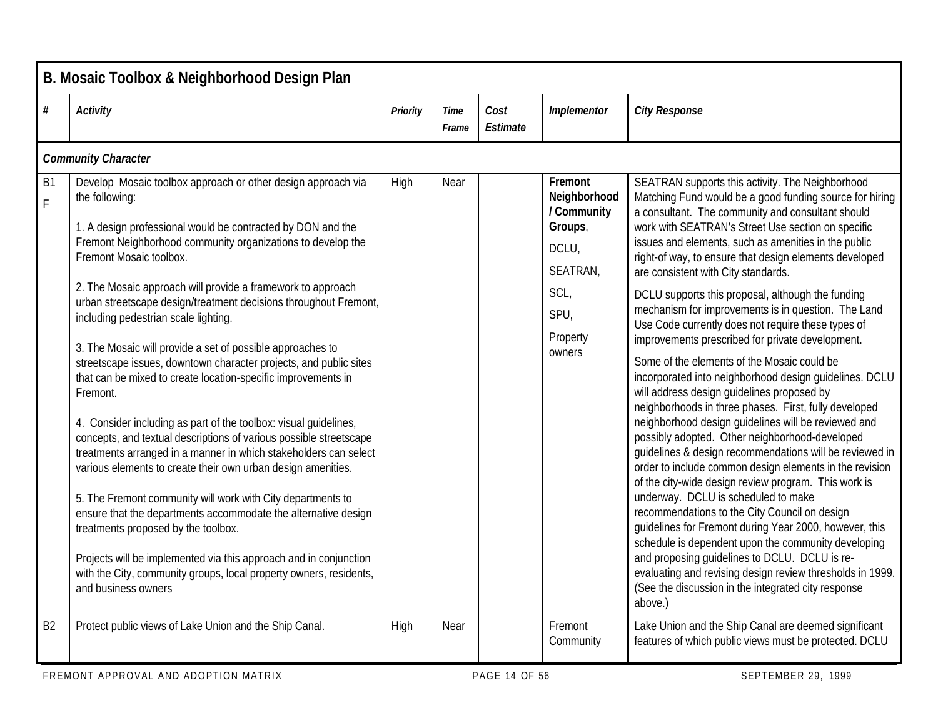|                 | B. Mosaic Toolbox & Neighborhood Design Plan                                                                                                                                                                                                                                                                                                                                                                                                                                                                                                                                                                                                                                                                                                                                                                                                                                                                                                                                                                                                                                                                                                                                                                                                               |          |               |                  |                                                                                                              |                                                                                                                                                                                                                                                                                                                                                                                                                                                                                                                                                                                                                                                                                                                                                                                                                                                                                                                                                                                                                                                                                                                                                                                                                                                                                                                                                                                                                                                                                                       |  |  |  |  |  |
|-----------------|------------------------------------------------------------------------------------------------------------------------------------------------------------------------------------------------------------------------------------------------------------------------------------------------------------------------------------------------------------------------------------------------------------------------------------------------------------------------------------------------------------------------------------------------------------------------------------------------------------------------------------------------------------------------------------------------------------------------------------------------------------------------------------------------------------------------------------------------------------------------------------------------------------------------------------------------------------------------------------------------------------------------------------------------------------------------------------------------------------------------------------------------------------------------------------------------------------------------------------------------------------|----------|---------------|------------------|--------------------------------------------------------------------------------------------------------------|-------------------------------------------------------------------------------------------------------------------------------------------------------------------------------------------------------------------------------------------------------------------------------------------------------------------------------------------------------------------------------------------------------------------------------------------------------------------------------------------------------------------------------------------------------------------------------------------------------------------------------------------------------------------------------------------------------------------------------------------------------------------------------------------------------------------------------------------------------------------------------------------------------------------------------------------------------------------------------------------------------------------------------------------------------------------------------------------------------------------------------------------------------------------------------------------------------------------------------------------------------------------------------------------------------------------------------------------------------------------------------------------------------------------------------------------------------------------------------------------------------|--|--|--|--|--|
| $\#$            | <b>Activity</b>                                                                                                                                                                                                                                                                                                                                                                                                                                                                                                                                                                                                                                                                                                                                                                                                                                                                                                                                                                                                                                                                                                                                                                                                                                            | Priority | Time<br>Frame | Cost<br>Estimate | Implementor                                                                                                  | <b>City Response</b>                                                                                                                                                                                                                                                                                                                                                                                                                                                                                                                                                                                                                                                                                                                                                                                                                                                                                                                                                                                                                                                                                                                                                                                                                                                                                                                                                                                                                                                                                  |  |  |  |  |  |
|                 | <b>Community Character</b>                                                                                                                                                                                                                                                                                                                                                                                                                                                                                                                                                                                                                                                                                                                                                                                                                                                                                                                                                                                                                                                                                                                                                                                                                                 |          |               |                  |                                                                                                              |                                                                                                                                                                                                                                                                                                                                                                                                                                                                                                                                                                                                                                                                                                                                                                                                                                                                                                                                                                                                                                                                                                                                                                                                                                                                                                                                                                                                                                                                                                       |  |  |  |  |  |
| <b>B1</b><br>F. | Develop Mosaic toolbox approach or other design approach via<br>the following:<br>1. A design professional would be contracted by DON and the<br>Fremont Neighborhood community organizations to develop the<br>Fremont Mosaic toolbox.<br>2. The Mosaic approach will provide a framework to approach<br>urban streetscape design/treatment decisions throughout Fremont,<br>including pedestrian scale lighting.<br>3. The Mosaic will provide a set of possible approaches to<br>streetscape issues, downtown character projects, and public sites<br>that can be mixed to create location-specific improvements in<br>Fremont.<br>4. Consider including as part of the toolbox: visual guidelines,<br>concepts, and textual descriptions of various possible streetscape<br>treatments arranged in a manner in which stakeholders can select<br>various elements to create their own urban design amenities.<br>5. The Fremont community will work with City departments to<br>ensure that the departments accommodate the alternative design<br>treatments proposed by the toolbox.<br>Projects will be implemented via this approach and in conjunction<br>with the City, community groups, local property owners, residents,<br>and business owners | High     | Near          |                  | Fremont<br>Neighborhood<br>/ Community<br>Groups,<br>DCLU,<br>SEATRAN,<br>SCL,<br>SPU,<br>Property<br>owners | SEATRAN supports this activity. The Neighborhood<br>Matching Fund would be a good funding source for hiring<br>a consultant. The community and consultant should<br>work with SEATRAN's Street Use section on specific<br>issues and elements, such as amenities in the public<br>right-of way, to ensure that design elements developed<br>are consistent with City standards.<br>DCLU supports this proposal, although the funding<br>mechanism for improvements is in question. The Land<br>Use Code currently does not require these types of<br>improvements prescribed for private development.<br>Some of the elements of the Mosaic could be<br>incorporated into neighborhood design guidelines. DCLU<br>will address design guidelines proposed by<br>neighborhoods in three phases. First, fully developed<br>neighborhood design guidelines will be reviewed and<br>possibly adopted. Other neighborhood-developed<br>guidelines & design recommendations will be reviewed in<br>order to include common design elements in the revision<br>of the city-wide design review program. This work is<br>underway. DCLU is scheduled to make<br>recommendations to the City Council on design<br>guidelines for Fremont during Year 2000, however, this<br>schedule is dependent upon the community developing<br>and proposing guidelines to DCLU. DCLU is re-<br>evaluating and revising design review thresholds in 1999.<br>(See the discussion in the integrated city response<br>above.) |  |  |  |  |  |
| B <sub>2</sub>  | Protect public views of Lake Union and the Ship Canal.                                                                                                                                                                                                                                                                                                                                                                                                                                                                                                                                                                                                                                                                                                                                                                                                                                                                                                                                                                                                                                                                                                                                                                                                     | High     | Near          |                  | Fremont<br>Community                                                                                         | Lake Union and the Ship Canal are deemed significant<br>features of which public views must be protected. DCLU                                                                                                                                                                                                                                                                                                                                                                                                                                                                                                                                                                                                                                                                                                                                                                                                                                                                                                                                                                                                                                                                                                                                                                                                                                                                                                                                                                                        |  |  |  |  |  |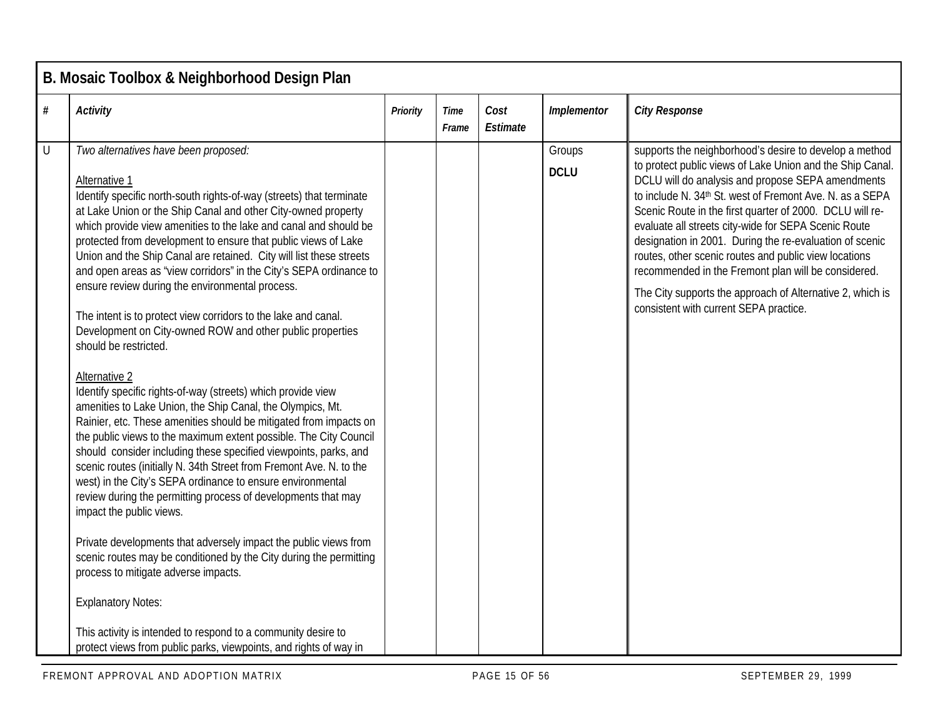|           | B. Mosaic Toolbox & Neighborhood Design Plan                                                                                                                                                                                                                                                                                                                                                                                                                                                                                                                                                                                                                                                                                                                                                                                                                                                                                                                                                                                                                                                                                                                                                                                                                                                                                                                                                                                                                                                                                                                                                                                                     |                 |                      |                  |                       |                                                                                                                                                                                                                                                                                                                                                                                                                                                                                                                                                                                                                                            |  |  |  |  |
|-----------|--------------------------------------------------------------------------------------------------------------------------------------------------------------------------------------------------------------------------------------------------------------------------------------------------------------------------------------------------------------------------------------------------------------------------------------------------------------------------------------------------------------------------------------------------------------------------------------------------------------------------------------------------------------------------------------------------------------------------------------------------------------------------------------------------------------------------------------------------------------------------------------------------------------------------------------------------------------------------------------------------------------------------------------------------------------------------------------------------------------------------------------------------------------------------------------------------------------------------------------------------------------------------------------------------------------------------------------------------------------------------------------------------------------------------------------------------------------------------------------------------------------------------------------------------------------------------------------------------------------------------------------------------|-----------------|----------------------|------------------|-----------------------|--------------------------------------------------------------------------------------------------------------------------------------------------------------------------------------------------------------------------------------------------------------------------------------------------------------------------------------------------------------------------------------------------------------------------------------------------------------------------------------------------------------------------------------------------------------------------------------------------------------------------------------------|--|--|--|--|
| $\#$      | <b>Activity</b>                                                                                                                                                                                                                                                                                                                                                                                                                                                                                                                                                                                                                                                                                                                                                                                                                                                                                                                                                                                                                                                                                                                                                                                                                                                                                                                                                                                                                                                                                                                                                                                                                                  | <b>Priority</b> | <b>Time</b><br>Frame | Cost<br>Estimate | Implementor           | <b>City Response</b>                                                                                                                                                                                                                                                                                                                                                                                                                                                                                                                                                                                                                       |  |  |  |  |
| $\bigcup$ | Two alternatives have been proposed:<br>Alternative 1<br>Identify specific north-south rights-of-way (streets) that terminate<br>at Lake Union or the Ship Canal and other City-owned property<br>which provide view amenities to the lake and canal and should be<br>protected from development to ensure that public views of Lake<br>Union and the Ship Canal are retained. City will list these streets<br>and open areas as "view corridors" in the City's SEPA ordinance to<br>ensure review during the environmental process.<br>The intent is to protect view corridors to the lake and canal.<br>Development on City-owned ROW and other public properties<br>should be restricted.<br>Alternative 2<br>Identify specific rights-of-way (streets) which provide view<br>amenities to Lake Union, the Ship Canal, the Olympics, Mt.<br>Rainier, etc. These amenities should be mitigated from impacts on<br>the public views to the maximum extent possible. The City Council<br>should consider including these specified viewpoints, parks, and<br>scenic routes (initially N. 34th Street from Fremont Ave. N. to the<br>west) in the City's SEPA ordinance to ensure environmental<br>review during the permitting process of developments that may<br>impact the public views.<br>Private developments that adversely impact the public views from<br>scenic routes may be conditioned by the City during the permitting<br>process to mitigate adverse impacts.<br><b>Explanatory Notes:</b><br>This activity is intended to respond to a community desire to<br>protect views from public parks, viewpoints, and rights of way in |                 |                      |                  | Groups<br><b>DCLU</b> | supports the neighborhood's desire to develop a method<br>to protect public views of Lake Union and the Ship Canal.<br>DCLU will do analysis and propose SEPA amendments<br>to include N. 34th St. west of Fremont Ave. N. as a SEPA<br>Scenic Route in the first quarter of 2000. DCLU will re-<br>evaluate all streets city-wide for SEPA Scenic Route<br>designation in 2001. During the re-evaluation of scenic<br>routes, other scenic routes and public view locations<br>recommended in the Fremont plan will be considered.<br>The City supports the approach of Alternative 2, which is<br>consistent with current SEPA practice. |  |  |  |  |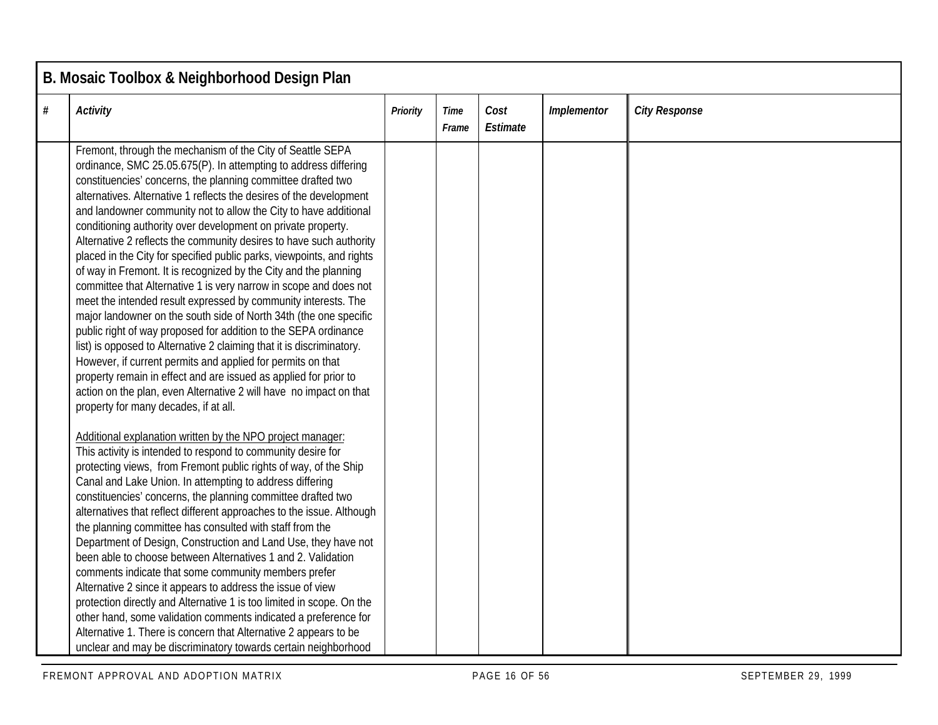|      | B. Mosaic Toolbox & Neighborhood Design Plan                                                                                                                                                                                                                                                                                                                                                                                                                                                                                                                                                                                                                                                                                                                                                                                                                                                                                                                                                                                                                                                                                                                                                                                           |          |               |                  |             |                      |  |  |  |
|------|----------------------------------------------------------------------------------------------------------------------------------------------------------------------------------------------------------------------------------------------------------------------------------------------------------------------------------------------------------------------------------------------------------------------------------------------------------------------------------------------------------------------------------------------------------------------------------------------------------------------------------------------------------------------------------------------------------------------------------------------------------------------------------------------------------------------------------------------------------------------------------------------------------------------------------------------------------------------------------------------------------------------------------------------------------------------------------------------------------------------------------------------------------------------------------------------------------------------------------------|----------|---------------|------------------|-------------|----------------------|--|--|--|
| $\#$ | <b>Activity</b>                                                                                                                                                                                                                                                                                                                                                                                                                                                                                                                                                                                                                                                                                                                                                                                                                                                                                                                                                                                                                                                                                                                                                                                                                        | Priority | Time<br>Frame | Cost<br>Estimate | Implementor | <b>City Response</b> |  |  |  |
|      | Fremont, through the mechanism of the City of Seattle SEPA<br>ordinance, SMC 25.05.675(P). In attempting to address differing<br>constituencies' concerns, the planning committee drafted two<br>alternatives. Alternative 1 reflects the desires of the development<br>and landowner community not to allow the City to have additional<br>conditioning authority over development on private property.<br>Alternative 2 reflects the community desires to have such authority<br>placed in the City for specified public parks, viewpoints, and rights<br>of way in Fremont. It is recognized by the City and the planning<br>committee that Alternative 1 is very narrow in scope and does not<br>meet the intended result expressed by community interests. The<br>major landowner on the south side of North 34th (the one specific<br>public right of way proposed for addition to the SEPA ordinance<br>list) is opposed to Alternative 2 claiming that it is discriminatory.<br>However, if current permits and applied for permits on that<br>property remain in effect and are issued as applied for prior to<br>action on the plan, even Alternative 2 will have no impact on that<br>property for many decades, if at all. |          |               |                  |             |                      |  |  |  |
|      | Additional explanation written by the NPO project manager:<br>This activity is intended to respond to community desire for<br>protecting views, from Fremont public rights of way, of the Ship<br>Canal and Lake Union. In attempting to address differing<br>constituencies' concerns, the planning committee drafted two<br>alternatives that reflect different approaches to the issue. Although<br>the planning committee has consulted with staff from the<br>Department of Design, Construction and Land Use, they have not<br>been able to choose between Alternatives 1 and 2. Validation<br>comments indicate that some community members prefer<br>Alternative 2 since it appears to address the issue of view<br>protection directly and Alternative 1 is too limited in scope. On the<br>other hand, some validation comments indicated a preference for<br>Alternative 1. There is concern that Alternative 2 appears to be<br>unclear and may be discriminatory towards certain neighborhood                                                                                                                                                                                                                             |          |               |                  |             |                      |  |  |  |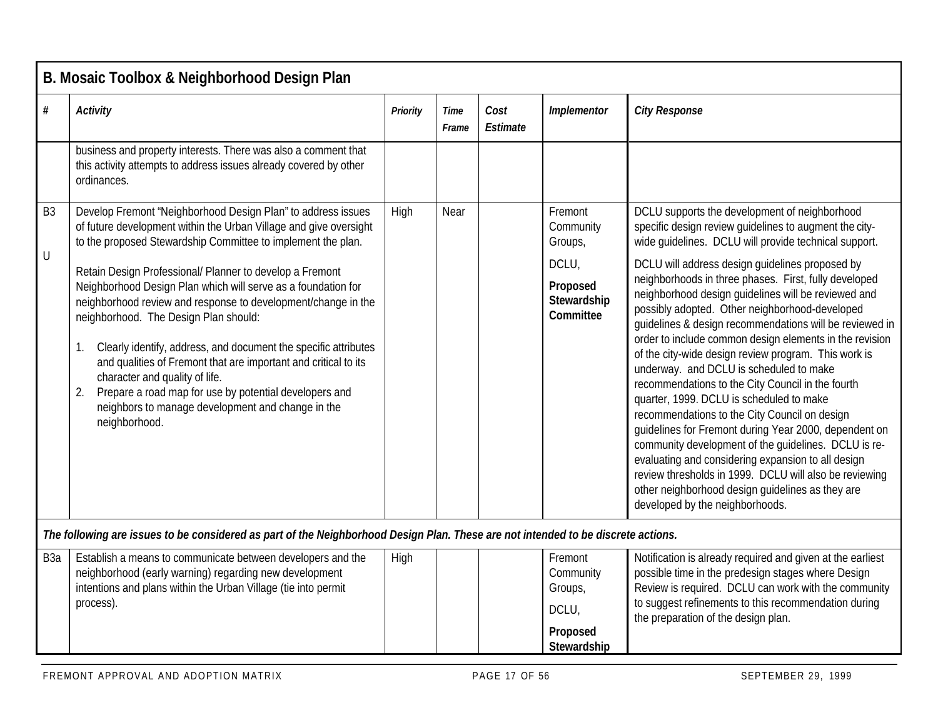|                  | B. Mosaic Toolbox & Neighborhood Design Plan                                                                                                                                                                                                                                                                                                                                                                                                                                          |                 |               |                  |                                          |                                                                                                                                                                                                                                                                                                                                                                                                                                                                                                                                                                                                                                                                                                                                                                                                                                                                   |  |  |  |  |  |  |
|------------------|---------------------------------------------------------------------------------------------------------------------------------------------------------------------------------------------------------------------------------------------------------------------------------------------------------------------------------------------------------------------------------------------------------------------------------------------------------------------------------------|-----------------|---------------|------------------|------------------------------------------|-------------------------------------------------------------------------------------------------------------------------------------------------------------------------------------------------------------------------------------------------------------------------------------------------------------------------------------------------------------------------------------------------------------------------------------------------------------------------------------------------------------------------------------------------------------------------------------------------------------------------------------------------------------------------------------------------------------------------------------------------------------------------------------------------------------------------------------------------------------------|--|--|--|--|--|--|
| $\#$             | <b>Activity</b>                                                                                                                                                                                                                                                                                                                                                                                                                                                                       | <b>Priority</b> | Time<br>Frame | Cost<br>Estimate | Implementor                              | <b>City Response</b>                                                                                                                                                                                                                                                                                                                                                                                                                                                                                                                                                                                                                                                                                                                                                                                                                                              |  |  |  |  |  |  |
|                  | business and property interests. There was also a comment that<br>this activity attempts to address issues already covered by other<br>ordinances.                                                                                                                                                                                                                                                                                                                                    |                 |               |                  |                                          |                                                                                                                                                                                                                                                                                                                                                                                                                                                                                                                                                                                                                                                                                                                                                                                                                                                                   |  |  |  |  |  |  |
| B <sub>3</sub>   | Develop Fremont 'Neighborhood Design Plan" to address issues<br>of future development within the Urban Village and give oversight<br>to the proposed Stewardship Committee to implement the plan.                                                                                                                                                                                                                                                                                     | High            | Near          |                  | Fremont<br>Community<br>Groups,          | DCLU supports the development of neighborhood<br>specific design review guidelines to augment the city-<br>wide guidelines. DCLU will provide technical support.                                                                                                                                                                                                                                                                                                                                                                                                                                                                                                                                                                                                                                                                                                  |  |  |  |  |  |  |
| U                | Retain Design Professional/ Planner to develop a Fremont                                                                                                                                                                                                                                                                                                                                                                                                                              |                 |               |                  | DCLU,                                    | DCLU will address design guidelines proposed by                                                                                                                                                                                                                                                                                                                                                                                                                                                                                                                                                                                                                                                                                                                                                                                                                   |  |  |  |  |  |  |
|                  | Neighborhood Design Plan which will serve as a foundation for<br>neighborhood review and response to development/change in the<br>neighborhood. The Design Plan should:<br>Clearly identify, address, and document the specific attributes<br>and qualities of Fremont that are important and critical to its<br>character and quality of life.<br>Prepare a road map for use by potential developers and<br>2.<br>neighbors to manage development and change in the<br>neighborhood. |                 |               |                  | Proposed<br>Stewardship<br>Committee     | neighborhoods in three phases. First, fully developed<br>neighborhood design guidelines will be reviewed and<br>possibly adopted. Other neighborhood-developed<br>guidelines & design recommendations will be reviewed in<br>order to include common design elements in the revision<br>of the city-wide design review program. This work is<br>underway. and DCLU is scheduled to make<br>recommendations to the City Council in the fourth<br>quarter, 1999. DCLU is scheduled to make<br>recommendations to the City Council on design<br>guidelines for Fremont during Year 2000, dependent on<br>community development of the guidelines. DCLU is re-<br>evaluating and considering expansion to all design<br>review thresholds in 1999. DCLU will also be reviewing<br>other neighborhood design guidelines as they are<br>developed by the neighborhoods. |  |  |  |  |  |  |
|                  | The following are issues to be considered as part of the Neighborhood Design Plan. These are not intended to be discrete actions.                                                                                                                                                                                                                                                                                                                                                     |                 |               |                  |                                          |                                                                                                                                                                                                                                                                                                                                                                                                                                                                                                                                                                                                                                                                                                                                                                                                                                                                   |  |  |  |  |  |  |
| B <sub>3</sub> a | Establish a means to communicate between developers and the<br>neighborhood (early warning) regarding new development<br>intentions and plans within the Urban Village (tie into permit<br>process).                                                                                                                                                                                                                                                                                  | High            |               |                  | Fremont<br>Community<br>Groups,<br>DCLU, | Notification is already required and given at the earliest<br>possible time in the predesign stages where Design<br>Review is required. DCLU can work with the community<br>to suggest refinements to this recommendation during<br>the preparation of the design plan.                                                                                                                                                                                                                                                                                                                                                                                                                                                                                                                                                                                           |  |  |  |  |  |  |

**Proposed Stewardship**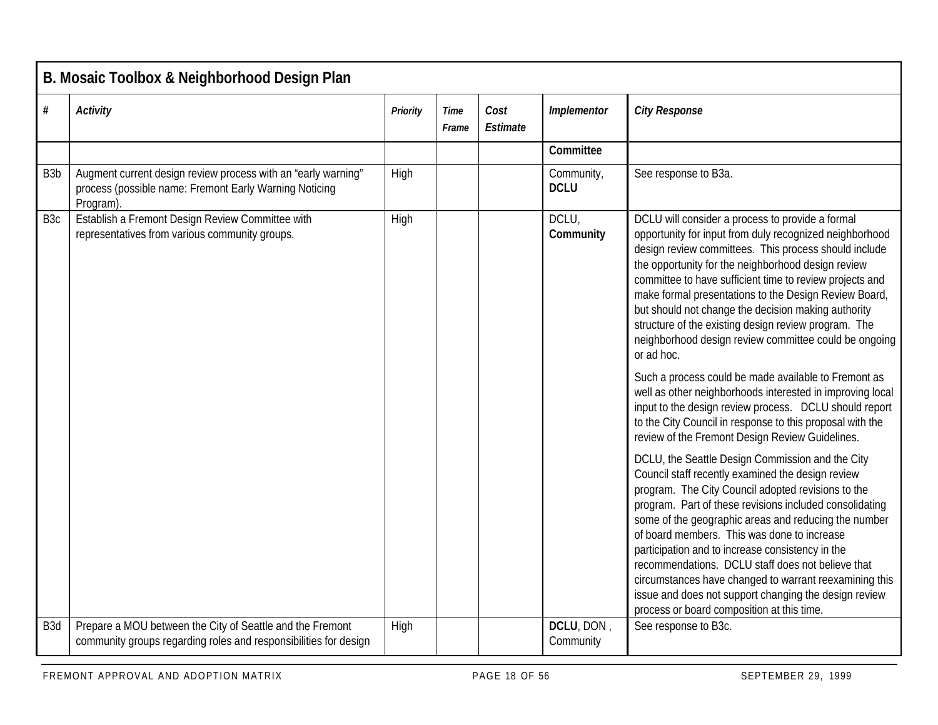|                  | B. Mosaic Toolbox & Neighborhood Design Plan                                                                                        |          |               |                  |                           |                                                                                                                                                                                                                                                                                                                                                                                                                                                                                                                                                                                                                                                                                                                                                                                                                                                                                                                                                                                                                                                                                                                                                                                                                                                                                                                                                                                                                                                 |  |  |  |  |  |
|------------------|-------------------------------------------------------------------------------------------------------------------------------------|----------|---------------|------------------|---------------------------|-------------------------------------------------------------------------------------------------------------------------------------------------------------------------------------------------------------------------------------------------------------------------------------------------------------------------------------------------------------------------------------------------------------------------------------------------------------------------------------------------------------------------------------------------------------------------------------------------------------------------------------------------------------------------------------------------------------------------------------------------------------------------------------------------------------------------------------------------------------------------------------------------------------------------------------------------------------------------------------------------------------------------------------------------------------------------------------------------------------------------------------------------------------------------------------------------------------------------------------------------------------------------------------------------------------------------------------------------------------------------------------------------------------------------------------------------|--|--|--|--|--|
| $\#$             | <b>Activity</b>                                                                                                                     | Priority | Time<br>Frame | Cost<br>Estimate | Implementor               | <b>City Response</b>                                                                                                                                                                                                                                                                                                                                                                                                                                                                                                                                                                                                                                                                                                                                                                                                                                                                                                                                                                                                                                                                                                                                                                                                                                                                                                                                                                                                                            |  |  |  |  |  |
|                  |                                                                                                                                     |          |               |                  | Committee                 |                                                                                                                                                                                                                                                                                                                                                                                                                                                                                                                                                                                                                                                                                                                                                                                                                                                                                                                                                                                                                                                                                                                                                                                                                                                                                                                                                                                                                                                 |  |  |  |  |  |
| B <sub>3</sub> b | Augment current design review process with an "early warning"<br>process (possible name: Fremont Early Warning Noticing<br>Program) | High     |               |                  | Community,<br><b>DCLU</b> | See response to B3a.                                                                                                                                                                                                                                                                                                                                                                                                                                                                                                                                                                                                                                                                                                                                                                                                                                                                                                                                                                                                                                                                                                                                                                                                                                                                                                                                                                                                                            |  |  |  |  |  |
| B <sub>3</sub> c | Establish a Fremont Design Review Committee with<br>representatives from various community groups.                                  | High     |               |                  | DCLU,<br>Community        | DCLU will consider a process to provide a formal<br>opportunity for input from duly recognized neighborhood<br>design review committees. This process should include<br>the opportunity for the neighborhood design review<br>committee to have sufficient time to review projects and<br>make formal presentations to the Design Review Board,<br>but should not change the decision making authority<br>structure of the existing design review program. The<br>neighborhood design review committee could be ongoing<br>or ad hoc.<br>Such a process could be made available to Fremont as<br>well as other neighborhoods interested in improving local<br>input to the design review process. DCLU should report<br>to the City Council in response to this proposal with the<br>review of the Fremont Design Review Guidelines.<br>DCLU, the Seattle Design Commission and the City<br>Council staff recently examined the design review<br>program. The City Council adopted revisions to the<br>program. Part of these revisions included consolidating<br>some of the geographic areas and reducing the number<br>of board members. This was done to increase<br>participation and to increase consistency in the<br>recommendations. DCLU staff does not believe that<br>circumstances have changed to warrant reexamining this<br>issue and does not support changing the design review<br>process or board composition at this time. |  |  |  |  |  |
| B <sub>3</sub> d | Prepare a MOU between the City of Seattle and the Fremont<br>community groups regarding roles and responsibilities for design       | High     |               |                  | DCLU, DON,<br>Community   | See response to B3c.                                                                                                                                                                                                                                                                                                                                                                                                                                                                                                                                                                                                                                                                                                                                                                                                                                                                                                                                                                                                                                                                                                                                                                                                                                                                                                                                                                                                                            |  |  |  |  |  |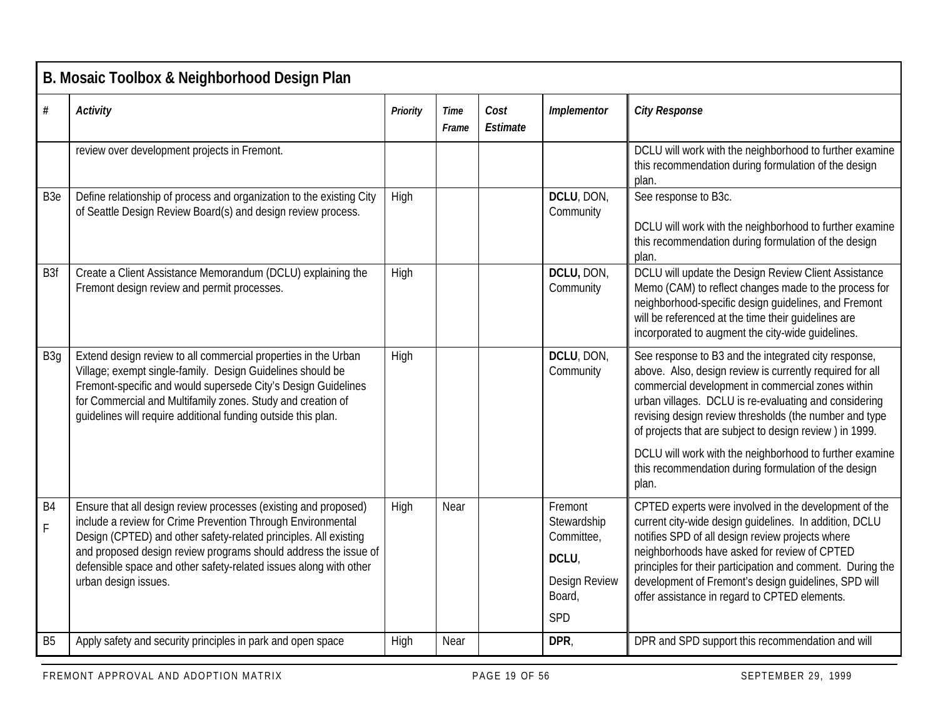|                               | B. Mosaic Toolbox & Neighborhood Design Plan                                                                                                                                                                                                                                                                                                                       |                 |               |                  |                                                                                        |                                                                                                                                                                                                                                                                                                                                                                                            |  |  |  |  |  |  |
|-------------------------------|--------------------------------------------------------------------------------------------------------------------------------------------------------------------------------------------------------------------------------------------------------------------------------------------------------------------------------------------------------------------|-----------------|---------------|------------------|----------------------------------------------------------------------------------------|--------------------------------------------------------------------------------------------------------------------------------------------------------------------------------------------------------------------------------------------------------------------------------------------------------------------------------------------------------------------------------------------|--|--|--|--|--|--|
| $\#$                          | <b>Activity</b>                                                                                                                                                                                                                                                                                                                                                    | <b>Priority</b> | Time<br>Frame | Cost<br>Estimate | Implementor                                                                            | <b>City Response</b>                                                                                                                                                                                                                                                                                                                                                                       |  |  |  |  |  |  |
|                               | review over development projects in Fremont.                                                                                                                                                                                                                                                                                                                       |                 |               |                  |                                                                                        | DCLU will work with the neighborhood to further examine<br>this recommendation during formulation of the design<br>plan.                                                                                                                                                                                                                                                                   |  |  |  |  |  |  |
| B <sub>3e</sub>               | Define relationship of process and organization to the existing City<br>of Seattle Design Review Board(s) and design review process.                                                                                                                                                                                                                               | High            |               |                  | DCLU, DON,<br>Community                                                                | See response to B3c.<br>DCLU will work with the neighborhood to further examine<br>this recommendation during formulation of the design<br>plan.                                                                                                                                                                                                                                           |  |  |  |  |  |  |
| B <sub>3f</sub>               | Create a Client Assistance Memorandum (DCLU) explaining the<br>Fremont design review and permit processes.                                                                                                                                                                                                                                                         | High            |               |                  | DCLU, DON,<br>Community                                                                | DCLU will update the Design Review Client Assistance<br>Memo (CAM) to reflect changes made to the process for<br>neighborhood-specific design guidelines, and Fremont<br>will be referenced at the time their guidelines are<br>incorporated to augment the city-wide guidelines.                                                                                                          |  |  |  |  |  |  |
| B <sub>3g</sub>               | Extend design review to all commercial properties in the Urban<br>Village; exempt single-family. Design Guidelines should be<br>Fremont-specific and would supersede City's Design Guidelines<br>for Commercial and Multifamily zones. Study and creation of<br>guidelines will require additional funding outside this plan.                                      | High            |               |                  | DCLU, DON,<br>Community                                                                | See response to B3 and the integrated city response,<br>above. Also, design review is currently required for all<br>commercial development in commercial zones within<br>urban villages. DCLU is re-evaluating and considering<br>revising design review thresholds (the number and type<br>of projects that are subject to design review) in 1999.                                        |  |  |  |  |  |  |
|                               |                                                                                                                                                                                                                                                                                                                                                                    |                 |               |                  |                                                                                        | DCLU will work with the neighborhood to further examine<br>this recommendation during formulation of the design<br>plan.                                                                                                                                                                                                                                                                   |  |  |  |  |  |  |
| B <sub>4</sub><br>$\mathsf F$ | Ensure that all design review processes (existing and proposed)<br>include a review for Crime Prevention Through Environmental<br>Design (CPTED) and other safety-related principles. All existing<br>and proposed design review programs should address the issue of<br>defensible space and other safety-related issues along with other<br>urban design issues. | High            | Near          |                  | Fremont<br>Stewardship<br>Committee,<br>DCLU,<br><b>Design Review</b><br>Board,<br>SPD | CPTED experts were involved in the development of the<br>current city-wide design quidelines. In addition, DCLU<br>notifies SPD of all design review projects where<br>neighborhoods have asked for review of CPTED<br>principles for their participation and comment. During the<br>development of Fremont's design guidelines, SPD will<br>offer assistance in regard to CPTED elements. |  |  |  |  |  |  |
| <b>B5</b>                     | Apply safety and security principles in park and open space                                                                                                                                                                                                                                                                                                        | High            | Near          |                  | DPR                                                                                    | DPR and SPD support this recommendation and will                                                                                                                                                                                                                                                                                                                                           |  |  |  |  |  |  |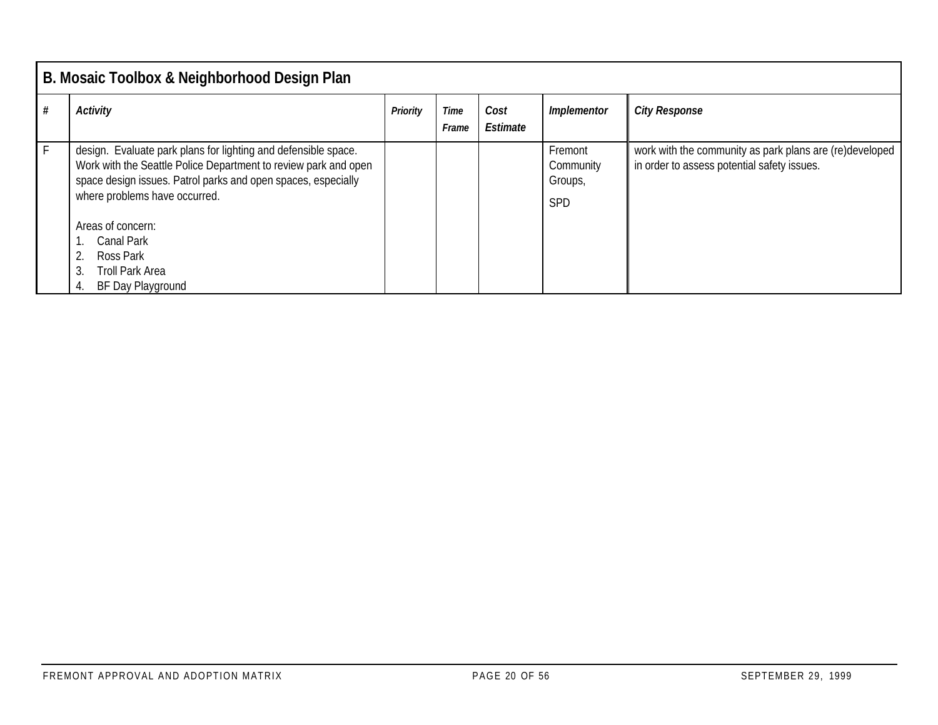|              | B. Mosaic Toolbox & Neighborhood Design Plan                                                                                                                                                                                        |          |               |                  |                                               |                                                                                                        |  |  |  |  |
|--------------|-------------------------------------------------------------------------------------------------------------------------------------------------------------------------------------------------------------------------------------|----------|---------------|------------------|-----------------------------------------------|--------------------------------------------------------------------------------------------------------|--|--|--|--|
|              | Activity                                                                                                                                                                                                                            | Priority | Time<br>Frame | Cost<br>Estimate | Implementor                                   | <b>City Response</b>                                                                                   |  |  |  |  |
| $\mathsf{F}$ | design. Evaluate park plans for lighting and defensible space.<br>Work with the Seattle Police Department to review park and open<br>space design issues. Patrol parks and open spaces, especially<br>where problems have occurred. |          |               |                  | Fremont<br>Community<br>Groups,<br><b>SPD</b> | work with the community as park plans are (re)developed<br>in order to assess potential safety issues. |  |  |  |  |
|              | Areas of concern:<br>Canal Park<br>2. Ross Park<br>Troll Park Area<br>3.<br>BF Day Playground                                                                                                                                       |          |               |                  |                                               |                                                                                                        |  |  |  |  |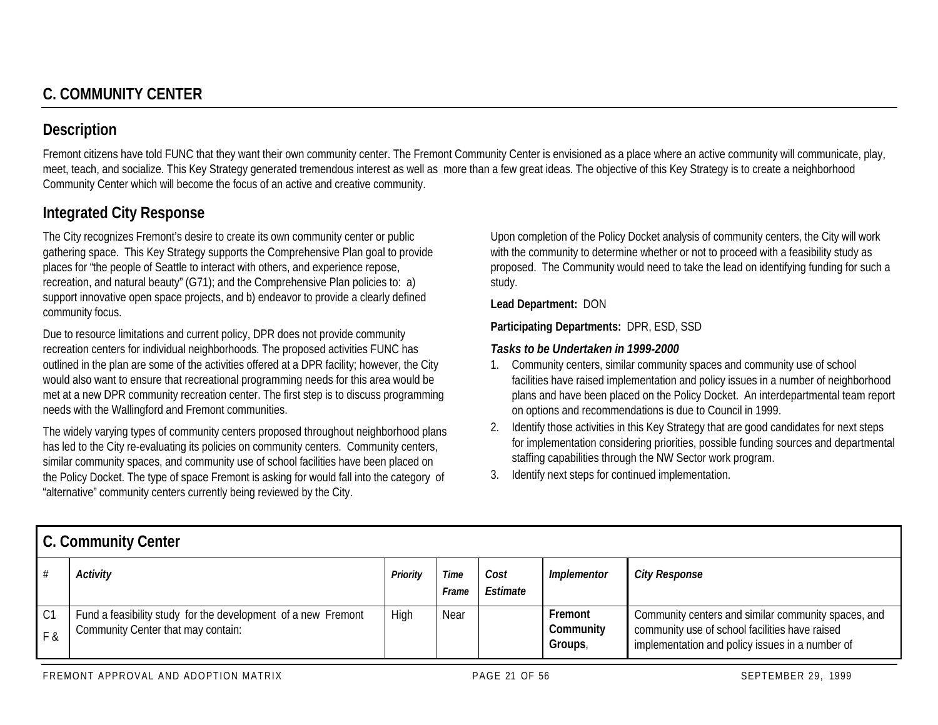# **Description**

Fremont citizens have told FUNC that they want their own community center. The Fremont Community Center is envisioned as a place where an active community will communicate, play, meet, teach, and socialize. This Key Strategy generated tremendous interest as well as more than a few great ideas. The objective of this Key Strategy is to create a neighborhood Community Center which will become the focus of an active and creative community.

# **Integrated City Response**

The City recognizes Fremont's desire to create its own community center or public gathering space. This Key Strategy supports the Comprehensive Plan goal to provide places for "the people of Seattle to interact with others, and experience repose, recreation, and natural beauty" (G71); and the Comprehensive Plan policies to: a) support innovative open space projects, and b) endeavor to provide a clearly defined community focus.

Due to resource limitations and current policy, DPR does not provide community recreation centers for individual neighborhoods. The proposed activities FUNC has outlined in the plan are some of the activities offered at a DPR facility; however, the City would also want to ensure that recreational programming needs for this area would be met at a new DPR community recreation center. The first step is to discuss programming needs with the Wallingford and Fremont communities.

The widely varying types of community centers proposed throughout neighborhood plans has led to the City re-evaluating its policies on community centers. Community centers, similar community spaces, and community use of school facilities have been placed on the Policy Docket. The type of space Fremont is asking for would fall into the category of "alternative" community centers currently being reviewed by the City.

Upon completion of the Policy Docket analysis of community centers, the City will work with the community to determine whether or not to proceed with a feasibility study as proposed. The Community would need to take the lead on identifying funding for such a study.

#### **Lead Department:** DON

**Participating Departments:** DPR, ESD, SSD

## *Tasks to be Undertaken in 1999-2000*

- 1. Community centers, similar community spaces and community use of school facilities have raised implementation and policy issues in a number of neighborhood plans and have been placed on the Policy Docket. An interdepartmental team report on options and recommendations is due to Council in 1999.
- 2. Identify those activities in this Key Strategy that are good candidates for next steps for implementation considering priorities, possible funding sources and departmental staffing capabilities through the NW Sector work program.
- 3. Identify next steps for continued implementation.

|                      | <b>U. COMMUNIST CENTER</b>                                                                          |          |                      |                  |                                 |                                                                                                                                                          |  |  |  |  |
|----------------------|-----------------------------------------------------------------------------------------------------|----------|----------------------|------------------|---------------------------------|----------------------------------------------------------------------------------------------------------------------------------------------------------|--|--|--|--|
|                      | Activity                                                                                            | Priority | <b>Time</b><br>Frame | Cost<br>Estimate | Implementor                     | <b>City Response</b>                                                                                                                                     |  |  |  |  |
| C <sub>1</sub><br>Fχ | Fund a feasibility study for the development of a new Fremont<br>Community Center that may contain: | High     | Near                 |                  | Fremont<br>Community<br>Groups, | Community centers and similar community spaces, and<br>community use of school facilities have raised<br>implementation and policy issues in a number of |  |  |  |  |

**C. Community Center**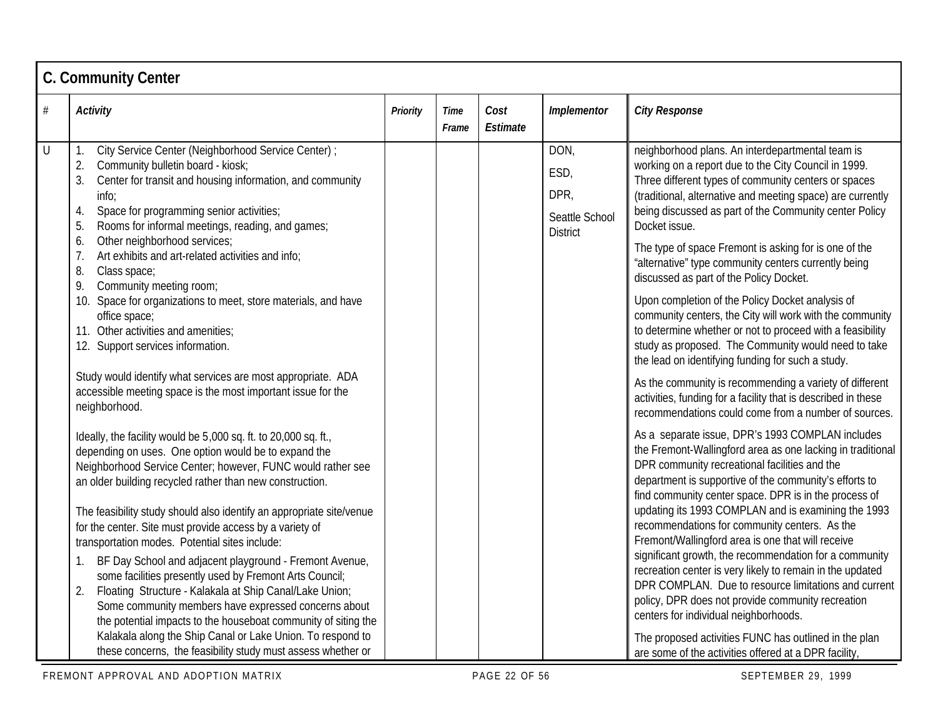|      | <b>C. Community Center</b>                                                                                                                                                                                                                                                                                                                                                                                                                                                                                                                                                                                                                                                                                                                                                                                              |          |                      |                  |                                                           |                                                                                                                                                                                                                                                                                                                                                                                                                                                                                                                                                                                                                                                                                                                                                                                       |  |  |  |  |  |
|------|-------------------------------------------------------------------------------------------------------------------------------------------------------------------------------------------------------------------------------------------------------------------------------------------------------------------------------------------------------------------------------------------------------------------------------------------------------------------------------------------------------------------------------------------------------------------------------------------------------------------------------------------------------------------------------------------------------------------------------------------------------------------------------------------------------------------------|----------|----------------------|------------------|-----------------------------------------------------------|---------------------------------------------------------------------------------------------------------------------------------------------------------------------------------------------------------------------------------------------------------------------------------------------------------------------------------------------------------------------------------------------------------------------------------------------------------------------------------------------------------------------------------------------------------------------------------------------------------------------------------------------------------------------------------------------------------------------------------------------------------------------------------------|--|--|--|--|--|
| $\#$ | <b>Activity</b>                                                                                                                                                                                                                                                                                                                                                                                                                                                                                                                                                                                                                                                                                                                                                                                                         | Priority | <b>Time</b><br>Frame | Cost<br>Estimate | Implementor                                               | <b>City Response</b>                                                                                                                                                                                                                                                                                                                                                                                                                                                                                                                                                                                                                                                                                                                                                                  |  |  |  |  |  |
| U    | City Service Center (Neighborhood Service Center) ;<br>Community bulletin board - kiosk;<br>2.<br>3.<br>Center for transit and housing information, and community<br>info;<br>Space for programming senior activities;<br>4.<br>5.<br>Rooms for informal meetings, reading, and games;<br>Other neighborhood services;<br>6.<br>7.<br>Art exhibits and art-related activities and info;<br>8.<br>Class space;                                                                                                                                                                                                                                                                                                                                                                                                           |          |                      |                  | DON,<br>ESD,<br>DPR,<br>Seattle School<br><b>District</b> | neighborhood plans. An interdepartmental team is<br>working on a report due to the City Council in 1999.<br>Three different types of community centers or spaces<br>(traditional, alternative and meeting space) are currently<br>being discussed as part of the Community center Policy<br>Docket issue.<br>The type of space Fremont is asking for is one of the<br>"alternative" type community centers currently being<br>discussed as part of the Policy Docket.                                                                                                                                                                                                                                                                                                                 |  |  |  |  |  |
|      | 9.<br>Community meeting room;<br>10. Space for organizations to meet, store materials, and have<br>office space;<br>11. Other activities and amenities:<br>12. Support services information.                                                                                                                                                                                                                                                                                                                                                                                                                                                                                                                                                                                                                            |          |                      |                  |                                                           | Upon completion of the Policy Docket analysis of<br>community centers, the City will work with the community<br>to determine whether or not to proceed with a feasibility<br>study as proposed. The Community would need to take<br>the lead on identifying funding for such a study.                                                                                                                                                                                                                                                                                                                                                                                                                                                                                                 |  |  |  |  |  |
|      | Study would identify what services are most appropriate. ADA<br>accessible meeting space is the most important issue for the<br>neighborhood.                                                                                                                                                                                                                                                                                                                                                                                                                                                                                                                                                                                                                                                                           |          |                      |                  |                                                           | As the community is recommending a variety of different<br>activities, funding for a facility that is described in these<br>recommendations could come from a number of sources.                                                                                                                                                                                                                                                                                                                                                                                                                                                                                                                                                                                                      |  |  |  |  |  |
|      | Ideally, the facility would be 5,000 sq. ft. to 20,000 sq. ft.,<br>depending on uses. One option would be to expand the<br>Neighborhood Service Center; however, FUNC would rather see<br>an older building recycled rather than new construction.<br>The feasibility study should also identify an appropriate site/venue<br>for the center. Site must provide access by a variety of<br>transportation modes. Potential sites include:<br>BF Day School and adjacent playground - Fremont Avenue,<br>some facilities presently used by Fremont Arts Council;<br>2.<br>Floating Structure - Kalakala at Ship Canal/Lake Union;<br>Some community members have expressed concerns about<br>the potential impacts to the houseboat community of siting the<br>Kalakala along the Ship Canal or Lake Union. To respond to |          |                      |                  |                                                           | As a separate issue, DPR's 1993 COMPLAN includes<br>the Fremont-Wallingford area as one lacking in traditional<br>DPR community recreational facilities and the<br>department is supportive of the community's efforts to<br>find community center space. DPR is in the process of<br>updating its 1993 COMPLAN and is examining the 1993<br>recommendations for community centers. As the<br>Fremont/Wallingford area is one that will receive<br>significant growth, the recommendation for a community<br>recreation center is very likely to remain in the updated<br>DPR COMPLAN. Due to resource limitations and current<br>policy, DPR does not provide community recreation<br>centers for individual neighborhoods.<br>The proposed activities FUNC has outlined in the plan |  |  |  |  |  |
|      | these concerns, the feasibility study must assess whether or                                                                                                                                                                                                                                                                                                                                                                                                                                                                                                                                                                                                                                                                                                                                                            |          |                      |                  |                                                           | are some of the activities offered at a DPR facility,                                                                                                                                                                                                                                                                                                                                                                                                                                                                                                                                                                                                                                                                                                                                 |  |  |  |  |  |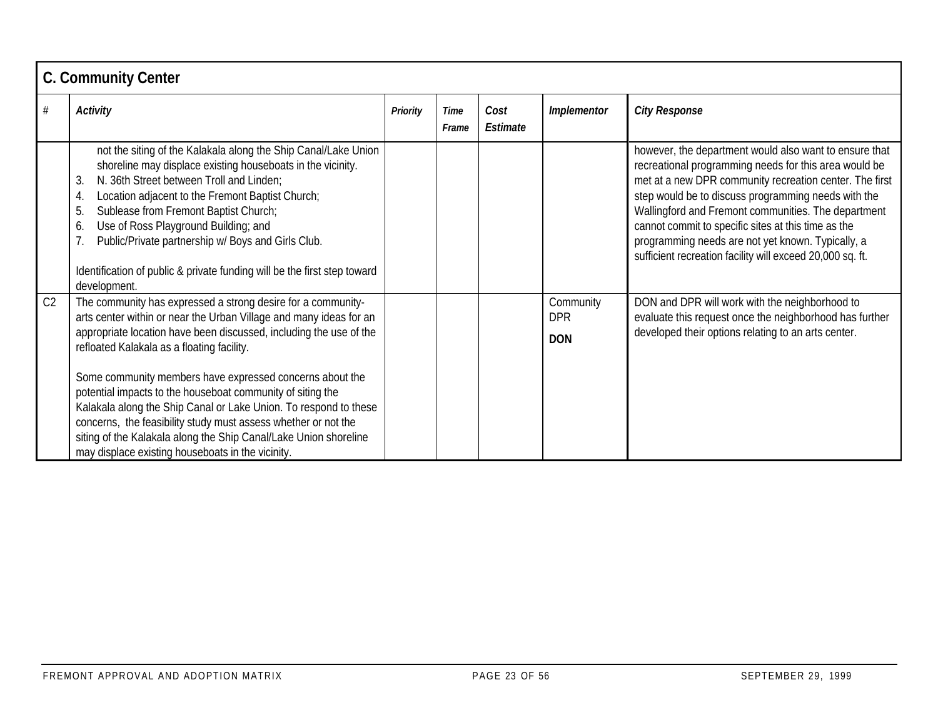|                | <b>C. Community Center</b>                                                                                                                                                                                                                                                                                                                                                                                                                                                                                                                                                                                                                      |                 |                      |                  |                                       |                                                                                                                                                                                                                                                                                                                                                                                                                                                                   |  |  |  |  |  |
|----------------|-------------------------------------------------------------------------------------------------------------------------------------------------------------------------------------------------------------------------------------------------------------------------------------------------------------------------------------------------------------------------------------------------------------------------------------------------------------------------------------------------------------------------------------------------------------------------------------------------------------------------------------------------|-----------------|----------------------|------------------|---------------------------------------|-------------------------------------------------------------------------------------------------------------------------------------------------------------------------------------------------------------------------------------------------------------------------------------------------------------------------------------------------------------------------------------------------------------------------------------------------------------------|--|--|--|--|--|
| #              | Activity                                                                                                                                                                                                                                                                                                                                                                                                                                                                                                                                                                                                                                        | <b>Priority</b> | <b>Time</b><br>Frame | Cost<br>Estimate | Implementor                           | <b>City Response</b>                                                                                                                                                                                                                                                                                                                                                                                                                                              |  |  |  |  |  |
|                | not the siting of the Kalakala along the Ship Canal/Lake Union<br>shoreline may displace existing houseboats in the vicinity.<br>N. 36th Street between Troll and Linden;<br>3.<br>Location adjacent to the Fremont Baptist Church;<br>4.<br>Sublease from Fremont Baptist Church;<br>5.<br>Use of Ross Playground Building; and<br>6.<br>Public/Private partnership w/ Boys and Girls Club.<br>Identification of public & private funding will be the first step toward<br>development.                                                                                                                                                        |                 |                      |                  |                                       | however, the department would also want to ensure that<br>recreational programming needs for this area would be<br>met at a new DPR community recreation center. The first<br>step would be to discuss programming needs with the<br>Wallingford and Fremont communities. The department<br>cannot commit to specific sites at this time as the<br>programming needs are not yet known. Typically, a<br>sufficient recreation facility will exceed 20,000 sq. ft. |  |  |  |  |  |
| C <sub>2</sub> | The community has expressed a strong desire for a community-<br>arts center within or near the Urban Village and many ideas for an<br>appropriate location have been discussed, including the use of the<br>refloated Kalakala as a floating facility.<br>Some community members have expressed concerns about the<br>potential impacts to the houseboat community of siting the<br>Kalakala along the Ship Canal or Lake Union. To respond to these<br>concerns, the feasibility study must assess whether or not the<br>siting of the Kalakala along the Ship Canal/Lake Union shoreline<br>may displace existing houseboats in the vicinity. |                 |                      |                  | Community<br><b>DPR</b><br><b>DON</b> | DON and DPR will work with the neighborhood to<br>evaluate this request once the neighborhood has further<br>developed their options relating to an arts center.                                                                                                                                                                                                                                                                                                  |  |  |  |  |  |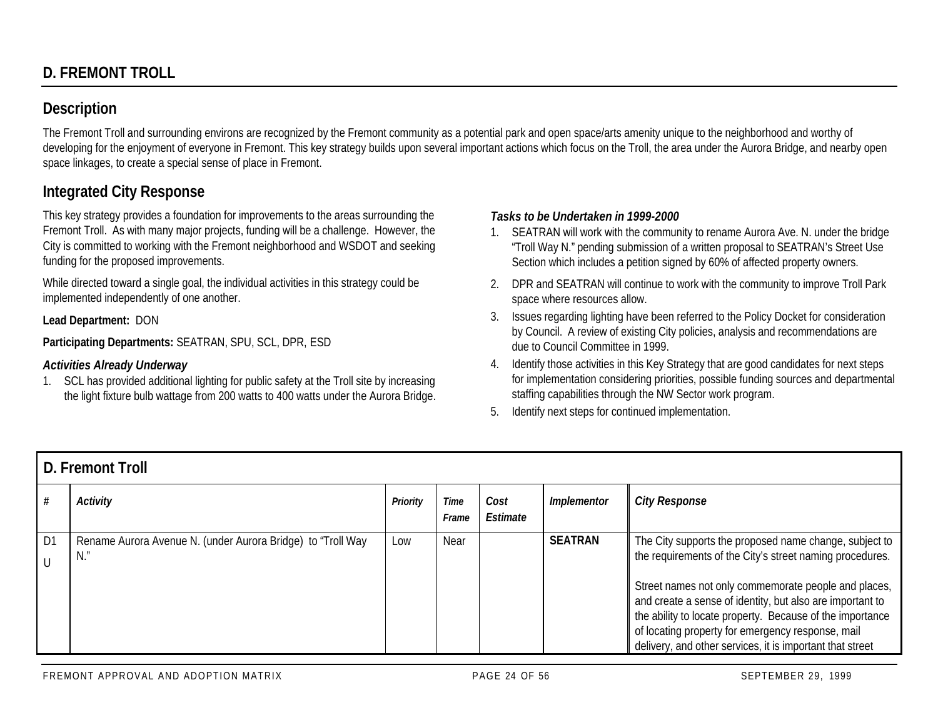# **Description**

The Fremont Troll and surrounding environs are recognized by the Fremont community as a potential park and open space/arts amenity unique to the neighborhood and worthy of developing for the enjoyment of everyone in Fremont. This key strategy builds upon several important actions which focus on the Troll, the area under the Aurora Bridge, and nearby open space linkages, to create a special sense of place in Fremont.

# **Integrated City Response**

This key strategy provides a foundation for improvements to the areas surrounding the Fremont Troll. As with many major projects, funding will be a challenge. However, the City is committed to working with the Fremont neighborhood and WSDOT and seeking funding for the proposed improvements.

While directed toward a single goal, the individual activities in this strategy could be implemented independently of one another.

**Lead Department:** DON

**Participating Departments:** SEATRAN, SPU, SCL, DPR, ESD

## *Activities Already Underway*

1. SCL has provided additional lighting for public safety at the Troll site by increasing the light fixture bulb wattage from 200 watts to 400 watts under the Aurora Bridge.

## *Tasks to be Undertaken in 1999-2000*

- 1. SEATRAN will work with the community to rename Aurora Ave. N. under the bridge "Troll Way N." pending submission of a written proposal to SEATRAN's Street Use Section which includes a petition signed by 60% of affected property owners.
- 2. DPR and SEATRAN will continue to work with the community to improve Troll Park space where resources allow.
- 3. Issues regarding lighting have been referred to the Policy Docket for consideration by Council. A review of existing City policies, analysis and recommendations are due to Council Committee in 1999.
- 4. Identify those activities in this Key Strategy that are good candidates for next steps for implementation considering priorities, possible funding sources and departmental staffing capabilities through the NW Sector work program.
- 5. Identify next steps for continued implementation.

|                | D. Fremont Troll                                                  |          |               |                  |                |                                                                                                                                                                                                                                                                                                                                                                                                                        |  |  |  |  |
|----------------|-------------------------------------------------------------------|----------|---------------|------------------|----------------|------------------------------------------------------------------------------------------------------------------------------------------------------------------------------------------------------------------------------------------------------------------------------------------------------------------------------------------------------------------------------------------------------------------------|--|--|--|--|
|                | <b>Activity</b>                                                   | Priority | Time<br>Frame | Cost<br>Estimate | Implementor    | <b>City Response</b>                                                                                                                                                                                                                                                                                                                                                                                                   |  |  |  |  |
| D <sub>1</sub> | Rename Aurora Avenue N. (under Aurora Bridge) to "Troll Way<br>N. | Low      | Near          |                  | <b>SEATRAN</b> | The City supports the proposed name change, subject to<br>the requirements of the City's street naming procedures.<br>Street names not only commemorate people and places,<br>and create a sense of identity, but also are important to<br>the ability to locate property. Because of the importance<br>of locating property for emergency response, mail<br>delivery, and other services, it is important that street |  |  |  |  |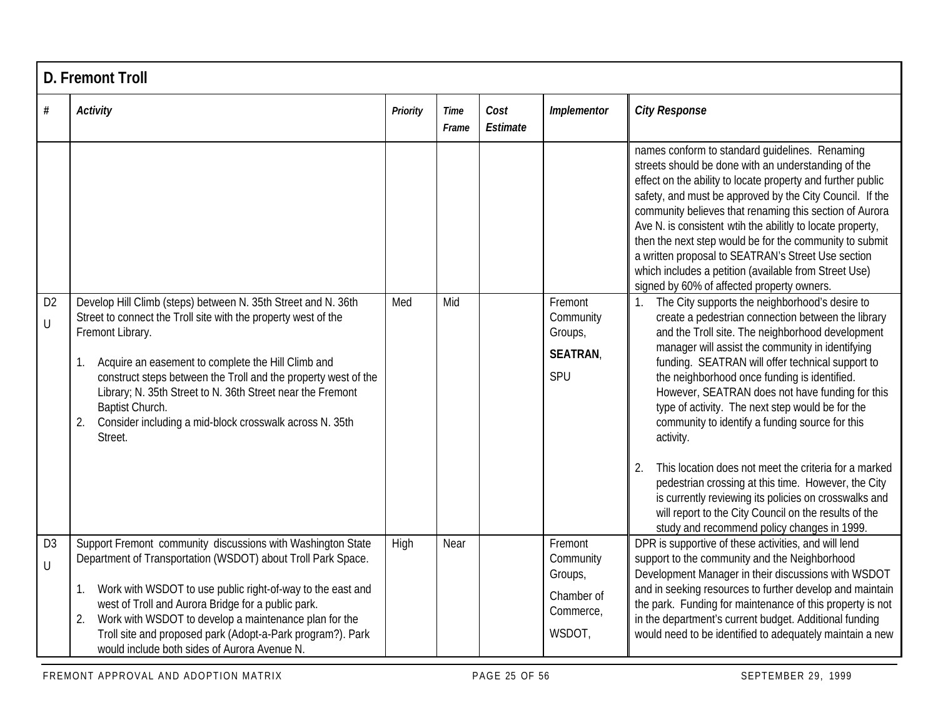|                     | <b>D. Fremont Troll</b>                                                                                                                                                                                                                                                                                                                                                                                                                        |          |                      |                  |                                                                      |                                                                                                                                                                                                                                                                                                                                                                                                                                                                                                                                                                                                                                                                        |  |  |  |  |  |
|---------------------|------------------------------------------------------------------------------------------------------------------------------------------------------------------------------------------------------------------------------------------------------------------------------------------------------------------------------------------------------------------------------------------------------------------------------------------------|----------|----------------------|------------------|----------------------------------------------------------------------|------------------------------------------------------------------------------------------------------------------------------------------------------------------------------------------------------------------------------------------------------------------------------------------------------------------------------------------------------------------------------------------------------------------------------------------------------------------------------------------------------------------------------------------------------------------------------------------------------------------------------------------------------------------------|--|--|--|--|--|
| $\#$                | <b>Activity</b>                                                                                                                                                                                                                                                                                                                                                                                                                                | Priority | <b>Time</b><br>Frame | Cost<br>Estimate | Implementor                                                          | <b>City Response</b>                                                                                                                                                                                                                                                                                                                                                                                                                                                                                                                                                                                                                                                   |  |  |  |  |  |
|                     |                                                                                                                                                                                                                                                                                                                                                                                                                                                |          |                      |                  |                                                                      | names conform to standard guidelines. Renaming<br>streets should be done with an understanding of the<br>effect on the ability to locate property and further public<br>safety, and must be approved by the City Council. If the<br>community believes that renaming this section of Aurora<br>Ave N. is consistent wtih the abilitly to locate property,<br>then the next step would be for the community to submit<br>a written proposal to SEATRAN's Street Use section<br>which includes a petition (available from Street Use)<br>signed by 60% of affected property owners.                                                                                      |  |  |  |  |  |
| D <sub>2</sub><br>U | Develop Hill Climb (steps) between N. 35th Street and N. 36th<br>Street to connect the Troll site with the property west of the<br>Fremont Library.<br>Acquire an easement to complete the Hill Climb and<br>1.<br>construct steps between the Troll and the property west of the<br>Library; N. 35th Street to N. 36th Street near the Fremont<br>Baptist Church.<br>Consider including a mid-block crosswalk across N. 35th<br>2.<br>Street. | Med      | Mid                  |                  | Fremont<br>Community<br>Groups,<br><b>SEATRAN</b><br>SPU             | The City supports the neighborhood's desire to<br>create a pedestrian connection between the library<br>and the Troll site. The neighborhood development<br>manager will assist the community in identifying<br>funding. SEATRAN will offer technical support to<br>the neighborhood once funding is identified.<br>However, SEATRAN does not have funding for this<br>type of activity. The next step would be for the<br>community to identify a funding source for this<br>activity.<br>This location does not meet the criteria for a marked<br>2.<br>pedestrian crossing at this time. However, the City<br>is currently reviewing its policies on crosswalks and |  |  |  |  |  |
|                     |                                                                                                                                                                                                                                                                                                                                                                                                                                                |          |                      |                  |                                                                      | will report to the City Council on the results of the<br>study and recommend policy changes in 1999.                                                                                                                                                                                                                                                                                                                                                                                                                                                                                                                                                                   |  |  |  |  |  |
| D <sub>3</sub><br>U | Support Fremont community discussions with Washington State<br>Department of Transportation (WSDOT) about Troll Park Space.<br>1. Work with WSDOT to use public right-of-way to the east and<br>west of Troll and Aurora Bridge for a public park.<br>Work with WSDOT to develop a maintenance plan for the<br>2.<br>Troll site and proposed park (Adopt-a-Park program?). Park<br>would include both sides of Aurora Avenue N.                | High     | Near                 |                  | Fremont<br>Community<br>Groups,<br>Chamber of<br>Commerce,<br>WSDOT, | DPR is supportive of these activities, and will lend<br>support to the community and the Neighborhood<br>Development Manager in their discussions with WSDOT<br>and in seeking resources to further develop and maintain<br>the park. Funding for maintenance of this property is not<br>in the department's current budget. Additional funding<br>would need to be identified to adequately maintain a new                                                                                                                                                                                                                                                            |  |  |  |  |  |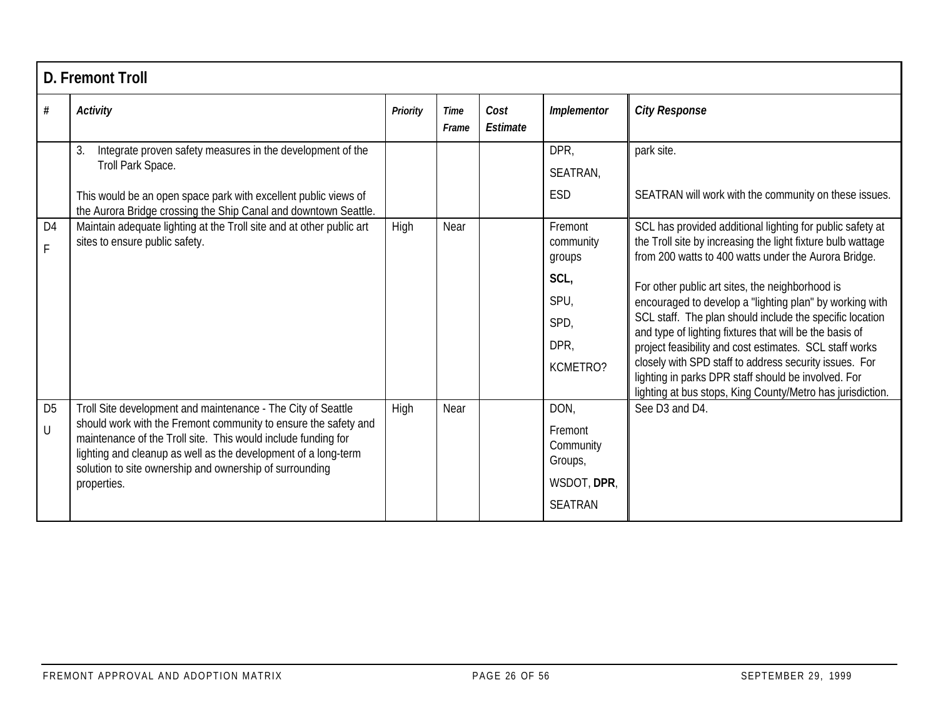|                          | <b>D. Fremont Troll</b>                                                                                                                                                                                                                                                                                                                      |                 |                      |                  |                                                                          |                                                                                                                                                                                                                                                                                                                                                                                                                                                                             |  |  |  |  |  |
|--------------------------|----------------------------------------------------------------------------------------------------------------------------------------------------------------------------------------------------------------------------------------------------------------------------------------------------------------------------------------------|-----------------|----------------------|------------------|--------------------------------------------------------------------------|-----------------------------------------------------------------------------------------------------------------------------------------------------------------------------------------------------------------------------------------------------------------------------------------------------------------------------------------------------------------------------------------------------------------------------------------------------------------------------|--|--|--|--|--|
| #                        | Activity                                                                                                                                                                                                                                                                                                                                     | <b>Priority</b> | <b>Time</b><br>Frame | Cost<br>Estimate | Implementor                                                              | <b>City Response</b>                                                                                                                                                                                                                                                                                                                                                                                                                                                        |  |  |  |  |  |
|                          | Integrate proven safety measures in the development of the<br>3.<br>Troll Park Space.                                                                                                                                                                                                                                                        |                 |                      |                  | DPR,<br>SEATRAN,                                                         | park site.                                                                                                                                                                                                                                                                                                                                                                                                                                                                  |  |  |  |  |  |
|                          | This would be an open space park with excellent public views of<br>the Aurora Bridge crossing the Ship Canal and downtown Seattle.                                                                                                                                                                                                           |                 |                      |                  | ESD                                                                      | SEATRAN will work with the community on these issues.                                                                                                                                                                                                                                                                                                                                                                                                                       |  |  |  |  |  |
| D <sub>4</sub><br>F.     | Maintain adequate lighting at the Troll site and at other public art<br>sites to ensure public safety.                                                                                                                                                                                                                                       | High            | Near                 |                  | Fremont<br>community<br>groups                                           | SCL has provided additional lighting for public safety at<br>the Troll site by increasing the light fixture bulb wattage<br>from 200 watts to 400 watts under the Aurora Bridge.                                                                                                                                                                                                                                                                                            |  |  |  |  |  |
|                          |                                                                                                                                                                                                                                                                                                                                              |                 |                      |                  | SCL,<br>SPU,<br>SPD,<br>DPR,<br>KCMETRO?                                 | For other public art sites, the neighborhood is<br>encouraged to develop a "lighting plan" by working with<br>SCL staff. The plan should include the specific location<br>and type of lighting fixtures that will be the basis of<br>project feasibility and cost estimates. SCL staff works<br>closely with SPD staff to address security issues. For<br>lighting in parks DPR staff should be involved. For<br>lighting at bus stops, King County/Metro has jurisdiction. |  |  |  |  |  |
| D <sub>5</sub><br>$\cup$ | Troll Site development and maintenance - The City of Seattle<br>should work with the Fremont community to ensure the safety and<br>maintenance of the Troll site. This would include funding for<br>lighting and cleanup as well as the development of a long-term<br>solution to site ownership and ownership of surrounding<br>properties. | High            | Near                 |                  | DON,<br>Fremont<br>Community<br>Groups,<br>WSDOT, DPR,<br><b>SEATRAN</b> | See D3 and D4.                                                                                                                                                                                                                                                                                                                                                                                                                                                              |  |  |  |  |  |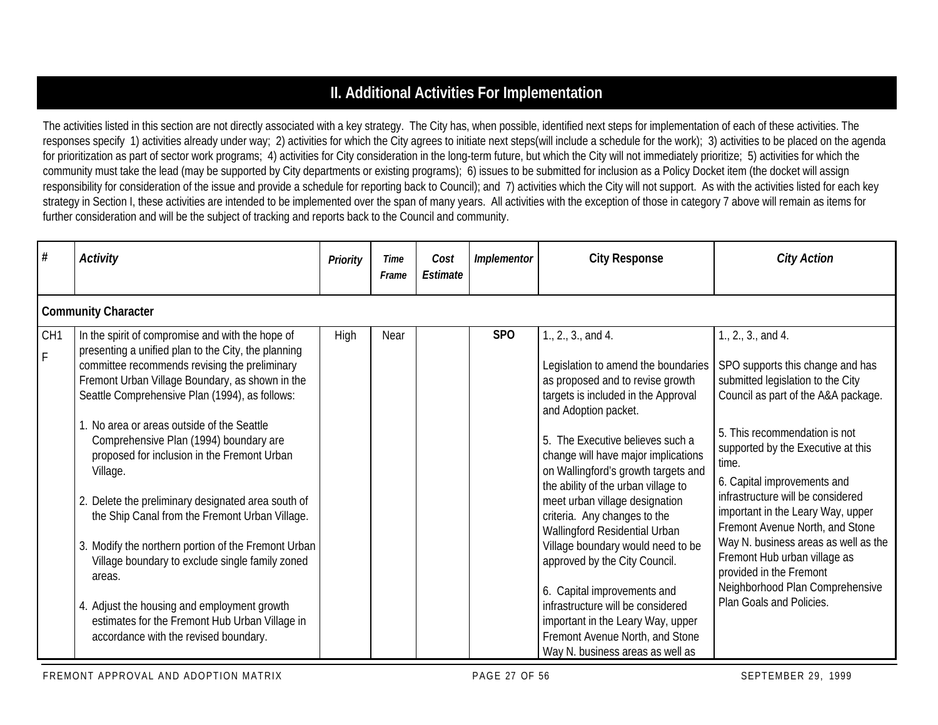# **II. Additional Activities For Implementation**

The activities listed in this section are not directly associated with a key strategy. The City has, when possible, identified next steps for implementation of each of these activities. The responses specify 1) activities already under way; 2) activities for which the City agrees to initiate next steps(will include a schedule for the work); 3) activities to be placed on the agenda for prioritization as part of sector work programs; 4) activities for City consideration in the long-term future, but which the City will not immediately prioritize; 5) activities for which the community must take the lead (may be supported by City departments or existing programs); 6) issues to be submitted for inclusion as a Policy Docket item (the docket will assign responsibility for consideration of the issue and provide a schedule for reporting back to Council); and 7) activities which the City will not support. As with the activities listed for each key strategy in Section I, these activities are intended to be implemented over the span of many years. All activities with the exception of those in category 7 above will remain as items for further consideration and will be the subject of tracking and reports back to the Council and community.

| #                    | Activity                                                                                                                                                                                                                                                                                                                                                                                                                                                                                                                                                                                                                                                                                                                                                                               | <b>Priority</b> | Time<br>Frame | Cost<br>Estimate | Implementor     | <b>City Response</b>                                                                                                                                                                                                                                                                                                                                                                                                                                                                                                                                                                                                                                                           | <b>City Action</b>                                                                                                                                                                                                                                                                                                                                                                                                                                                                                                               |  |  |  |  |  |  |
|----------------------|----------------------------------------------------------------------------------------------------------------------------------------------------------------------------------------------------------------------------------------------------------------------------------------------------------------------------------------------------------------------------------------------------------------------------------------------------------------------------------------------------------------------------------------------------------------------------------------------------------------------------------------------------------------------------------------------------------------------------------------------------------------------------------------|-----------------|---------------|------------------|-----------------|--------------------------------------------------------------------------------------------------------------------------------------------------------------------------------------------------------------------------------------------------------------------------------------------------------------------------------------------------------------------------------------------------------------------------------------------------------------------------------------------------------------------------------------------------------------------------------------------------------------------------------------------------------------------------------|----------------------------------------------------------------------------------------------------------------------------------------------------------------------------------------------------------------------------------------------------------------------------------------------------------------------------------------------------------------------------------------------------------------------------------------------------------------------------------------------------------------------------------|--|--|--|--|--|--|
|                      | <b>Community Character</b>                                                                                                                                                                                                                                                                                                                                                                                                                                                                                                                                                                                                                                                                                                                                                             |                 |               |                  |                 |                                                                                                                                                                                                                                                                                                                                                                                                                                                                                                                                                                                                                                                                                |                                                                                                                                                                                                                                                                                                                                                                                                                                                                                                                                  |  |  |  |  |  |  |
| CH <sub>1</sub><br>F | In the spirit of compromise and with the hope of<br>presenting a unified plan to the City, the planning<br>committee recommends revising the preliminary<br>Fremont Urban Village Boundary, as shown in the<br>Seattle Comprehensive Plan (1994), as follows:<br>1. No area or areas outside of the Seattle<br>Comprehensive Plan (1994) boundary are<br>proposed for inclusion in the Fremont Urban<br>Village.<br>2. Delete the preliminary designated area south of<br>the Ship Canal from the Fremont Urban Village.<br>3. Modify the northern portion of the Fremont Urban<br>Village boundary to exclude single family zoned<br>areas.<br>4. Adjust the housing and employment growth<br>estimates for the Fremont Hub Urban Village in<br>accordance with the revised boundary. | High            | Near          |                  | SP <sub>O</sub> | 1., 2., 3., and 4.<br>Legislation to amend the boundaries<br>as proposed and to revise growth<br>targets is included in the Approval<br>and Adoption packet.<br>5. The Executive believes such a<br>change will have major implications<br>on Wallingford's growth targets and<br>the ability of the urban village to<br>meet urban village designation<br>criteria. Any changes to the<br>Wallingford Residential Urban<br>Village boundary would need to be<br>approved by the City Council.<br>6. Capital improvements and<br>infrastructure will be considered<br>important in the Leary Way, upper<br>Fremont Avenue North, and Stone<br>Way N. business areas as well as | 1., 2., 3., and 4.<br>SPO supports this change and has<br>submitted legislation to the City<br>Council as part of the A&A package.<br>5. This recommendation is not<br>supported by the Executive at this<br>time.<br>6. Capital improvements and<br>infrastructure will be considered<br>important in the Leary Way, upper<br>Fremont Avenue North, and Stone<br>Way N. business areas as well as the<br>Fremont Hub urban village as<br>provided in the Fremont<br>Neighborhood Plan Comprehensive<br>Plan Goals and Policies. |  |  |  |  |  |  |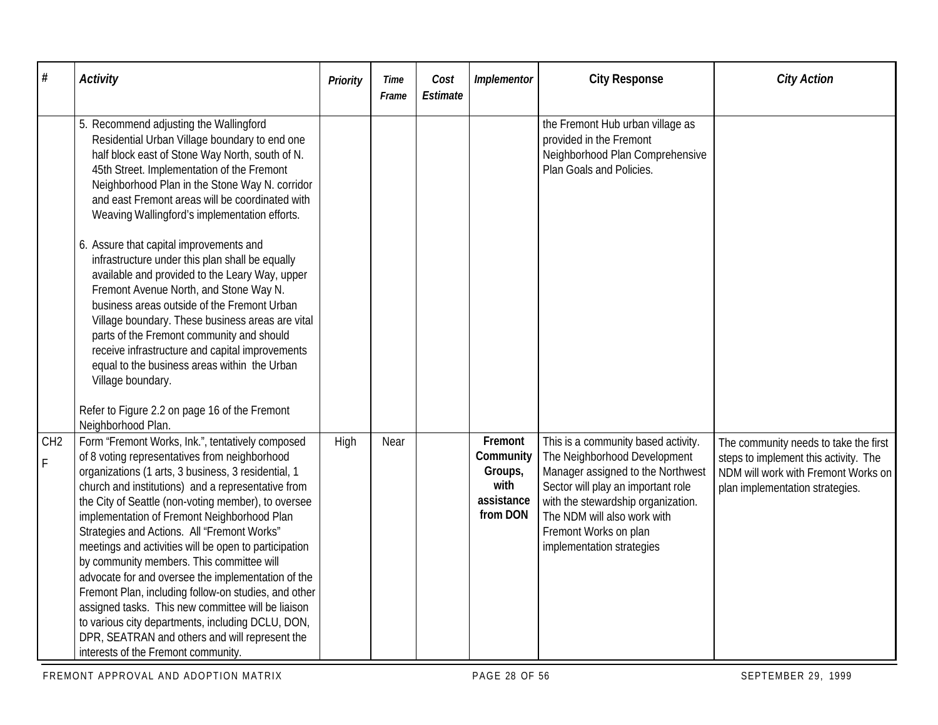| #                              | <b>Activity</b>                                                                                                                                                                                                                                                                                                                                                                                                                                                                                                                                                                                                                                                                                                                                                                                                                                                                         | Priority | Time<br>Frame | Cost<br>Estimate | Implementor                                                       | <b>City Response</b>                                                                                                                                                                                                                                                      | <b>City Action</b>                                                                                                                                       |
|--------------------------------|-----------------------------------------------------------------------------------------------------------------------------------------------------------------------------------------------------------------------------------------------------------------------------------------------------------------------------------------------------------------------------------------------------------------------------------------------------------------------------------------------------------------------------------------------------------------------------------------------------------------------------------------------------------------------------------------------------------------------------------------------------------------------------------------------------------------------------------------------------------------------------------------|----------|---------------|------------------|-------------------------------------------------------------------|---------------------------------------------------------------------------------------------------------------------------------------------------------------------------------------------------------------------------------------------------------------------------|----------------------------------------------------------------------------------------------------------------------------------------------------------|
|                                | 5. Recommend adjusting the Wallingford<br>Residential Urban Village boundary to end one<br>half block east of Stone Way North, south of N.<br>45th Street. Implementation of the Fremont<br>Neighborhood Plan in the Stone Way N. corridor<br>and east Fremont areas will be coordinated with<br>Weaving Wallingford's implementation efforts.<br>6. Assure that capital improvements and<br>infrastructure under this plan shall be equally<br>available and provided to the Leary Way, upper<br>Fremont Avenue North, and Stone Way N.<br>business areas outside of the Fremont Urban<br>Village boundary. These business areas are vital<br>parts of the Fremont community and should<br>receive infrastructure and capital improvements<br>equal to the business areas within the Urban<br>Village boundary.<br>Refer to Figure 2.2 on page 16 of the Fremont<br>Neighborhood Plan. |          |               |                  |                                                                   | the Fremont Hub urban village as<br>provided in the Fremont<br>Neighborhood Plan Comprehensive<br>Plan Goals and Policies.                                                                                                                                                |                                                                                                                                                          |
| CH <sub>2</sub><br>$\mathsf F$ | Form "Fremont Works, Ink.", tentatively composed<br>of 8 voting representatives from neighborhood<br>organizations (1 arts, 3 business, 3 residential, 1<br>church and institutions) and a representative from<br>the City of Seattle (non-voting member), to oversee<br>implementation of Fremont Neighborhood Plan<br>Strategies and Actions. All "Fremont Works"<br>meetings and activities will be open to participation<br>by community members. This committee will<br>advocate for and oversee the implementation of the<br>Fremont Plan, including follow-on studies, and other<br>assigned tasks. This new committee will be liaison<br>to various city departments, including DCLU, DON,<br>DPR, SEATRAN and others and will represent the<br>interests of the Fremont community.                                                                                             | High     | Near          |                  | Fremont<br>Community<br>Groups,<br>with<br>assistance<br>from DON | This is a community based activity.<br>The Neighborhood Development<br>Manager assigned to the Northwest<br>Sector will play an important role<br>with the stewardship organization.<br>The NDM will also work with<br>Fremont Works on plan<br>implementation strategies | The community needs to take the first<br>steps to implement this activity. The<br>NDM will work with Fremont Works on<br>plan implementation strategies. |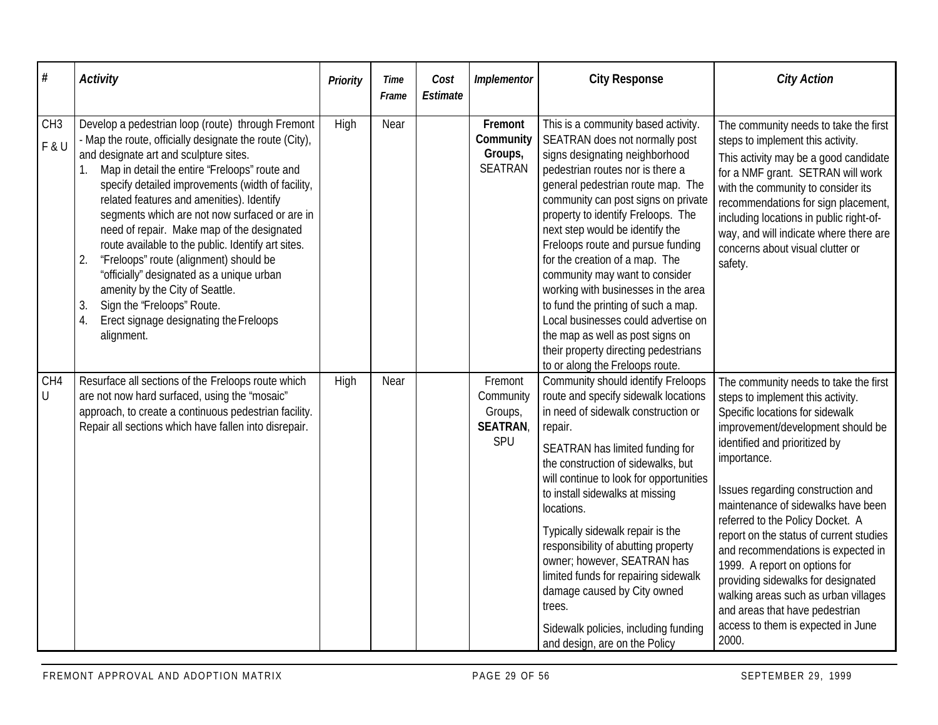| $\#$                     | <b>Activity</b>                                                                                                                                                                                                                                                                                                                                                                                                                                                                                                                                                                                                                                                                                        | <b>Priority</b> | Time<br>Frame | Cost<br>Estimate | Implementor                                              | <b>City Response</b>                                                                                                                                                                                                                                                                                                                                                                                                                                                                                                                                                                                                                          | <b>City Action</b>                                                                                                                                                                                                                                                                                                                                                                                                                                                                                                                                                                                 |
|--------------------------|--------------------------------------------------------------------------------------------------------------------------------------------------------------------------------------------------------------------------------------------------------------------------------------------------------------------------------------------------------------------------------------------------------------------------------------------------------------------------------------------------------------------------------------------------------------------------------------------------------------------------------------------------------------------------------------------------------|-----------------|---------------|------------------|----------------------------------------------------------|-----------------------------------------------------------------------------------------------------------------------------------------------------------------------------------------------------------------------------------------------------------------------------------------------------------------------------------------------------------------------------------------------------------------------------------------------------------------------------------------------------------------------------------------------------------------------------------------------------------------------------------------------|----------------------------------------------------------------------------------------------------------------------------------------------------------------------------------------------------------------------------------------------------------------------------------------------------------------------------------------------------------------------------------------------------------------------------------------------------------------------------------------------------------------------------------------------------------------------------------------------------|
| CH <sub>3</sub><br>F & U | Develop a pedestrian loop (route) through Fremont<br>- Map the route, officially designate the route (City),<br>and designate art and sculpture sites.<br>Map in detail the entire 'Freloops" route and<br>1.<br>specify detailed improvements (width of facility,<br>related features and amenities). Identify<br>segments which are not now surfaced or are in<br>need of repair. Make map of the designated<br>route available to the public. Identify art sites.<br>"Freloops" route (alignment) should be<br>2.<br>"officially" designated as a unique urban<br>amenity by the City of Seattle.<br>Sign the 'Freloops" Route.<br>3.<br>Erect signage designating the Freloops<br>4.<br>alignment. | High            | Near          |                  | Fremont<br>Community<br>Groups,<br><b>SEATRAN</b>        | This is a community based activity.<br>SEATRAN does not normally post<br>signs designating neighborhood<br>pedestrian routes nor is there a<br>general pedestrian route map. The<br>community can post signs on private<br>property to identify Freloops. The<br>next step would be identify the<br>Freloops route and pursue funding<br>for the creation of a map. The<br>community may want to consider<br>working with businesses in the area<br>to fund the printing of such a map.<br>Local businesses could advertise on<br>the map as well as post signs on<br>their property directing pedestrians<br>to or along the Freloops route. | The community needs to take the first<br>steps to implement this activity.<br>This activity may be a good candidate<br>for a NMF grant. SETRAN will work<br>with the community to consider its<br>recommendations for sign placement,<br>including locations in public right-of-<br>way, and will indicate where there are<br>concerns about visual clutter or<br>safety.                                                                                                                                                                                                                          |
| CH4<br>$\bigcup$         | Resurface all sections of the Freloops route which<br>are not now hard surfaced, using the "mosaic"<br>approach, to create a continuous pedestrian facility.<br>Repair all sections which have fallen into disrepair.                                                                                                                                                                                                                                                                                                                                                                                                                                                                                  | High            | Near          |                  | Fremont<br>Community<br>Groups,<br><b>SEATRAN</b><br>SPU | Community should identify Freloops<br>route and specify sidewalk locations<br>in need of sidewalk construction or<br>repair.<br>SEATRAN has limited funding for<br>the construction of sidewalks, but<br>will continue to look for opportunities<br>to install sidewalks at missing<br>locations.<br>Typically sidewalk repair is the<br>responsibility of abutting property<br>owner; however, SEATRAN has<br>limited funds for repairing sidewalk<br>damage caused by City owned<br>trees.<br>Sidewalk policies, including funding<br>and design, are on the Policy                                                                         | The community needs to take the first<br>steps to implement this activity.<br>Specific locations for sidewalk<br>improvement/development should be<br>identified and prioritized by<br>importance.<br>Issues regarding construction and<br>maintenance of sidewalks have been<br>referred to the Policy Docket. A<br>report on the status of current studies<br>and recommendations is expected in<br>1999. A report on options for<br>providing sidewalks for designated<br>walking areas such as urban villages<br>and areas that have pedestrian<br>access to them is expected in June<br>2000. |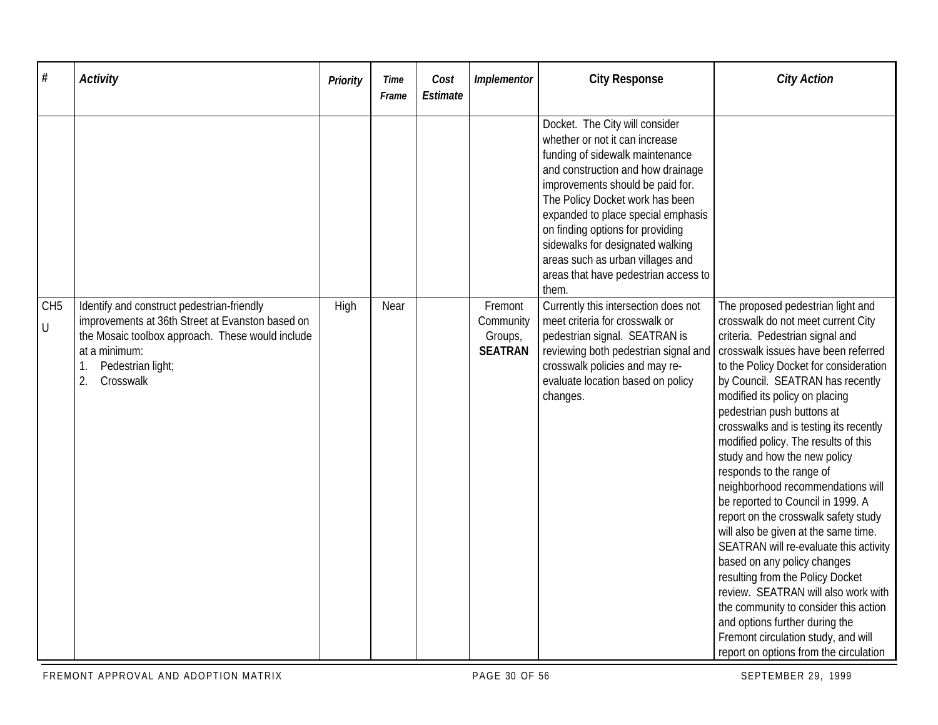| #                          | <b>Activity</b>                                                                                                                                                                                             | Priority | Time<br>Frame | Cost<br>Estimate | Implementor                                       | <b>City Response</b>                                                                                                                                                                                                                                                                                                                                                                                               | <b>City Action</b>                                                                                                                                                                                                                                                                                                                                                                                                                                                                                                                                                                                                                                                                                                                                                                                                                                                                                                      |
|----------------------------|-------------------------------------------------------------------------------------------------------------------------------------------------------------------------------------------------------------|----------|---------------|------------------|---------------------------------------------------|--------------------------------------------------------------------------------------------------------------------------------------------------------------------------------------------------------------------------------------------------------------------------------------------------------------------------------------------------------------------------------------------------------------------|-------------------------------------------------------------------------------------------------------------------------------------------------------------------------------------------------------------------------------------------------------------------------------------------------------------------------------------------------------------------------------------------------------------------------------------------------------------------------------------------------------------------------------------------------------------------------------------------------------------------------------------------------------------------------------------------------------------------------------------------------------------------------------------------------------------------------------------------------------------------------------------------------------------------------|
|                            |                                                                                                                                                                                                             |          |               |                  |                                                   | Docket. The City will consider<br>whether or not it can increase<br>funding of sidewalk maintenance<br>and construction and how drainage<br>improvements should be paid for.<br>The Policy Docket work has been<br>expanded to place special emphasis<br>on finding options for providing<br>sidewalks for designated walking<br>areas such as urban villages and<br>areas that have pedestrian access to<br>them. |                                                                                                                                                                                                                                                                                                                                                                                                                                                                                                                                                                                                                                                                                                                                                                                                                                                                                                                         |
| CH <sub>5</sub><br>$\sf U$ | Identify and construct pedestrian-friendly<br>improvements at 36th Street at Evanston based on<br>the Mosaic toolbox approach. These would include<br>at a minimum:<br>Pedestrian light;<br>2.<br>Crosswalk | High     | Near          |                  | Fremont<br>Community<br>Groups,<br><b>SEATRAN</b> | Currently this intersection does not<br>meet criteria for crosswalk or<br>pedestrian signal. SEATRAN is<br>reviewing both pedestrian signal and<br>crosswalk policies and may re-<br>evaluate location based on policy<br>changes.                                                                                                                                                                                 | The proposed pedestrian light and<br>crosswalk do not meet current City<br>criteria. Pedestrian signal and<br>crosswalk issues have been referred<br>to the Policy Docket for consideration<br>by Council. SEATRAN has recently<br>modified its policy on placing<br>pedestrian push buttons at<br>crosswalks and is testing its recently<br>modified policy. The results of this<br>study and how the new policy<br>responds to the range of<br>neighborhood recommendations will<br>be reported to Council in 1999. A<br>report on the crosswalk safety study<br>will also be given at the same time.<br>SEATRAN will re-evaluate this activity<br>based on any policy changes<br>resulting from the Policy Docket<br>review. SEATRAN will also work with<br>the community to consider this action<br>and options further during the<br>Fremont circulation study, and will<br>report on options from the circulation |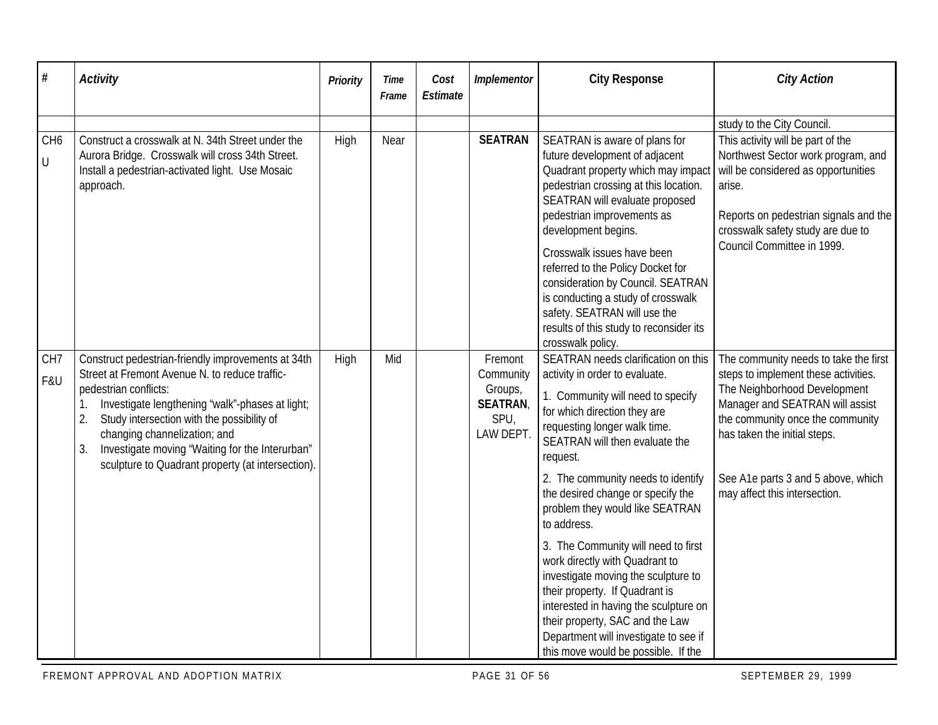| #                            | Activity                                                                                                                                                                                                                                                                                                                                                                                 | Priority | Time<br>Frame | Cost<br>Estimate | Implementor                                                            | <b>City Response</b>                                                                                                                                                                                                                                                                                                                                                                                                                                                                                                                                                                                                                                                | <b>City Action</b>                                                                                                                                                                                                                                                                          |
|------------------------------|------------------------------------------------------------------------------------------------------------------------------------------------------------------------------------------------------------------------------------------------------------------------------------------------------------------------------------------------------------------------------------------|----------|---------------|------------------|------------------------------------------------------------------------|---------------------------------------------------------------------------------------------------------------------------------------------------------------------------------------------------------------------------------------------------------------------------------------------------------------------------------------------------------------------------------------------------------------------------------------------------------------------------------------------------------------------------------------------------------------------------------------------------------------------------------------------------------------------|---------------------------------------------------------------------------------------------------------------------------------------------------------------------------------------------------------------------------------------------------------------------------------------------|
|                              |                                                                                                                                                                                                                                                                                                                                                                                          |          |               |                  |                                                                        |                                                                                                                                                                                                                                                                                                                                                                                                                                                                                                                                                                                                                                                                     | study to the City Council.                                                                                                                                                                                                                                                                  |
| CH <sub>6</sub><br>$\bigcup$ | Construct a crosswalk at N. 34th Street under the<br>Aurora Bridge. Crosswalk will cross 34th Street.<br>Install a pedestrian-activated light. Use Mosaic<br>approach.                                                                                                                                                                                                                   | High     | Near          |                  | <b>SEATRAN</b>                                                         | SEATRAN is aware of plans for<br>future development of adjacent<br>Quadrant property which may impact<br>pedestrian crossing at this location.<br>SEATRAN will evaluate proposed<br>pedestrian improvements as<br>development begins.<br>Crosswalk issues have been<br>referred to the Policy Docket for<br>consideration by Council. SEATRAN<br>is conducting a study of crosswalk<br>safety. SEATRAN will use the<br>results of this study to reconsider its<br>crosswalk policy.                                                                                                                                                                                 | This activity will be part of the<br>Northwest Sector work program, and<br>will be considered as opportunities<br>arise.<br>Reports on pedestrian signals and the<br>crosswalk safety study are due to<br>Council Committee in 1999.                                                        |
| CH <sub>7</sub><br>F&U       | Construct pedestrian-friendly improvements at 34th<br>Street at Fremont Avenue N. to reduce traffic-<br>pedestrian conflicts:<br>Investigate lengthening "walk"-phases at light;<br>1.<br>2.<br>Study intersection with the possibility of<br>changing channelization; and<br>Investigate moving 'Waiting for the Interurban"<br>3.<br>sculpture to Quadrant property (at intersection). | High     | Mid           |                  | Fremont<br>Community<br>Groups,<br><b>SEATRAN</b><br>SPU,<br>LAW DEPT. | SEATRAN needs clarification on this<br>activity in order to evaluate.<br>1. Community will need to specify<br>for which direction they are<br>requesting longer walk time.<br>SEATRAN will then evaluate the<br>request.<br>2. The community needs to identify<br>the desired change or specify the<br>problem they would like SEATRAN<br>to address.<br>3. The Community will need to first<br>work directly with Quadrant to<br>investigate moving the sculpture to<br>their property. If Quadrant is<br>interested in having the sculpture on<br>their property, SAC and the Law<br>Department will investigate to see if<br>this move would be possible. If the | The community needs to take the first<br>steps to implement these activities.<br>The Neighborhood Development<br>Manager and SEATRAN will assist<br>the community once the community<br>has taken the initial steps.<br>See A1e parts 3 and 5 above, which<br>may affect this intersection. |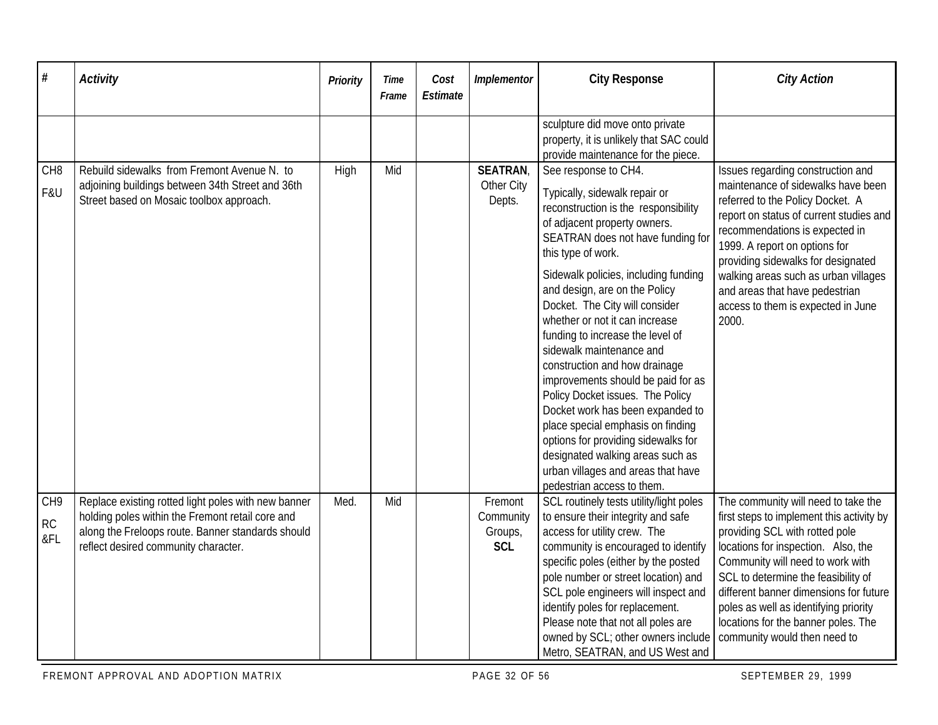| $\#$                   | <b>Activity</b>                                                                                                                                                                                      | Priority | Time<br>Frame | Cost<br>Estimate | Implementor                                   | <b>City Response</b>                                                                                                                                                                                                                                                                                                                                                                      | <b>City Action</b>                                                                                                                                                                                                                                                                                                                                                                             |
|------------------------|------------------------------------------------------------------------------------------------------------------------------------------------------------------------------------------------------|----------|---------------|------------------|-----------------------------------------------|-------------------------------------------------------------------------------------------------------------------------------------------------------------------------------------------------------------------------------------------------------------------------------------------------------------------------------------------------------------------------------------------|------------------------------------------------------------------------------------------------------------------------------------------------------------------------------------------------------------------------------------------------------------------------------------------------------------------------------------------------------------------------------------------------|
| CH <sub>8</sub><br>F&U | Rebuild sidewalks from Fremont Avenue N. to<br>adjoining buildings between 34th Street and 36th                                                                                                      | High     | Mid           |                  | <b>SEATRAN</b><br>Other City                  | sculpture did move onto private<br>property, it is unlikely that SAC could<br>provide maintenance for the piece.<br>See response to CH4.<br>Typically, sidewalk repair or                                                                                                                                                                                                                 | Issues regarding construction and<br>maintenance of sidewalks have been                                                                                                                                                                                                                                                                                                                        |
|                        | Street based on Mosaic toolbox approach.                                                                                                                                                             |          |               |                  | Depts.                                        | reconstruction is the responsibility<br>of adjacent property owners.<br>SEATRAN does not have funding for<br>this type of work.                                                                                                                                                                                                                                                           | referred to the Policy Docket. A<br>report on status of current studies and<br>recommendations is expected in<br>1999. A report on options for<br>providing sidewalks for designated                                                                                                                                                                                                           |
|                        |                                                                                                                                                                                                      |          |               |                  |                                               | Sidewalk policies, including funding<br>and design, are on the Policy<br>Docket. The City will consider<br>whether or not it can increase<br>funding to increase the level of                                                                                                                                                                                                             | walking areas such as urban villages<br>and areas that have pedestrian<br>access to them is expected in June<br>2000.                                                                                                                                                                                                                                                                          |
|                        |                                                                                                                                                                                                      |          |               |                  |                                               | sidewalk maintenance and<br>construction and how drainage<br>improvements should be paid for as<br>Policy Docket issues. The Policy<br>Docket work has been expanded to                                                                                                                                                                                                                   |                                                                                                                                                                                                                                                                                                                                                                                                |
|                        |                                                                                                                                                                                                      |          |               |                  |                                               | place special emphasis on finding<br>options for providing sidewalks for<br>designated walking areas such as<br>urban villages and areas that have<br>pedestrian access to them.                                                                                                                                                                                                          |                                                                                                                                                                                                                                                                                                                                                                                                |
| CH9<br>RC<br>&FL       | Replace existing rotted light poles with new banner<br>holding poles within the Fremont retail core and<br>along the Freloops route. Banner standards should<br>reflect desired community character. | Med.     | Mid           |                  | Fremont<br>Community<br>Groups,<br><b>SCL</b> | SCL routinely tests utility/light poles<br>to ensure their integrity and safe<br>access for utility crew. The<br>community is encouraged to identify<br>specific poles (either by the posted<br>pole number or street location) and<br>SCL pole engineers will inspect and<br>identify poles for replacement.<br>Please note that not all poles are<br>owned by SCL; other owners include | The community will need to take the<br>first steps to implement this activity by<br>providing SCL with rotted pole<br>locations for inspection. Also, the<br>Community will need to work with<br>SCL to determine the feasibility of<br>different banner dimensions for future<br>poles as well as identifying priority<br>locations for the banner poles. The<br>community would then need to |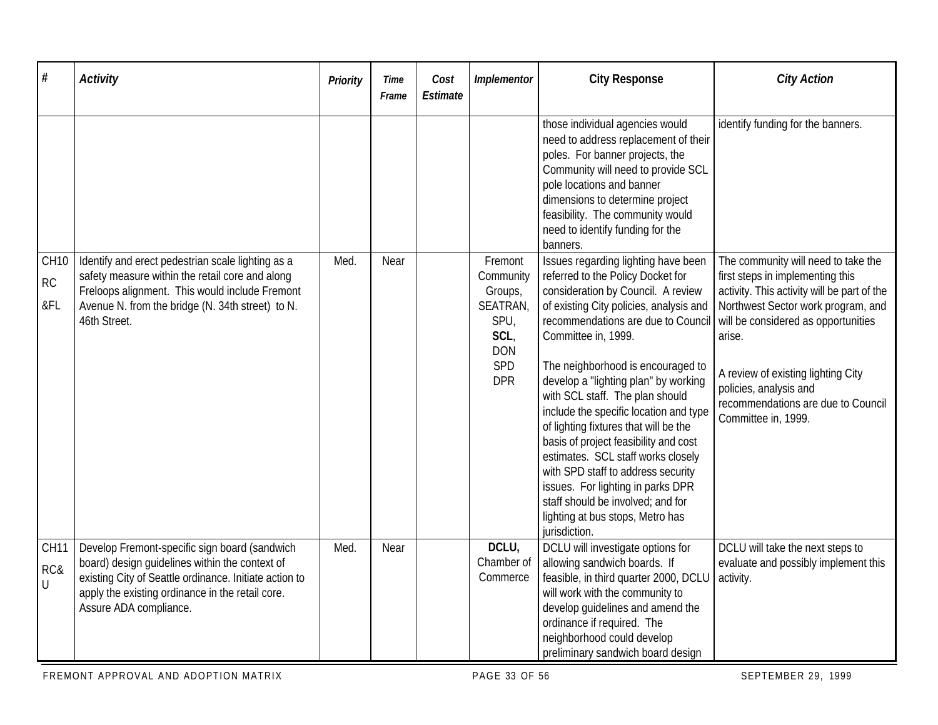| #                            | <b>Activity</b>                                                                                                                                                                                                                         | <b>Priority</b> | Time<br>Frame | Cost<br>Estimate | Implementor                                                                                    | <b>City Response</b>                                                                                                                                                                                                                                                                                                                                                                                                                                                                                                                                                                                                                                                          | <b>City Action</b>                                                                                                                                                                                                                                                                                                                         |
|------------------------------|-----------------------------------------------------------------------------------------------------------------------------------------------------------------------------------------------------------------------------------------|-----------------|---------------|------------------|------------------------------------------------------------------------------------------------|-------------------------------------------------------------------------------------------------------------------------------------------------------------------------------------------------------------------------------------------------------------------------------------------------------------------------------------------------------------------------------------------------------------------------------------------------------------------------------------------------------------------------------------------------------------------------------------------------------------------------------------------------------------------------------|--------------------------------------------------------------------------------------------------------------------------------------------------------------------------------------------------------------------------------------------------------------------------------------------------------------------------------------------|
|                              |                                                                                                                                                                                                                                         |                 |               |                  |                                                                                                | those individual agencies would<br>need to address replacement of their<br>poles. For banner projects, the<br>Community will need to provide SCL<br>pole locations and banner<br>dimensions to determine project<br>feasibility. The community would<br>need to identify funding for the<br>banners.                                                                                                                                                                                                                                                                                                                                                                          | identify funding for the banners.                                                                                                                                                                                                                                                                                                          |
| <b>CH10</b><br>RC<br>&FL     | Identify and erect pedestrian scale lighting as a<br>safety measure within the retail core and along<br>Freloops alignment. This would include Fremont<br>Avenue N. from the bridge (N. 34th street) to N.<br>46th Street.              | Med.            | Near          |                  | Fremont<br>Community<br>Groups,<br>SEATRAN,<br>SPU,<br>SCL,<br><b>DON</b><br>SPD<br><b>DPR</b> | Issues regarding lighting have been<br>referred to the Policy Docket for<br>consideration by Council. A review<br>of existing City policies, analysis and<br>recommendations are due to Council<br>Committee in, 1999.<br>The neighborhood is encouraged to<br>develop a "lighting plan" by working<br>with SCL staff. The plan should<br>include the specific location and type<br>of lighting fixtures that will be the<br>basis of project feasibility and cost<br>estimates. SCL staff works closely<br>with SPD staff to address security<br>issues. For lighting in parks DPR<br>staff should be involved; and for<br>lighting at bus stops, Metro has<br>jurisdiction. | The community will need to take the<br>first steps in implementing this<br>activity. This activity will be part of the<br>Northwest Sector work program, and<br>will be considered as opportunities<br>arise.<br>A review of existing lighting City<br>policies, analysis and<br>recommendations are due to Council<br>Committee in, 1999. |
| CH <sub>11</sub><br>RC&<br>U | Develop Fremont-specific sign board (sandwich<br>board) design guidelines within the context of<br>existing City of Seattle ordinance. Initiate action to<br>apply the existing ordinance in the retail core.<br>Assure ADA compliance. | Med.            | Near          |                  | DCLU,<br>Chamber of<br>Commerce                                                                | DCLU will investigate options for<br>allowing sandwich boards. If<br>feasible, in third quarter 2000, DCLU<br>will work with the community to<br>develop guidelines and amend the<br>ordinance if required. The<br>neighborhood could develop<br>preliminary sandwich board design                                                                                                                                                                                                                                                                                                                                                                                            | DCLU will take the next steps to<br>evaluate and possibly implement this<br>activity.                                                                                                                                                                                                                                                      |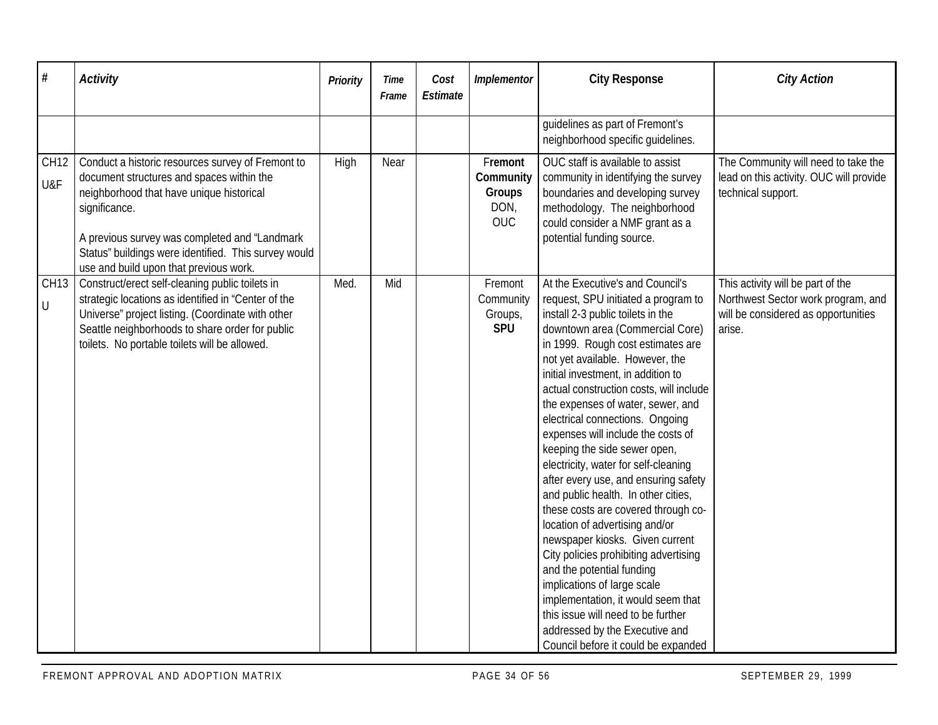| $\#$                   | <b>Activity</b>                                                                                                                                                                                                                                                                                                 | Priority | Time<br>Frame | Cost<br>Estimate | Implementor                                          | <b>City Response</b>                                                                                                                                                                                                                                                                                                                                                                                                                                                                                                                                                                                                                                                                                                                                                                                                                                                                                                                                | <b>City Action</b>                                                                                                       |
|------------------------|-----------------------------------------------------------------------------------------------------------------------------------------------------------------------------------------------------------------------------------------------------------------------------------------------------------------|----------|---------------|------------------|------------------------------------------------------|-----------------------------------------------------------------------------------------------------------------------------------------------------------------------------------------------------------------------------------------------------------------------------------------------------------------------------------------------------------------------------------------------------------------------------------------------------------------------------------------------------------------------------------------------------------------------------------------------------------------------------------------------------------------------------------------------------------------------------------------------------------------------------------------------------------------------------------------------------------------------------------------------------------------------------------------------------|--------------------------------------------------------------------------------------------------------------------------|
|                        |                                                                                                                                                                                                                                                                                                                 |          |               |                  |                                                      | guidelines as part of Fremont's<br>neighborhood specific quidelines.                                                                                                                                                                                                                                                                                                                                                                                                                                                                                                                                                                                                                                                                                                                                                                                                                                                                                |                                                                                                                          |
| <b>CH12</b><br>U&F     | Conduct a historic resources survey of Fremont to<br>document structures and spaces within the<br>neighborhood that have unique historical<br>significance.<br>A previous survey was completed and "Landmark"<br>Status" buildings were identified. This survey would<br>use and build upon that previous work. | High     | Near          |                  | Fremont<br>Community<br>Groups<br>DON,<br><b>OUC</b> | OUC staff is available to assist<br>community in identifying the survey<br>boundaries and developing survey<br>methodology. The neighborhood<br>could consider a NMF grant as a<br>potential funding source.                                                                                                                                                                                                                                                                                                                                                                                                                                                                                                                                                                                                                                                                                                                                        | The Community will need to take the<br>lead on this activity. OUC will provide<br>technical support.                     |
| CH13<br>$\overline{U}$ | Construct/erect self-cleaning public toilets in<br>strategic locations as identified in "Center of the<br>Universe" project listing. (Coordinate with other<br>Seattle neighborhoods to share order for public<br>toilets. No portable toilets will be allowed.                                                 | Med.     | Mid           |                  | Fremont<br>Community<br>Groups,<br><b>SPU</b>        | At the Executive's and Council's<br>request, SPU initiated a program to<br>install 2-3 public toilets in the<br>downtown area (Commercial Core)<br>in 1999. Rough cost estimates are<br>not yet available. However, the<br>initial investment, in addition to<br>actual construction costs, will include<br>the expenses of water, sewer, and<br>electrical connections. Ongoing<br>expenses will include the costs of<br>keeping the side sewer open,<br>electricity, water for self-cleaning<br>after every use, and ensuring safety<br>and public health. In other cities,<br>these costs are covered through co-<br>location of advertising and/or<br>newspaper kiosks. Given current<br>City policies prohibiting advertising<br>and the potential funding<br>implications of large scale<br>implementation, it would seem that<br>this issue will need to be further<br>addressed by the Executive and<br>Council before it could be expanded | This activity will be part of the<br>Northwest Sector work program, and<br>will be considered as opportunities<br>arise. |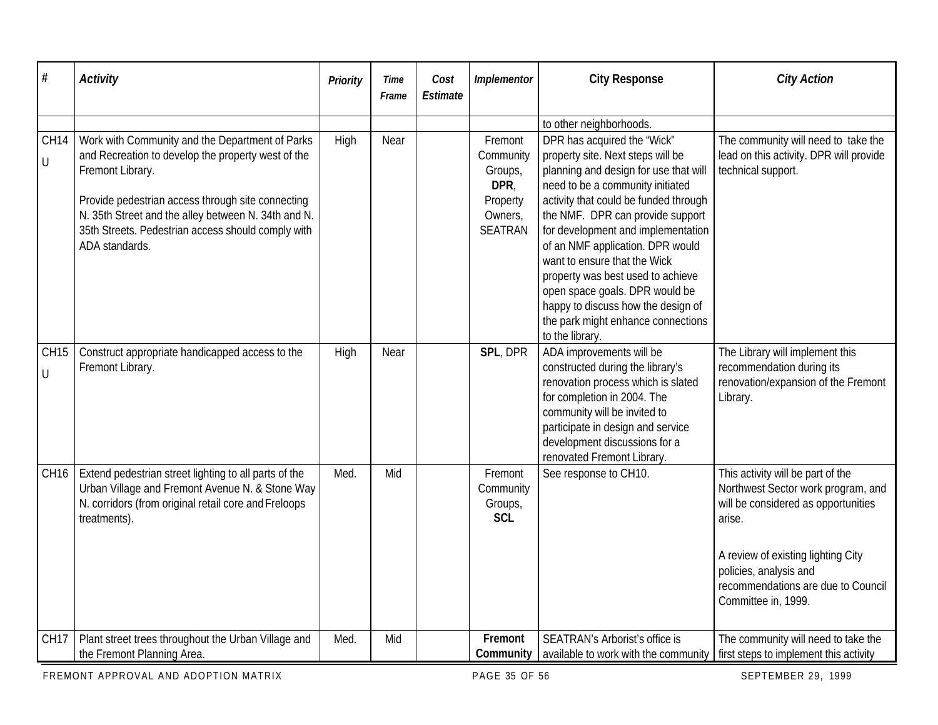| $\#$                             | <b>Activity</b>                                                                                                                                                                                                                                                                                               | Priority | Time<br>Frame | Cost<br>Estimate | Implementor                                                               | <b>City Response</b>                                                                                                                                                                                                                                                                                                                                                                                                                                                                                       | <b>City Action</b>                                                                                                                                                                                                                                    |
|----------------------------------|---------------------------------------------------------------------------------------------------------------------------------------------------------------------------------------------------------------------------------------------------------------------------------------------------------------|----------|---------------|------------------|---------------------------------------------------------------------------|------------------------------------------------------------------------------------------------------------------------------------------------------------------------------------------------------------------------------------------------------------------------------------------------------------------------------------------------------------------------------------------------------------------------------------------------------------------------------------------------------------|-------------------------------------------------------------------------------------------------------------------------------------------------------------------------------------------------------------------------------------------------------|
|                                  |                                                                                                                                                                                                                                                                                                               |          |               |                  |                                                                           | to other neighborhoods.                                                                                                                                                                                                                                                                                                                                                                                                                                                                                    |                                                                                                                                                                                                                                                       |
| <b>CH14</b><br>$\overline{\cup}$ | Work with Community and the Department of Parks<br>and Recreation to develop the property west of the<br>Fremont Library.<br>Provide pedestrian access through site connecting<br>N. 35th Street and the alley between N. 34th and N.<br>35th Streets. Pedestrian access should comply with<br>ADA standards. | High     | Near          |                  | Fremont<br>Community<br>Groups,<br>DPR,<br>Property<br>Owners,<br>SEATRAN | DPR has acquired the 'Wick"<br>property site. Next steps will be<br>planning and design for use that will<br>need to be a community initiated<br>activity that could be funded through<br>the NMF. DPR can provide support<br>for development and implementation<br>of an NMF application. DPR would<br>want to ensure that the Wick<br>property was best used to achieve<br>open space goals. DPR would be<br>happy to discuss how the design of<br>the park might enhance connections<br>to the library. | The community will need to take the<br>lead on this activity. DPR will provide<br>technical support.                                                                                                                                                  |
| CH <sub>15</sub><br>$\cup$       | Construct appropriate handicapped access to the<br>Fremont Library.                                                                                                                                                                                                                                           | High     | Near          |                  | SPL, DPR                                                                  | ADA improvements will be<br>constructed during the library's<br>renovation process which is slated<br>for completion in 2004. The<br>community will be invited to<br>participate in design and service<br>development discussions for a<br>renovated Fremont Library.                                                                                                                                                                                                                                      | The Library will implement this<br>recommendation during its<br>renovation/expansion of the Fremont<br>Library.                                                                                                                                       |
| CH <sub>16</sub>                 | Extend pedestrian street lighting to all parts of the<br>Urban Village and Fremont Avenue N. & Stone Way<br>N. corridors (from original retail core and Freloops<br>treatments).                                                                                                                              | Med.     | Mid           |                  | Fremont<br>Community<br>Groups,<br><b>SCL</b>                             | See response to CH10.                                                                                                                                                                                                                                                                                                                                                                                                                                                                                      | This activity will be part of the<br>Northwest Sector work program, and<br>will be considered as opportunities<br>arise.<br>A review of existing lighting City<br>policies, analysis and<br>recommendations are due to Council<br>Committee in, 1999. |
| CH <sub>17</sub>                 | Plant street trees throughout the Urban Village and<br>the Fremont Planning Area.                                                                                                                                                                                                                             | Med.     | Mid           |                  | Fremont<br>Community                                                      | SEATRAN's Arborist's office is<br>available to work with the community   first steps to implement this activity                                                                                                                                                                                                                                                                                                                                                                                            | The community will need to take the                                                                                                                                                                                                                   |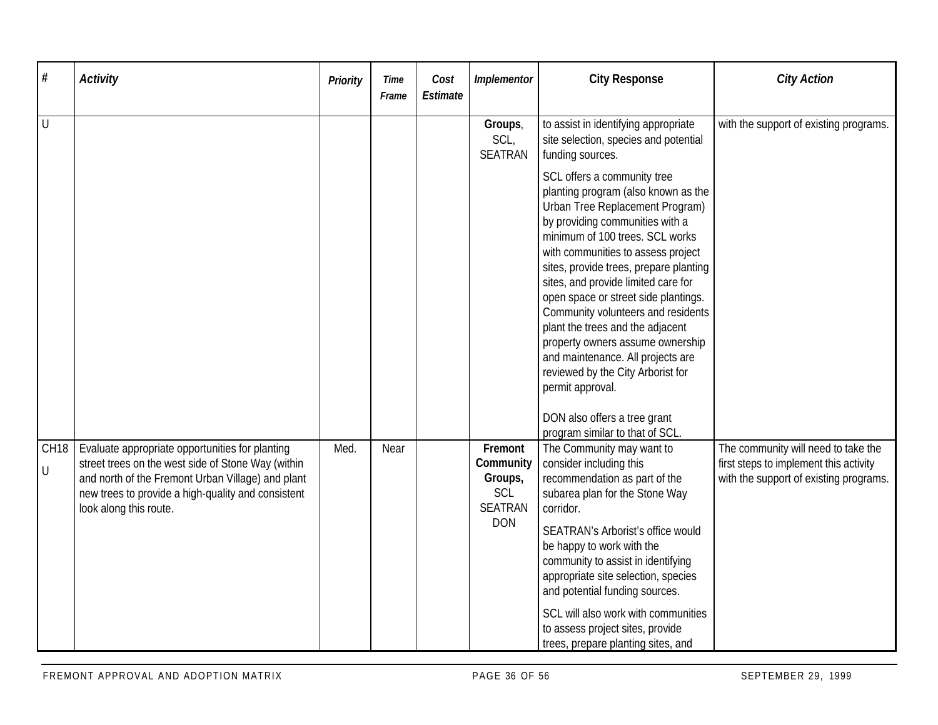| #                          | <b>Activity</b>                                                                                                                                                                                                                            | Priority | Time<br>Frame | Cost<br>Estimate | Implementor                                                            | <b>City Response</b>                                                                                                                                                                                                                                                                                                                                                                                                                                                                                                                                                                                                      | <b>City Action</b>                                                                                                      |
|----------------------------|--------------------------------------------------------------------------------------------------------------------------------------------------------------------------------------------------------------------------------------------|----------|---------------|------------------|------------------------------------------------------------------------|---------------------------------------------------------------------------------------------------------------------------------------------------------------------------------------------------------------------------------------------------------------------------------------------------------------------------------------------------------------------------------------------------------------------------------------------------------------------------------------------------------------------------------------------------------------------------------------------------------------------------|-------------------------------------------------------------------------------------------------------------------------|
| I U                        |                                                                                                                                                                                                                                            |          |               |                  | Groups,<br>SCL,<br><b>SEATRAN</b>                                      | to assist in identifying appropriate<br>site selection, species and potential<br>funding sources.                                                                                                                                                                                                                                                                                                                                                                                                                                                                                                                         | with the support of existing programs.                                                                                  |
|                            |                                                                                                                                                                                                                                            |          |               |                  |                                                                        | SCL offers a community tree<br>planting program (also known as the<br>Urban Tree Replacement Program)<br>by providing communities with a<br>minimum of 100 trees. SCL works<br>with communities to assess project<br>sites, provide trees, prepare planting<br>sites, and provide limited care for<br>open space or street side plantings.<br>Community volunteers and residents<br>plant the trees and the adjacent<br>property owners assume ownership<br>and maintenance. All projects are<br>reviewed by the City Arborist for<br>permit approval.<br>DON also offers a tree grant<br>program similar to that of SCL. |                                                                                                                         |
| CH <sub>18</sub><br>$\cup$ | Evaluate appropriate opportunities for planting<br>street trees on the west side of Stone Way (within<br>and north of the Fremont Urban Village) and plant<br>new trees to provide a high-quality and consistent<br>look along this route. | Med.     | Near          |                  | Fremont<br>Community<br>Groups,<br>SCL<br><b>SEATRAN</b><br><b>DON</b> | The Community may want to<br>consider including this<br>recommendation as part of the<br>subarea plan for the Stone Way<br>corridor.<br>SEATRAN's Arborist's office would<br>be happy to work with the<br>community to assist in identifying<br>appropriate site selection, species<br>and potential funding sources.<br>SCL will also work with communities<br>to assess project sites, provide<br>trees, prepare planting sites, and                                                                                                                                                                                    | The community will need to take the<br>first steps to implement this activity<br>with the support of existing programs. |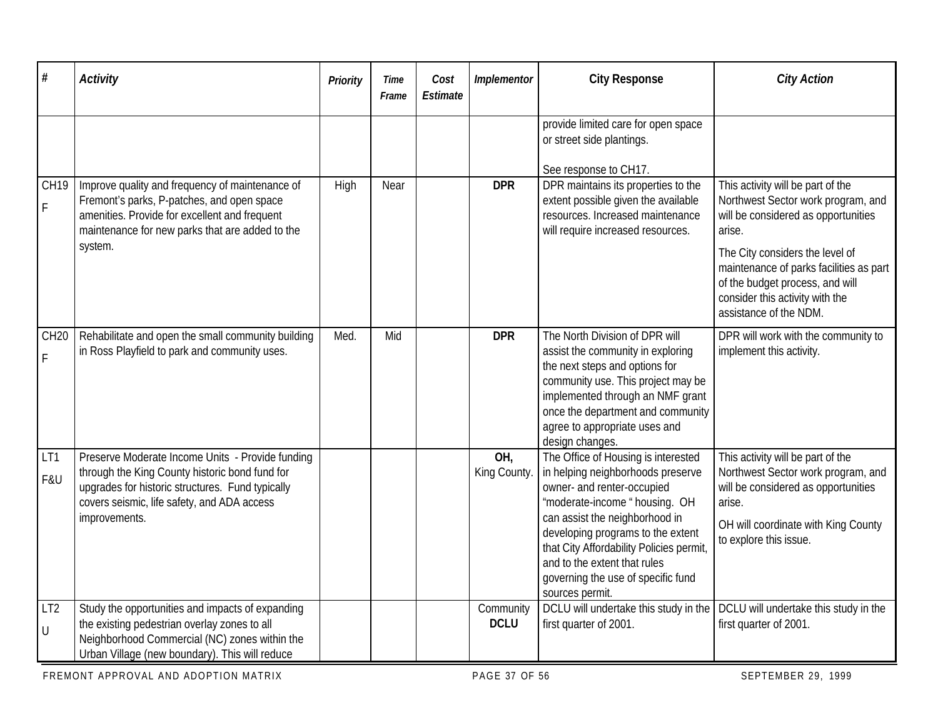| #                                    | <b>Activity</b>                                                                                                                                                                                                        | Priority | <b>Time</b><br>Frame | Cost<br><b>Estimate</b> | Implementor              | <b>City Response</b>                                                                                                                                                                                                                                                                                                                                | <b>City Action</b>                                                                                                                                                                                                                                                                                     |
|--------------------------------------|------------------------------------------------------------------------------------------------------------------------------------------------------------------------------------------------------------------------|----------|----------------------|-------------------------|--------------------------|-----------------------------------------------------------------------------------------------------------------------------------------------------------------------------------------------------------------------------------------------------------------------------------------------------------------------------------------------------|--------------------------------------------------------------------------------------------------------------------------------------------------------------------------------------------------------------------------------------------------------------------------------------------------------|
|                                      |                                                                                                                                                                                                                        |          |                      |                         |                          | provide limited care for open space<br>or street side plantings.<br>See response to CH17.                                                                                                                                                                                                                                                           |                                                                                                                                                                                                                                                                                                        |
| CH <sub>19</sub><br>$\mathsf F$      | Improve quality and frequency of maintenance of<br>Fremont's parks, P-patches, and open space<br>amenities. Provide for excellent and frequent<br>maintenance for new parks that are added to the<br>system.           | High     | Near                 |                         | <b>DPR</b>               | DPR maintains its properties to the<br>extent possible given the available<br>resources. Increased maintenance<br>will require increased resources.                                                                                                                                                                                                 | This activity will be part of the<br>Northwest Sector work program, and<br>will be considered as opportunities<br>arise.<br>The City considers the level of<br>maintenance of parks facilities as part<br>of the budget process, and will<br>consider this activity with the<br>assistance of the NDM. |
| CH <sub>20</sub><br>F                | Rehabilitate and open the small community building<br>in Ross Playfield to park and community uses.                                                                                                                    | Med.     | Mid                  |                         | <b>DPR</b>               | The North Division of DPR will<br>assist the community in exploring<br>the next steps and options for<br>community use. This project may be<br>implemented through an NMF grant<br>once the department and community<br>agree to appropriate uses and<br>design changes.                                                                            | DPR will work with the community to<br>implement this activity.                                                                                                                                                                                                                                        |
| LT1<br>F&U                           | Preserve Moderate Income Units - Provide funding<br>through the King County historic bond fund for<br>upgrades for historic structures. Fund typically<br>covers seismic, life safety, and ADA access<br>improvements. |          |                      |                         | OH,<br>King County.      | The Office of Housing is interested<br>in helping neighborhoods preserve<br>owner- and renter-occupied<br>'moderate-income "housing. OH<br>can assist the neighborhood in<br>developing programs to the extent<br>that City Affordability Policies permit,<br>and to the extent that rules<br>governing the use of specific fund<br>sources permit. | This activity will be part of the<br>Northwest Sector work program, and<br>will be considered as opportunities<br>arise.<br>OH will coordinate with King County<br>to explore this issue.                                                                                                              |
| LT <sub>2</sub><br>$\overline{\cup}$ | Study the opportunities and impacts of expanding<br>the existing pedestrian overlay zones to all<br>Neighborhood Commercial (NC) zones within the<br>Urban Village (new boundary). This will reduce                    |          |                      |                         | Community<br><b>DCLU</b> | DCLU will undertake this study in the<br>first quarter of 2001.                                                                                                                                                                                                                                                                                     | DCLU will undertake this study in the<br>first quarter of 2001.                                                                                                                                                                                                                                        |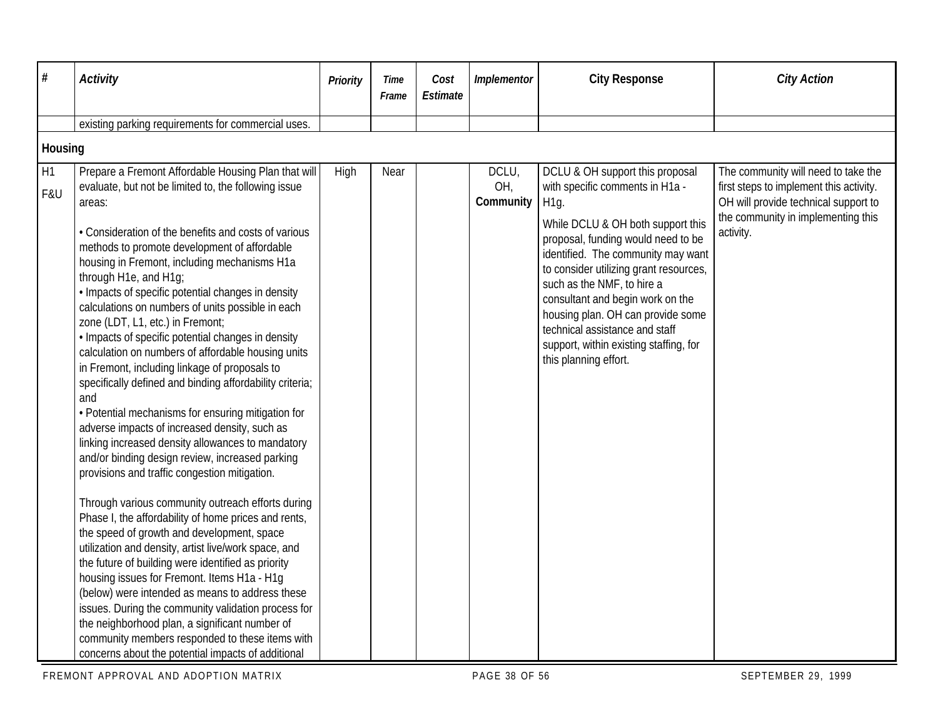| $\#$      | <b>Activity</b>                                                                                                                                                                                                                                                                                                                                                                                                                                                                                                                                                                                                                                                                                                                                                                                                                                                                                                                                                                                                                                                                                                                                                                                                                                                                                                                                                                                                                                                                                                                                    | Priority | Time<br>Frame | Cost<br>Estimate | Implementor               | <b>City Response</b>                                                                                                                                                                                                                                                                                                                                                                                                                                         | <b>City Action</b>                                                                                                                                                        |
|-----------|----------------------------------------------------------------------------------------------------------------------------------------------------------------------------------------------------------------------------------------------------------------------------------------------------------------------------------------------------------------------------------------------------------------------------------------------------------------------------------------------------------------------------------------------------------------------------------------------------------------------------------------------------------------------------------------------------------------------------------------------------------------------------------------------------------------------------------------------------------------------------------------------------------------------------------------------------------------------------------------------------------------------------------------------------------------------------------------------------------------------------------------------------------------------------------------------------------------------------------------------------------------------------------------------------------------------------------------------------------------------------------------------------------------------------------------------------------------------------------------------------------------------------------------------------|----------|---------------|------------------|---------------------------|--------------------------------------------------------------------------------------------------------------------------------------------------------------------------------------------------------------------------------------------------------------------------------------------------------------------------------------------------------------------------------------------------------------------------------------------------------------|---------------------------------------------------------------------------------------------------------------------------------------------------------------------------|
|           |                                                                                                                                                                                                                                                                                                                                                                                                                                                                                                                                                                                                                                                                                                                                                                                                                                                                                                                                                                                                                                                                                                                                                                                                                                                                                                                                                                                                                                                                                                                                                    |          |               |                  |                           |                                                                                                                                                                                                                                                                                                                                                                                                                                                              |                                                                                                                                                                           |
|           | existing parking requirements for commercial uses.                                                                                                                                                                                                                                                                                                                                                                                                                                                                                                                                                                                                                                                                                                                                                                                                                                                                                                                                                                                                                                                                                                                                                                                                                                                                                                                                                                                                                                                                                                 |          |               |                  |                           |                                                                                                                                                                                                                                                                                                                                                                                                                                                              |                                                                                                                                                                           |
| Housing   |                                                                                                                                                                                                                                                                                                                                                                                                                                                                                                                                                                                                                                                                                                                                                                                                                                                                                                                                                                                                                                                                                                                                                                                                                                                                                                                                                                                                                                                                                                                                                    |          |               |                  |                           |                                                                                                                                                                                                                                                                                                                                                                                                                                                              |                                                                                                                                                                           |
| H1<br>F&U | Prepare a Fremont Affordable Housing Plan that will<br>evaluate, but not be limited to, the following issue<br>areas:<br>• Consideration of the benefits and costs of various<br>methods to promote development of affordable<br>housing in Fremont, including mechanisms H1a<br>through H1e, and H1g;<br>· Impacts of specific potential changes in density<br>calculations on numbers of units possible in each<br>zone (LDT, L1, etc.) in Fremont;<br>· Impacts of specific potential changes in density<br>calculation on numbers of affordable housing units<br>in Fremont, including linkage of proposals to<br>specifically defined and binding affordability criteria;<br>and<br>• Potential mechanisms for ensuring mitigation for<br>adverse impacts of increased density, such as<br>linking increased density allowances to mandatory<br>and/or binding design review, increased parking<br>provisions and traffic congestion mitigation.<br>Through various community outreach efforts during<br>Phase I, the affordability of home prices and rents,<br>the speed of growth and development, space<br>utilization and density, artist live/work space, and<br>the future of building were identified as priority<br>housing issues for Fremont. Items H1a - H1g<br>(below) were intended as means to address these<br>issues. During the community validation process for<br>the neighborhood plan, a significant number of<br>community members responded to these items with<br>concerns about the potential impacts of additional | High     | Near          |                  | DCLU,<br>OH,<br>Community | DCLU & OH support this proposal<br>with specific comments in H1a -<br>H <sub>1g</sub><br>While DCLU & OH both support this<br>proposal, funding would need to be<br>identified. The community may want<br>to consider utilizing grant resources,<br>such as the NMF, to hire a<br>consultant and begin work on the<br>housing plan. OH can provide some<br>technical assistance and staff<br>support, within existing staffing, for<br>this planning effort. | The community will need to take the<br>first steps to implement this activity.<br>OH will provide technical support to<br>the community in implementing this<br>activity. |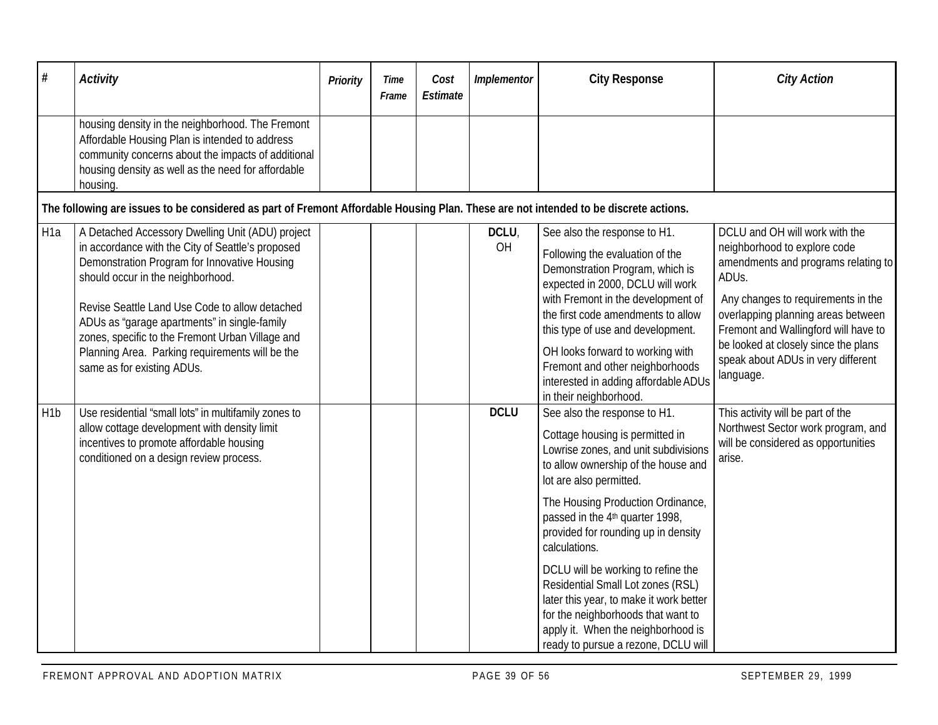| $\#$             | <b>Activity</b>                                                                                                                                                                                                                                                                                                                                                                                                                   | <b>Priority</b> | Time<br>Frame | Cost<br>Estimate | Implementor | <b>City Response</b>                                                                                                                                                                                                                                                                                                                                                                                                                                                                                                                                           | <b>City Action</b>                                                                                                                                                                                                                                                                                                            |  |  |  |  |  |
|------------------|-----------------------------------------------------------------------------------------------------------------------------------------------------------------------------------------------------------------------------------------------------------------------------------------------------------------------------------------------------------------------------------------------------------------------------------|-----------------|---------------|------------------|-------------|----------------------------------------------------------------------------------------------------------------------------------------------------------------------------------------------------------------------------------------------------------------------------------------------------------------------------------------------------------------------------------------------------------------------------------------------------------------------------------------------------------------------------------------------------------------|-------------------------------------------------------------------------------------------------------------------------------------------------------------------------------------------------------------------------------------------------------------------------------------------------------------------------------|--|--|--|--|--|
|                  | housing density in the neighborhood. The Fremont<br>Affordable Housing Plan is intended to address<br>community concerns about the impacts of additional<br>housing density as well as the need for affordable<br>housing.                                                                                                                                                                                                        |                 |               |                  |             |                                                                                                                                                                                                                                                                                                                                                                                                                                                                                                                                                                |                                                                                                                                                                                                                                                                                                                               |  |  |  |  |  |
|                  | The following are issues to be considered as part of Fremont Affordable Housing Plan. These are not intended to be discrete actions.                                                                                                                                                                                                                                                                                              |                 |               |                  |             |                                                                                                                                                                                                                                                                                                                                                                                                                                                                                                                                                                |                                                                                                                                                                                                                                                                                                                               |  |  |  |  |  |
| H <sub>1a</sub>  | A Detached Accessory Dwelling Unit (ADU) project<br>in accordance with the City of Seattle's proposed<br>Demonstration Program for Innovative Housing<br>should occur in the neighborhood.<br>Revise Seattle Land Use Code to allow detached<br>ADUs as "garage apartments" in single-family<br>zones, specific to the Fremont Urban Village and<br>Planning Area. Parking requirements will be the<br>same as for existing ADUs. |                 |               |                  | DCLU,<br>OH | See also the response to H1.<br>Following the evaluation of the<br>Demonstration Program, which is<br>expected in 2000, DCLU will work<br>with Fremont in the development of<br>the first code amendments to allow<br>this type of use and development.<br>OH looks forward to working with<br>Fremont and other neighborhoods<br>interested in adding affordable ADUs<br>in their neighborhood.                                                                                                                                                               | DCLU and OH will work with the<br>neighborhood to explore code<br>amendments and programs relating to<br>ADUs.<br>Any changes to requirements in the<br>overlapping planning areas between<br>Fremont and Wallingford will have to<br>be looked at closely since the plans<br>speak about ADUs in very different<br>language. |  |  |  |  |  |
| H <sub>1</sub> p | Use residential "small lots" in multifamily zones to<br>allow cottage development with density limit<br>incentives to promote affordable housing<br>conditioned on a design review process.                                                                                                                                                                                                                                       |                 |               |                  | <b>DCLU</b> | See also the response to H1.<br>Cottage housing is permitted in<br>Lowrise zones, and unit subdivisions<br>to allow ownership of the house and<br>lot are also permitted.<br>The Housing Production Ordinance,<br>passed in the 4 <sup>th</sup> quarter 1998,<br>provided for rounding up in density<br>calculations.<br>DCLU will be working to refine the<br>Residential Small Lot zones (RSL)<br>later this year, to make it work better<br>for the neighborhoods that want to<br>apply it. When the neighborhood is<br>ready to pursue a rezone, DCLU will | This activity will be part of the<br>Northwest Sector work program, and<br>will be considered as opportunities<br>arise.                                                                                                                                                                                                      |  |  |  |  |  |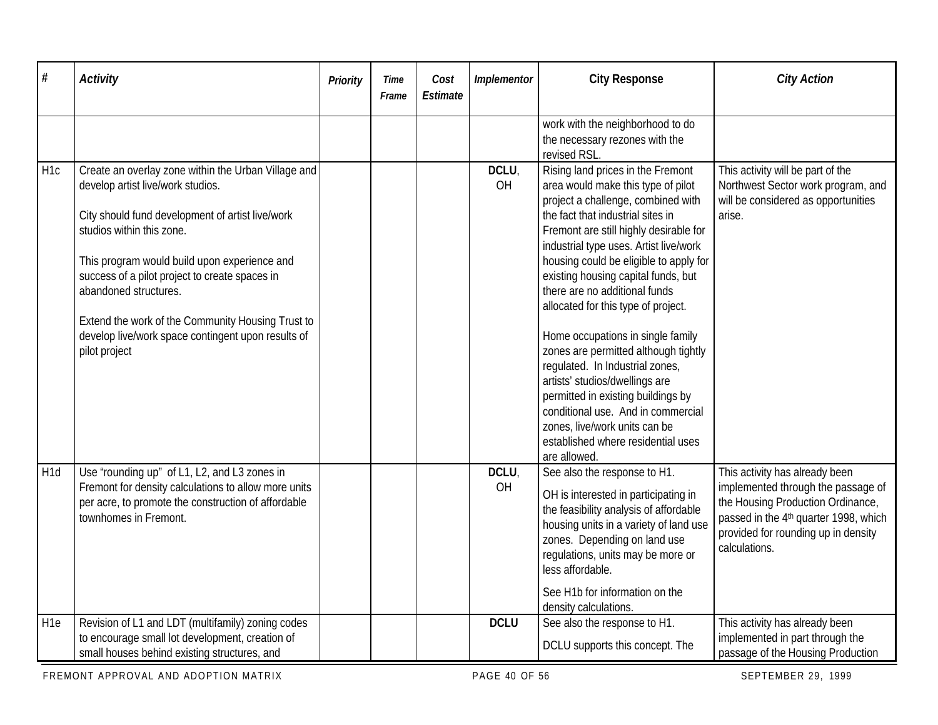| $\#$            | <b>Activity</b>                                                                                                                                                                                                                                                                                                                                                                                                                  | Priority | Time<br>Frame | Cost<br>Estimate | Implementor | <b>City Response</b>                                                                                                                                                                                                                                                                                                                                                                                                                                                                                                                                                                                                                                                                                                 | <b>City Action</b>                                                                                                                                                                                                     |
|-----------------|----------------------------------------------------------------------------------------------------------------------------------------------------------------------------------------------------------------------------------------------------------------------------------------------------------------------------------------------------------------------------------------------------------------------------------|----------|---------------|------------------|-------------|----------------------------------------------------------------------------------------------------------------------------------------------------------------------------------------------------------------------------------------------------------------------------------------------------------------------------------------------------------------------------------------------------------------------------------------------------------------------------------------------------------------------------------------------------------------------------------------------------------------------------------------------------------------------------------------------------------------------|------------------------------------------------------------------------------------------------------------------------------------------------------------------------------------------------------------------------|
|                 |                                                                                                                                                                                                                                                                                                                                                                                                                                  |          |               |                  |             | work with the neighborhood to do<br>the necessary rezones with the<br>revised RSL.                                                                                                                                                                                                                                                                                                                                                                                                                                                                                                                                                                                                                                   |                                                                                                                                                                                                                        |
| H <sub>1c</sub> | Create an overlay zone within the Urban Village and<br>develop artist live/work studios.<br>City should fund development of artist live/work<br>studios within this zone.<br>This program would build upon experience and<br>success of a pilot project to create spaces in<br>abandoned structures.<br>Extend the work of the Community Housing Trust to<br>develop live/work space contingent upon results of<br>pilot project |          |               |                  | DCLU.<br>OH | Rising land prices in the Fremont<br>area would make this type of pilot<br>project a challenge, combined with<br>the fact that industrial sites in<br>Fremont are still highly desirable for<br>industrial type uses. Artist live/work<br>housing could be eligible to apply for<br>existing housing capital funds, but<br>there are no additional funds<br>allocated for this type of project.<br>Home occupations in single family<br>zones are permitted although tightly<br>regulated. In Industrial zones,<br>artists' studios/dwellings are<br>permitted in existing buildings by<br>conditional use. And in commercial<br>zones, live/work units can be<br>established where residential uses<br>are allowed. | This activity will be part of the<br>Northwest Sector work program, and<br>will be considered as opportunities<br>arise.                                                                                               |
| H <sub>1d</sub> | Use 'rounding up" of L1, L2, and L3 zones in<br>Fremont for density calculations to allow more units<br>per acre, to promote the construction of affordable<br>townhomes in Fremont.                                                                                                                                                                                                                                             |          |               |                  | DCLU,<br>OH | See also the response to H1.<br>OH is interested in participating in<br>the feasibility analysis of affordable<br>housing units in a variety of land use<br>zones. Depending on land use<br>regulations, units may be more or<br>less affordable.<br>See H1b for information on the<br>density calculations.                                                                                                                                                                                                                                                                                                                                                                                                         | This activity has already been<br>implemented through the passage of<br>the Housing Production Ordinance,<br>passed in the 4 <sup>th</sup> quarter 1998, which<br>provided for rounding up in density<br>calculations. |
| H <sub>1e</sub> | Revision of L1 and LDT (multifamily) zoning codes<br>to encourage small lot development, creation of<br>small houses behind existing structures, and                                                                                                                                                                                                                                                                             |          |               |                  | <b>DCLU</b> | See also the response to H1.<br>DCLU supports this concept. The                                                                                                                                                                                                                                                                                                                                                                                                                                                                                                                                                                                                                                                      | This activity has already been<br>implemented in part through the<br>passage of the Housing Production                                                                                                                 |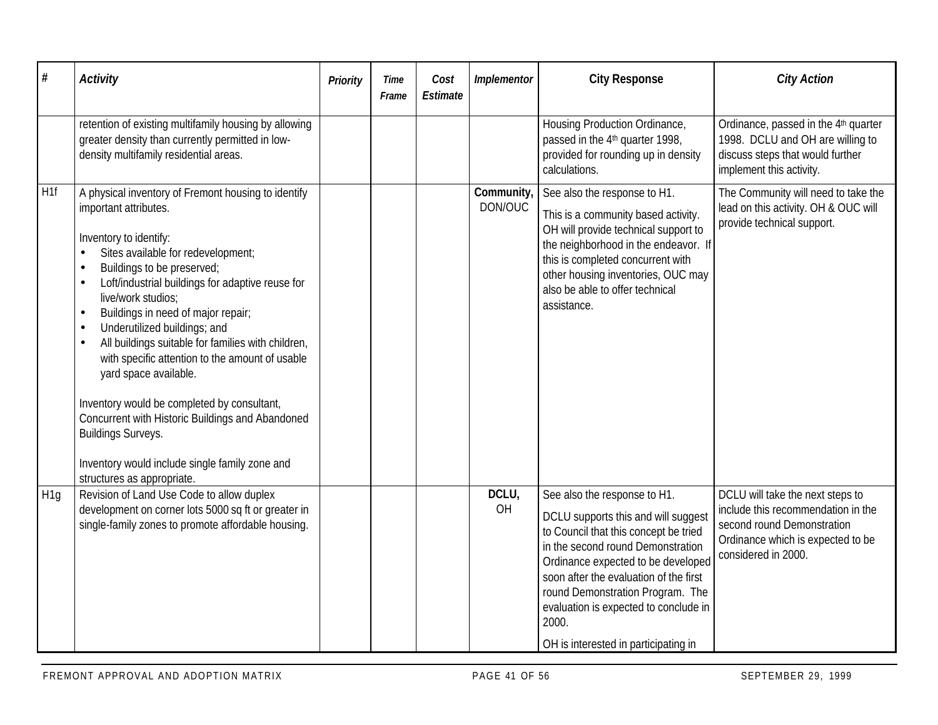| #               | <b>Activity</b>                                                                                                                                                                                                                                                                                                                                                                                                                                                                                                                                                                                                                                                                                                                                            | Priority | <b>Time</b><br>Frame | Cost<br>Estimate | Implementor          | <b>City Response</b>                                                                                                                                                                                                                                                                                                                                            | <b>City Action</b>                                                                                                                                               |
|-----------------|------------------------------------------------------------------------------------------------------------------------------------------------------------------------------------------------------------------------------------------------------------------------------------------------------------------------------------------------------------------------------------------------------------------------------------------------------------------------------------------------------------------------------------------------------------------------------------------------------------------------------------------------------------------------------------------------------------------------------------------------------------|----------|----------------------|------------------|----------------------|-----------------------------------------------------------------------------------------------------------------------------------------------------------------------------------------------------------------------------------------------------------------------------------------------------------------------------------------------------------------|------------------------------------------------------------------------------------------------------------------------------------------------------------------|
|                 | retention of existing multifamily housing by allowing<br>greater density than currently permitted in low-<br>density multifamily residential areas.                                                                                                                                                                                                                                                                                                                                                                                                                                                                                                                                                                                                        |          |                      |                  |                      | Housing Production Ordinance,<br>passed in the 4 <sup>th</sup> quarter 1998,<br>provided for rounding up in density<br>calculations.                                                                                                                                                                                                                            | Ordinance, passed in the 4th quarter<br>1998. DCLU and OH are willing to<br>discuss steps that would further<br>implement this activity.                         |
| H <sub>1f</sub> | A physical inventory of Fremont housing to identify<br>important attributes.<br>Inventory to identify:<br>Sites available for redevelopment;<br>$\bullet$<br>Buildings to be preserved;<br>$\bullet$<br>Loft/industrial buildings for adaptive reuse for<br>$\bullet$<br>live/work studios:<br>Buildings in need of major repair;<br>$\bullet$<br>Underutilized buildings; and<br>$\bullet$<br>All buildings suitable for families with children,<br>$\bullet$<br>with specific attention to the amount of usable<br>yard space available.<br>Inventory would be completed by consultant,<br>Concurrent with Historic Buildings and Abandoned<br><b>Buildings Surveys.</b><br>Inventory would include single family zone and<br>structures as appropriate. |          |                      |                  | Community<br>DON/OUC | See also the response to H1.<br>This is a community based activity.<br>OH will provide technical support to<br>the neighborhood in the endeavor. If<br>this is completed concurrent with<br>other housing inventories, OUC may<br>also be able to offer technical<br>assistance.                                                                                | The Community will need to take the<br>lead on this activity. OH & OUC will<br>provide technical support.                                                        |
| H <sub>1q</sub> | Revision of Land Use Code to allow duplex<br>development on corner lots 5000 sq ft or greater in<br>single-family zones to promote affordable housing.                                                                                                                                                                                                                                                                                                                                                                                                                                                                                                                                                                                                     |          |                      |                  | DCLU,<br>OH          | See also the response to H1.<br>DCLU supports this and will suggest<br>to Council that this concept be tried<br>in the second round Demonstration<br>Ordinance expected to be developed<br>soon after the evaluation of the first<br>round Demonstration Program. The<br>evaluation is expected to conclude in<br>2000.<br>OH is interested in participating in | DCLU will take the next steps to<br>include this recommendation in the<br>second round Demonstration<br>Ordinance which is expected to be<br>considered in 2000. |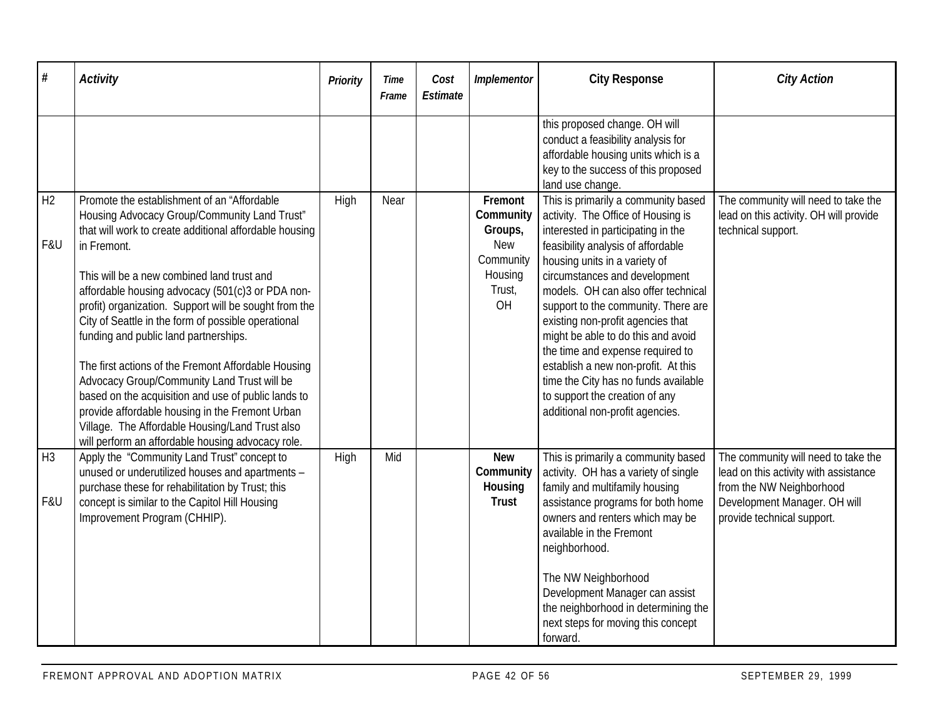| $\#$                  | <b>Activity</b>                                                                                                                                                                                                                                                                                                                                                                                                                                                                                                                                                                                                                                                                                                                                         | <b>Priority</b> | Time<br>Frame | Cost<br>Estimate | Implementor                                                                           | <b>City Response</b>                                                                                                                                                                                                                                                                                                                                                                                                                                                                                                                                                     | <b>City Action</b>                                                                                                                                                     |
|-----------------------|---------------------------------------------------------------------------------------------------------------------------------------------------------------------------------------------------------------------------------------------------------------------------------------------------------------------------------------------------------------------------------------------------------------------------------------------------------------------------------------------------------------------------------------------------------------------------------------------------------------------------------------------------------------------------------------------------------------------------------------------------------|-----------------|---------------|------------------|---------------------------------------------------------------------------------------|--------------------------------------------------------------------------------------------------------------------------------------------------------------------------------------------------------------------------------------------------------------------------------------------------------------------------------------------------------------------------------------------------------------------------------------------------------------------------------------------------------------------------------------------------------------------------|------------------------------------------------------------------------------------------------------------------------------------------------------------------------|
|                       |                                                                                                                                                                                                                                                                                                                                                                                                                                                                                                                                                                                                                                                                                                                                                         |                 |               |                  |                                                                                       | this proposed change. OH will<br>conduct a feasibility analysis for<br>affordable housing units which is a<br>key to the success of this proposed<br>land use change.                                                                                                                                                                                                                                                                                                                                                                                                    |                                                                                                                                                                        |
| H2<br>F&U             | Promote the establishment of an "Affordable<br>Housing Advocacy Group/Community Land Trust"<br>that will work to create additional affordable housing<br>in Fremont.<br>This will be a new combined land trust and<br>affordable housing advocacy (501(c)3 or PDA non-<br>profit) organization. Support will be sought from the<br>City of Seattle in the form of possible operational<br>funding and public land partnerships.<br>The first actions of the Fremont Affordable Housing<br>Advocacy Group/Community Land Trust will be<br>based on the acquisition and use of public lands to<br>provide affordable housing in the Fremont Urban<br>Village. The Affordable Housing/Land Trust also<br>will perform an affordable housing advocacy role. | High            | Near          |                  | Fremont<br>Community<br>Groups,<br><b>New</b><br>Community<br>Housing<br>Trust,<br>OH | This is primarily a community based<br>activity. The Office of Housing is<br>interested in participating in the<br>feasibility analysis of affordable<br>housing units in a variety of<br>circumstances and development<br>models. OH can also offer technical<br>support to the community. There are<br>existing non-profit agencies that<br>might be able to do this and avoid<br>the time and expense required to<br>establish a new non-profit. At this<br>time the City has no funds available<br>to support the creation of any<br>additional non-profit agencies. | The community will need to take the<br>lead on this activity. OH will provide<br>technical support.                                                                    |
| H <sub>3</sub><br>F&U | Apply the "Community Land Trust" concept to<br>unused or underutilized houses and apartments -<br>purchase these for rehabilitation by Trust; this<br>concept is similar to the Capitol Hill Housing<br>Improvement Program (CHHIP).                                                                                                                                                                                                                                                                                                                                                                                                                                                                                                                    | High            | Mid           |                  | <b>New</b><br>Community<br>Housing<br><b>Trust</b>                                    | This is primarily a community based<br>activity. OH has a variety of single<br>family and multifamily housing<br>assistance programs for both home<br>owners and renters which may be<br>available in the Fremont<br>neighborhood.<br>The NW Neighborhood<br>Development Manager can assist<br>the neighborhood in determining the<br>next steps for moving this concept<br>forward.                                                                                                                                                                                     | The community will need to take the<br>lead on this activity with assistance<br>from the NW Neighborhood<br>Development Manager. OH will<br>provide technical support. |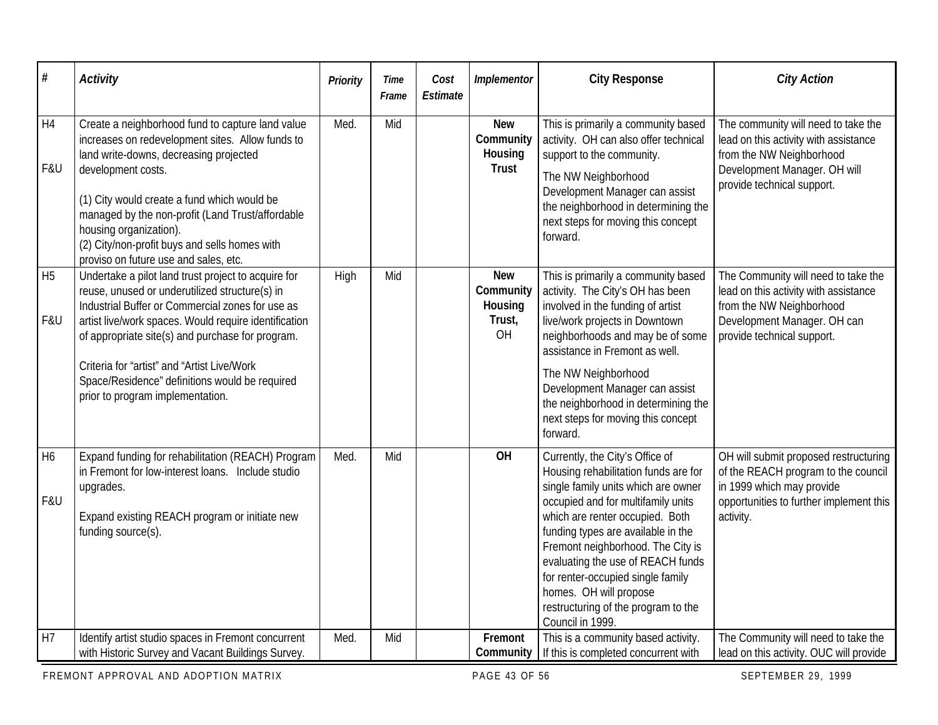| $\#$                  | <b>Activity</b>                                                                                                                                                                                                                                                                                                                                                                                             | Priority | Time<br>Frame | Cost<br>Estimate | Implementor                                        | <b>City Response</b>                                                                                                                                                                                                                                                                                                                                                                                                              | <b>City Action</b>                                                                                                                                                     |
|-----------------------|-------------------------------------------------------------------------------------------------------------------------------------------------------------------------------------------------------------------------------------------------------------------------------------------------------------------------------------------------------------------------------------------------------------|----------|---------------|------------------|----------------------------------------------------|-----------------------------------------------------------------------------------------------------------------------------------------------------------------------------------------------------------------------------------------------------------------------------------------------------------------------------------------------------------------------------------------------------------------------------------|------------------------------------------------------------------------------------------------------------------------------------------------------------------------|
| H4<br>F&U             | Create a neighborhood fund to capture land value<br>increases on redevelopment sites. Allow funds to<br>land write-downs, decreasing projected<br>development costs.<br>(1) City would create a fund which would be<br>managed by the non-profit (Land Trust/affordable<br>housing organization).<br>(2) City/non-profit buys and sells homes with<br>proviso on future use and sales, etc.                 | Med.     | Mid           |                  | <b>New</b><br>Community<br>Housing<br><b>Trust</b> | This is primarily a community based<br>activity. OH can also offer technical<br>support to the community.<br>The NW Neighborhood<br>Development Manager can assist<br>the neighborhood in determining the<br>next steps for moving this concept<br>forward.                                                                                                                                                                       | The community will need to take the<br>lead on this activity with assistance<br>from the NW Neighborhood<br>Development Manager. OH will<br>provide technical support. |
| H <sub>5</sub><br>F&U | Undertake a pilot land trust project to acquire for<br>reuse, unused or underutilized structure(s) in<br>Industrial Buffer or Commercial zones for use as<br>artist live/work spaces. Would require identification<br>of appropriate site(s) and purchase for program.<br>Criteria for "artist" and "Artist Live/Work<br>Space/Residence" definitions would be required<br>prior to program implementation. | High     | Mid           |                  | <b>New</b><br>Community<br>Housing<br>Trust,<br>OH | This is primarily a community based<br>activity. The City's OH has been<br>involved in the funding of artist<br>live/work projects in Downtown<br>neighborhoods and may be of some<br>assistance in Fremont as well.<br>The NW Neighborhood<br>Development Manager can assist<br>the neighborhood in determining the<br>next steps for moving this concept<br>forward.                                                            | The Community will need to take the<br>lead on this activity with assistance<br>from the NW Neighborhood<br>Development Manager. OH can<br>provide technical support.  |
| H <sub>6</sub><br>F&U | Expand funding for rehabilitation (REACH) Program<br>in Fremont for low-interest loans. Include studio<br>upgrades.<br>Expand existing REACH program or initiate new<br>funding source(s).                                                                                                                                                                                                                  | Med.     | Mid           |                  | OH                                                 | Currently, the City's Office of<br>Housing rehabilitation funds are for<br>single family units which are owner<br>occupied and for multifamily units<br>which are renter occupied. Both<br>funding types are available in the<br>Fremont neighborhood. The City is<br>evaluating the use of REACH funds<br>for renter-occupied single family<br>homes. OH will propose<br>restructuring of the program to the<br>Council in 1999. | OH will submit proposed restructuring<br>of the REACH program to the council<br>in 1999 which may provide<br>opportunities to further implement this<br>activity.      |
| H <sub>7</sub>        | Identify artist studio spaces in Fremont concurrent<br>with Historic Survey and Vacant Buildings Survey.                                                                                                                                                                                                                                                                                                    | Med.     | Mid           |                  | Fremont<br>Community                               | This is a community based activity.<br>If this is completed concurrent with                                                                                                                                                                                                                                                                                                                                                       | The Community will need to take the<br>lead on this activity. OUC will provide                                                                                         |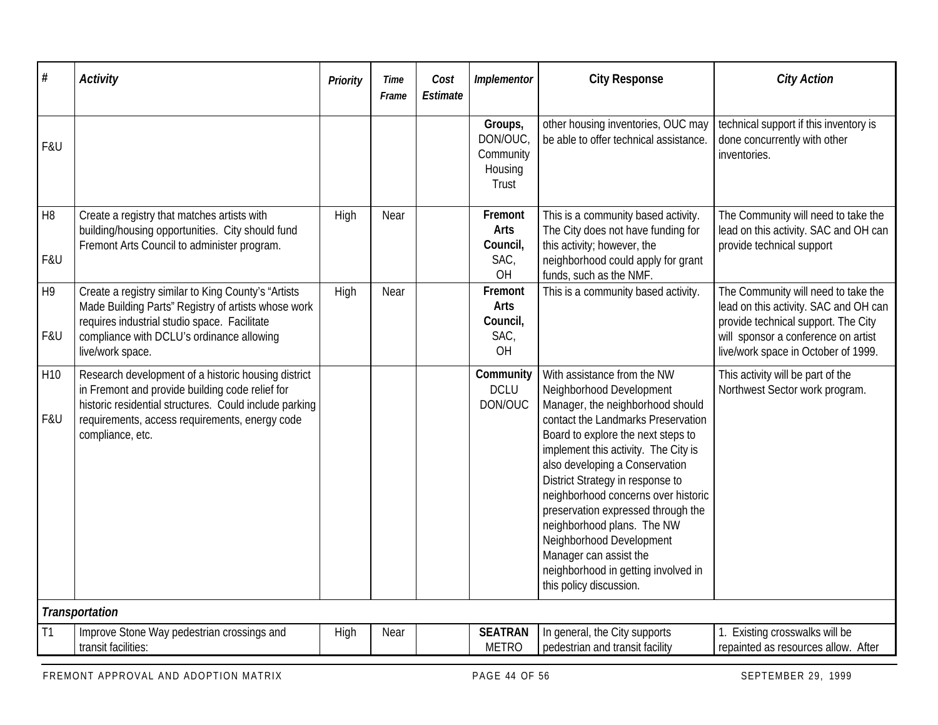| #                      | <b>Activity</b>                                                                                                                                                                                                                        | Priority | Time<br>Frame | Cost<br>Estimate | Implementor                                         | <b>City Response</b>                                                                                                                                                                                                                                                                                                                                                                                                                                                                                                     | <b>City Action</b>                                                                                                                                                                                |
|------------------------|----------------------------------------------------------------------------------------------------------------------------------------------------------------------------------------------------------------------------------------|----------|---------------|------------------|-----------------------------------------------------|--------------------------------------------------------------------------------------------------------------------------------------------------------------------------------------------------------------------------------------------------------------------------------------------------------------------------------------------------------------------------------------------------------------------------------------------------------------------------------------------------------------------------|---------------------------------------------------------------------------------------------------------------------------------------------------------------------------------------------------|
| F&U                    |                                                                                                                                                                                                                                        |          |               |                  | Groups,<br>DON/OUC<br>Community<br>Housing<br>Trust | other housing inventories, OUC may<br>be able to offer technical assistance.                                                                                                                                                                                                                                                                                                                                                                                                                                             | technical support if this inventory is<br>done concurrently with other<br>inventories.                                                                                                            |
| H <sub>8</sub><br>F&U  | Create a registry that matches artists with<br>building/housing opportunities. City should fund<br>Fremont Arts Council to administer program.                                                                                         | High     | Near          |                  | Fremont<br>Arts<br>Council,<br>SAC,<br>OH           | This is a community based activity.<br>The City does not have funding for<br>this activity; however, the<br>neighborhood could apply for grant<br>funds, such as the NMF.                                                                                                                                                                                                                                                                                                                                                | The Community will need to take the<br>lead on this activity. SAC and OH can<br>provide technical support                                                                                         |
| H <sub>9</sub><br>F&U  | Create a registry similar to King County's "Artists<br>Made Building Parts" Registry of artists whose work<br>requires industrial studio space. Facilitate<br>compliance with DCLU's ordinance allowing<br>live/work space.            | High     | Near          |                  | Fremont<br><b>Arts</b><br>Council,<br>SAC,<br>OH    | This is a community based activity.                                                                                                                                                                                                                                                                                                                                                                                                                                                                                      | The Community will need to take the<br>lead on this activity. SAC and OH can<br>provide technical support. The City<br>will sponsor a conference on artist<br>live/work space in October of 1999. |
| H <sub>10</sub><br>F&U | Research development of a historic housing district<br>in Fremont and provide building code relief for<br>historic residential structures. Could include parking<br>requirements, access requirements, energy code<br>compliance, etc. |          |               |                  | Community<br><b>DCLU</b><br>DON/OUC                 | With assistance from the NW<br>Neighborhood Development<br>Manager, the neighborhood should<br>contact the Landmarks Preservation<br>Board to explore the next steps to<br>implement this activity. The City is<br>also developing a Conservation<br>District Strategy in response to<br>neighborhood concerns over historic<br>preservation expressed through the<br>neighborhood plans. The NW<br>Neighborhood Development<br>Manager can assist the<br>neighborhood in getting involved in<br>this policy discussion. | This activity will be part of the<br>Northwest Sector work program.                                                                                                                               |
|                        | Transportation                                                                                                                                                                                                                         |          |               |                  |                                                     |                                                                                                                                                                                                                                                                                                                                                                                                                                                                                                                          |                                                                                                                                                                                                   |
| T1                     | Improve Stone Way pedestrian crossings and<br>transit facilities:                                                                                                                                                                      | High     | Near          |                  | <b>SEATRAN</b><br><b>METRO</b>                      | In general, the City supports<br>pedestrian and transit facility                                                                                                                                                                                                                                                                                                                                                                                                                                                         | 1. Existing crosswalks will be<br>repainted as resources allow. After                                                                                                                             |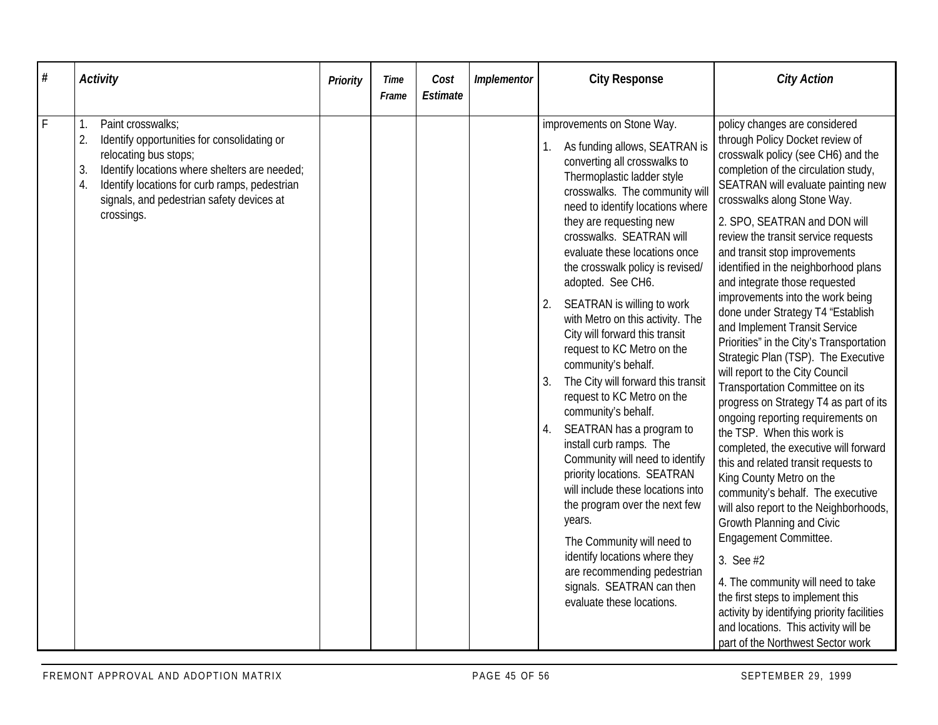| $\#$ | <b>Activity</b>                                                                                                                                                                                                                                                                | Priority | Time<br>Frame | Cost<br>Estimate | Implementor | <b>City Response</b>                                                                                                                                                                                                                                                                                                                                                                                                                                                                                                                                                                                                                                                                                                                                                                                                                                                                                                                                                  | <b>City Action</b>                                                                                                                                                                                                                                                                                                                                                                                                                                                                                                                                                                                                                                                                                                                                                                                                                                                                                                                                                                                                                                                                                                                                                                                                                                         |
|------|--------------------------------------------------------------------------------------------------------------------------------------------------------------------------------------------------------------------------------------------------------------------------------|----------|---------------|------------------|-------------|-----------------------------------------------------------------------------------------------------------------------------------------------------------------------------------------------------------------------------------------------------------------------------------------------------------------------------------------------------------------------------------------------------------------------------------------------------------------------------------------------------------------------------------------------------------------------------------------------------------------------------------------------------------------------------------------------------------------------------------------------------------------------------------------------------------------------------------------------------------------------------------------------------------------------------------------------------------------------|------------------------------------------------------------------------------------------------------------------------------------------------------------------------------------------------------------------------------------------------------------------------------------------------------------------------------------------------------------------------------------------------------------------------------------------------------------------------------------------------------------------------------------------------------------------------------------------------------------------------------------------------------------------------------------------------------------------------------------------------------------------------------------------------------------------------------------------------------------------------------------------------------------------------------------------------------------------------------------------------------------------------------------------------------------------------------------------------------------------------------------------------------------------------------------------------------------------------------------------------------------|
| F    | Paint crosswalks:<br>1.<br>2.<br>Identify opportunities for consolidating or<br>relocating bus stops;<br>Identify locations where shelters are needed;<br>3.<br>4.<br>Identify locations for curb ramps, pedestrian<br>signals, and pedestrian safety devices at<br>crossings. |          |               |                  |             | improvements on Stone Way.<br>As funding allows, SEATRAN is<br>converting all crosswalks to<br>Thermoplastic ladder style<br>crosswalks. The community will<br>need to identify locations where<br>they are requesting new<br>crosswalks. SEATRAN will<br>evaluate these locations once<br>the crosswalk policy is revised/<br>adopted. See CH6.<br>SEATRAN is willing to work<br>with Metro on this activity. The<br>City will forward this transit<br>request to KC Metro on the<br>community's behalf.<br>The City will forward this transit<br>request to KC Metro on the<br>community's behalf.<br>SEATRAN has a program to<br>install curb ramps. The<br>Community will need to identify<br>priority locations. SEATRAN<br>will include these locations into<br>the program over the next few<br>years.<br>The Community will need to<br>identify locations where they<br>are recommending pedestrian<br>signals. SEATRAN can then<br>evaluate these locations. | policy changes are considered<br>through Policy Docket review of<br>crosswalk policy (see CH6) and the<br>completion of the circulation study,<br>SEATRAN will evaluate painting new<br>crosswalks along Stone Way.<br>2. SPO, SEATRAN and DON will<br>review the transit service requests<br>and transit stop improvements<br>identified in the neighborhood plans<br>and integrate those requested<br>improvements into the work being<br>done under Strategy T4 "Establish<br>and Implement Transit Service<br>Priorities" in the City's Transportation<br>Strategic Plan (TSP). The Executive<br>will report to the City Council<br>Transportation Committee on its<br>progress on Strategy T4 as part of its<br>ongoing reporting requirements on<br>the TSP. When this work is<br>completed, the executive will forward<br>this and related transit requests to<br>King County Metro on the<br>community's behalf. The executive<br>will also report to the Neighborhoods,<br>Growth Planning and Civic<br>Engagement Committee.<br>3. See #2<br>4. The community will need to take<br>the first steps to implement this<br>activity by identifying priority facilities<br>and locations. This activity will be<br>part of the Northwest Sector work |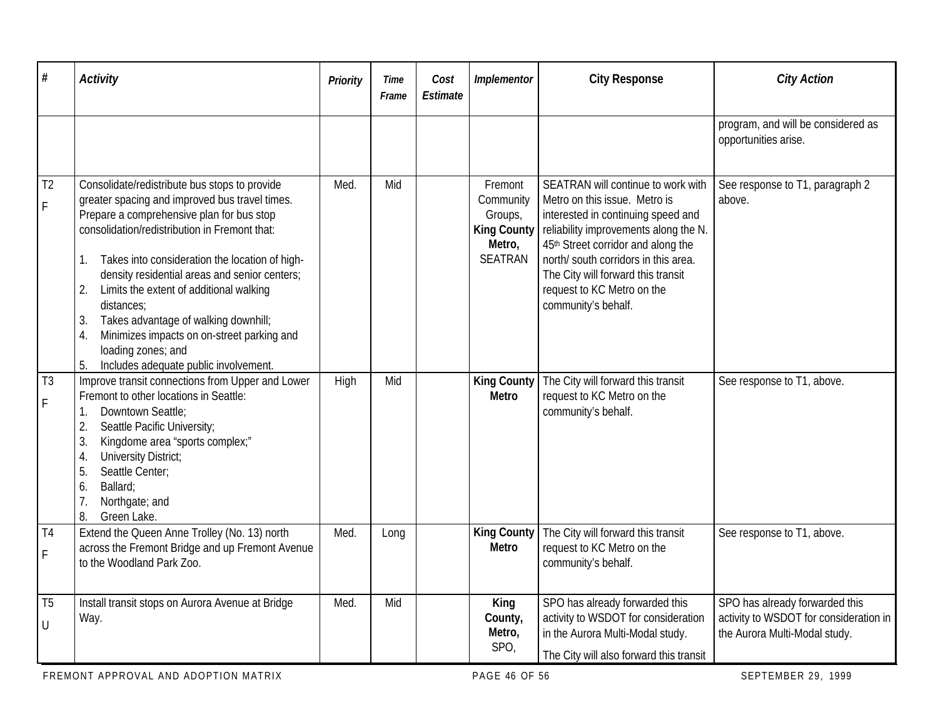| #                                | <b>Activity</b>                                                                                                                                                                                                                                                                                                                                                                                                                                                                                                                              | Priority | Time<br>Frame | Cost<br>Estimate | Implementor                                                                | <b>City Response</b>                                                                                                                                                                                                                                                                                                        | <b>City Action</b>                                                                                        |
|----------------------------------|----------------------------------------------------------------------------------------------------------------------------------------------------------------------------------------------------------------------------------------------------------------------------------------------------------------------------------------------------------------------------------------------------------------------------------------------------------------------------------------------------------------------------------------------|----------|---------------|------------------|----------------------------------------------------------------------------|-----------------------------------------------------------------------------------------------------------------------------------------------------------------------------------------------------------------------------------------------------------------------------------------------------------------------------|-----------------------------------------------------------------------------------------------------------|
|                                  |                                                                                                                                                                                                                                                                                                                                                                                                                                                                                                                                              |          |               |                  |                                                                            |                                                                                                                                                                                                                                                                                                                             | program, and will be considered as<br>opportunities arise.                                                |
| T <sub>2</sub><br>$\mathsf F$    | Consolidate/redistribute bus stops to provide<br>greater spacing and improved bus travel times.<br>Prepare a comprehensive plan for bus stop<br>consolidation/redistribution in Fremont that:<br>Takes into consideration the location of high-<br>1.<br>density residential areas and senior centers;<br>Limits the extent of additional walking<br>2.<br>distances;<br>Takes advantage of walking downhill;<br>3.<br>Minimizes impacts on on-street parking and<br>4.<br>loading zones; and<br>Includes adequate public involvement.<br>5. | Med.     | Mid           |                  | Fremont<br>Community<br>Groups,<br><b>King County</b><br>Metro,<br>SEATRAN | SEATRAN will continue to work with<br>Metro on this issue. Metro is<br>interested in continuing speed and<br>reliability improvements along the N.<br>45th Street corridor and along the<br>north/ south corridors in this area.<br>The City will forward this transit<br>request to KC Metro on the<br>community's behalf. | See response to T1, paragraph 2<br>above.                                                                 |
| T <sub>3</sub><br>$\overline{F}$ | Improve transit connections from Upper and Lower<br>Fremont to other locations in Seattle:<br>Downtown Seattle;<br>1.<br>2.<br>Seattle Pacific University;<br>3.<br>Kingdome area "sports complex;"<br>University District;<br>4.<br>Seattle Center;<br>5.<br>Ballard:<br>6.<br>7.<br>Northgate; and<br>8.<br>Green Lake.                                                                                                                                                                                                                    | High     | Mid           |                  | <b>King County</b><br>Metro                                                | The City will forward this transit<br>request to KC Metro on the<br>community's behalf.                                                                                                                                                                                                                                     | See response to T1, above.                                                                                |
| T <sub>4</sub><br>$\mathsf F$    | Extend the Queen Anne Trolley (No. 13) north<br>across the Fremont Bridge and up Fremont Avenue<br>to the Woodland Park Zoo.                                                                                                                                                                                                                                                                                                                                                                                                                 | Med.     | Long          |                  | <b>King County</b><br>Metro                                                | The City will forward this transit<br>request to KC Metro on the<br>community's behalf.                                                                                                                                                                                                                                     | See response to T1, above.                                                                                |
| T <sub>5</sub><br>$\cup$         | Install transit stops on Aurora Avenue at Bridge<br>Way.                                                                                                                                                                                                                                                                                                                                                                                                                                                                                     | Med.     | Mid           |                  | King<br>County,<br>Metro,<br>SPO,                                          | SPO has already forwarded this<br>activity to WSDOT for consideration<br>in the Aurora Multi-Modal study.<br>The City will also forward this transit                                                                                                                                                                        | SPO has already forwarded this<br>activity to WSDOT for consideration in<br>the Aurora Multi-Modal study. |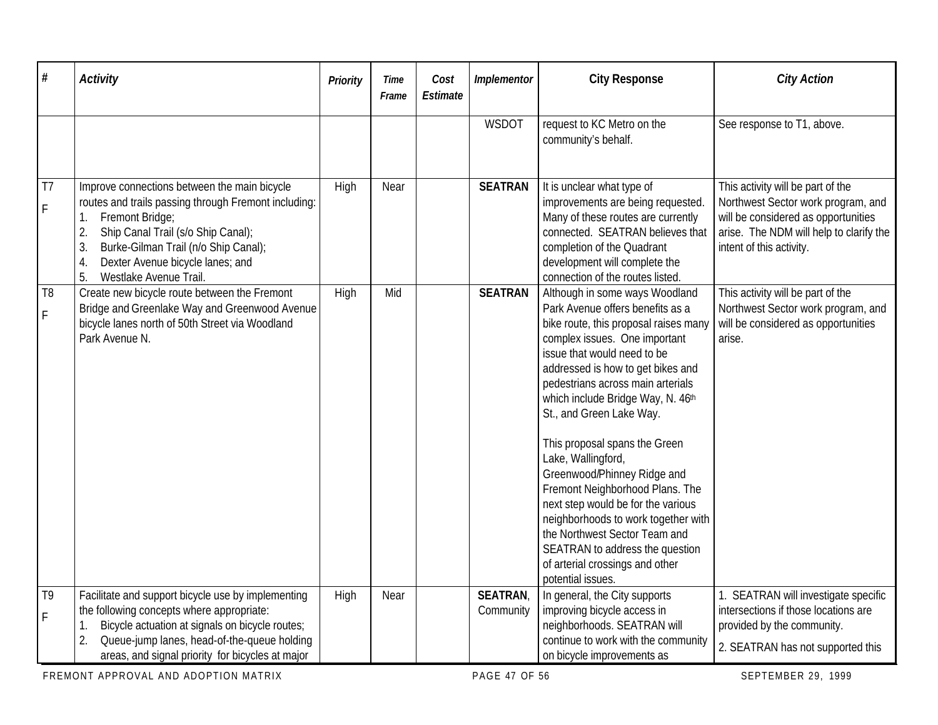| $\#$                          | <b>Activity</b>                                                                                                                                                                                                                                                                                   | Priority | Time<br>Frame | Cost<br>Estimate | Implementor                 | <b>City Response</b>                                                                                                                                                                                                                                                                                                                                                                                                                                                                                                                                                                                                                                     | <b>City Action</b>                                                                                                                                                                    |
|-------------------------------|---------------------------------------------------------------------------------------------------------------------------------------------------------------------------------------------------------------------------------------------------------------------------------------------------|----------|---------------|------------------|-----------------------------|----------------------------------------------------------------------------------------------------------------------------------------------------------------------------------------------------------------------------------------------------------------------------------------------------------------------------------------------------------------------------------------------------------------------------------------------------------------------------------------------------------------------------------------------------------------------------------------------------------------------------------------------------------|---------------------------------------------------------------------------------------------------------------------------------------------------------------------------------------|
|                               |                                                                                                                                                                                                                                                                                                   |          |               |                  | WSDOT                       | request to KC Metro on the<br>community's behalf.                                                                                                                                                                                                                                                                                                                                                                                                                                                                                                                                                                                                        | See response to T1, above.                                                                                                                                                            |
| T <sub>7</sub><br>F           | Improve connections between the main bicycle<br>routes and trails passing through Fremont including:<br>Fremont Bridge;<br>1.<br>Ship Canal Trail (s/o Ship Canal);<br>2.<br>Burke-Gilman Trail (n/o Ship Canal);<br>3.<br>Dexter Avenue bicycle lanes; and<br>4.<br>5.<br>Westlake Avenue Trail. | High     | Near          |                  | <b>SEATRAN</b>              | It is unclear what type of<br>improvements are being requested.<br>Many of these routes are currently<br>connected. SEATRAN believes that<br>completion of the Quadrant<br>development will complete the<br>connection of the routes listed.                                                                                                                                                                                                                                                                                                                                                                                                             | This activity will be part of the<br>Northwest Sector work program, and<br>will be considered as opportunities<br>arise. The NDM will help to clarify the<br>intent of this activity. |
| T <sub>8</sub><br>$\mathsf F$ | Create new bicycle route between the Fremont<br>Bridge and Greenlake Way and Greenwood Avenue<br>bicycle lanes north of 50th Street via Woodland<br>Park Avenue N.                                                                                                                                | High     | Mid           |                  | <b>SEATRAN</b>              | Although in some ways Woodland<br>Park Avenue offers benefits as a<br>bike route, this proposal raises many<br>complex issues. One important<br>issue that would need to be<br>addressed is how to get bikes and<br>pedestrians across main arterials<br>which include Bridge Way, N. 46th<br>St., and Green Lake Way.<br>This proposal spans the Green<br>Lake, Wallingford,<br>Greenwood/Phinney Ridge and<br>Fremont Neighborhood Plans. The<br>next step would be for the various<br>neighborhoods to work together with<br>the Northwest Sector Team and<br>SEATRAN to address the question<br>of arterial crossings and other<br>potential issues. | This activity will be part of the<br>Northwest Sector work program, and<br>will be considered as opportunities<br>arise.                                                              |
| T <sub>9</sub><br>F           | Facilitate and support bicycle use by implementing<br>the following concepts where appropriate:<br>Bicycle actuation at signals on bicycle routes;<br>1.                                                                                                                                          | High     | Near          |                  | <b>SEATRAN</b><br>Community | In general, the City supports<br>improving bicycle access in<br>neighborhoods. SEATRAN will                                                                                                                                                                                                                                                                                                                                                                                                                                                                                                                                                              | 1. SEATRAN will investigate specific<br>intersections if those locations are<br>provided by the community.                                                                            |
|                               | 2.<br>Queue-jump lanes, head-of-the-queue holding<br>areas, and signal priority for bicycles at major                                                                                                                                                                                             |          |               |                  |                             | continue to work with the community<br>on bicycle improvements as                                                                                                                                                                                                                                                                                                                                                                                                                                                                                                                                                                                        | 2. SEATRAN has not supported this                                                                                                                                                     |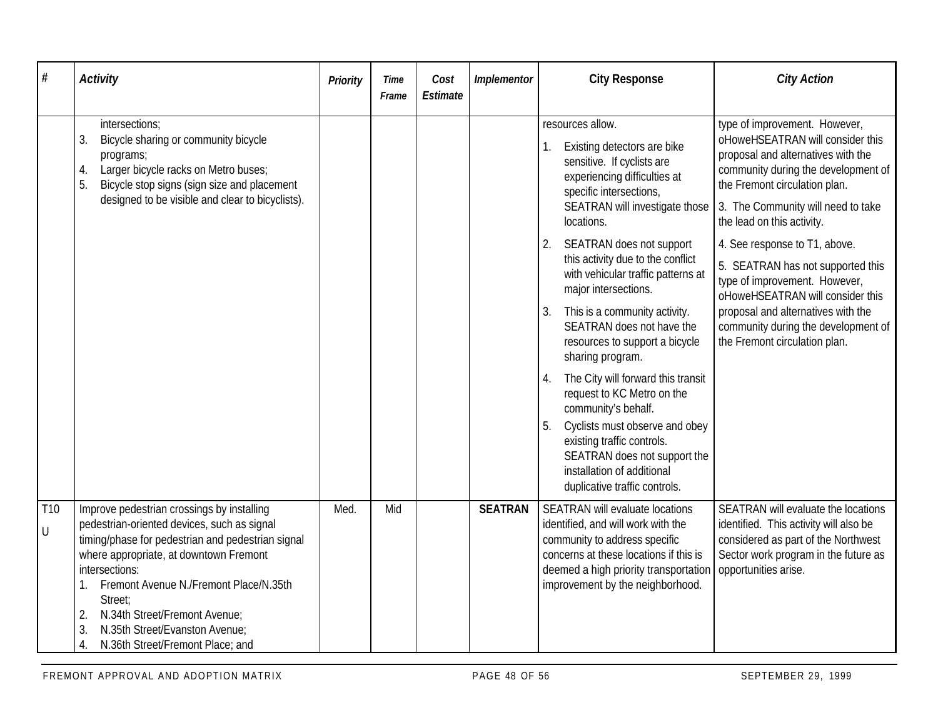| #              | <b>Activity</b>                                                                                                                                                                                                                                                                                                                                                                          | Priority | Time<br>Frame | Cost<br>Estimate | Implementor    | <b>City Response</b>                                                                                                                                                                                                                                                                                                                                                                                                                                                                                                                                                                                                                                                                                                    | <b>City Action</b>                                                                                                                                                                                                                                                                                                                                                                                                                                                                                           |
|----------------|------------------------------------------------------------------------------------------------------------------------------------------------------------------------------------------------------------------------------------------------------------------------------------------------------------------------------------------------------------------------------------------|----------|---------------|------------------|----------------|-------------------------------------------------------------------------------------------------------------------------------------------------------------------------------------------------------------------------------------------------------------------------------------------------------------------------------------------------------------------------------------------------------------------------------------------------------------------------------------------------------------------------------------------------------------------------------------------------------------------------------------------------------------------------------------------------------------------------|--------------------------------------------------------------------------------------------------------------------------------------------------------------------------------------------------------------------------------------------------------------------------------------------------------------------------------------------------------------------------------------------------------------------------------------------------------------------------------------------------------------|
|                | intersections;<br>3.<br>Bicycle sharing or community bicycle<br>programs;<br>Larger bicycle racks on Metro buses;<br>4.<br>5.<br>Bicycle stop signs (sign size and placement<br>designed to be visible and clear to bicyclists).                                                                                                                                                         |          |               |                  |                | resources allow.<br>Existing detectors are bike<br>sensitive. If cyclists are<br>experiencing difficulties at<br>specific intersections,<br>SEATRAN will investigate those<br>locations.<br>SEATRAN does not support<br>2.<br>this activity due to the conflict<br>with vehicular traffic patterns at<br>major intersections.<br>This is a community activity.<br>3.<br>SEATRAN does not have the<br>resources to support a bicycle<br>sharing program.<br>The City will forward this transit<br>4.<br>request to KC Metro on the<br>community's behalf.<br>Cyclists must observe and obey<br>existing traffic controls.<br>SEATRAN does not support the<br>installation of additional<br>duplicative traffic controls. | type of improvement. However,<br>oHoweHSEATRAN will consider this<br>proposal and alternatives with the<br>community during the development of<br>the Fremont circulation plan.<br>3. The Community will need to take<br>the lead on this activity.<br>4. See response to T1, above.<br>5. SEATRAN has not supported this<br>type of improvement. However,<br>oHoweHSEATRAN will consider this<br>proposal and alternatives with the<br>community during the development of<br>the Fremont circulation plan. |
| T10<br>$\sf U$ | Improve pedestrian crossings by installing<br>pedestrian-oriented devices, such as signal<br>timing/phase for pedestrian and pedestrian signal<br>where appropriate, at downtown Fremont<br>intersections:<br>Fremont Avenue N./Fremont Place/N.35th<br>Street;<br>N.34th Street/Fremont Avenue;<br>2.<br>N.35th Street/Evanston Avenue;<br>3.<br>4.<br>N.36th Street/Fremont Place; and | Med.     | Mid           |                  | <b>SEATRAN</b> | SEATRAN will evaluate locations<br>identified, and will work with the<br>community to address specific<br>concerns at these locations if this is<br>deemed a high priority transportation<br>improvement by the neighborhood.                                                                                                                                                                                                                                                                                                                                                                                                                                                                                           | SEATRAN will evaluate the locations<br>identified. This activity will also be<br>considered as part of the Northwest<br>Sector work program in the future as<br>opportunities arise.                                                                                                                                                                                                                                                                                                                         |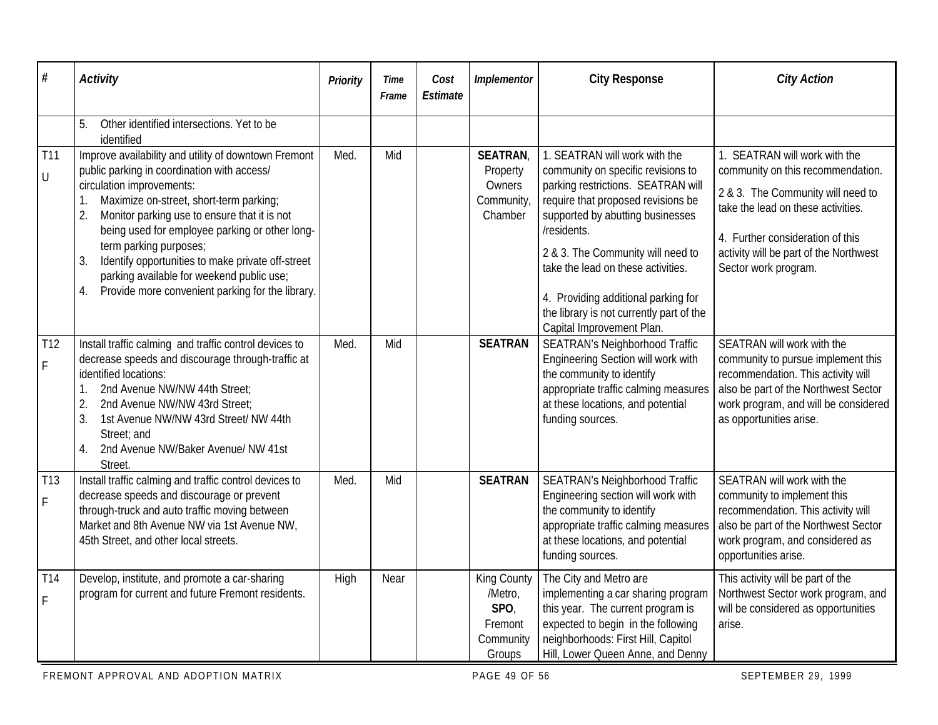| #                               | <b>Activity</b>                                                                                                                                                                                                                                                                                                                                                                                                         | Priority | Time<br>Frame | Cost<br>Estimate | Implementor                                                      | <b>City Response</b>                                                                                                                                                                                                                                                                                                                                         | <b>City Action</b>                                                                                                                                                                                                 |
|---------------------------------|-------------------------------------------------------------------------------------------------------------------------------------------------------------------------------------------------------------------------------------------------------------------------------------------------------------------------------------------------------------------------------------------------------------------------|----------|---------------|------------------|------------------------------------------------------------------|--------------------------------------------------------------------------------------------------------------------------------------------------------------------------------------------------------------------------------------------------------------------------------------------------------------------------------------------------------------|--------------------------------------------------------------------------------------------------------------------------------------------------------------------------------------------------------------------|
| <b>T11</b>                      | Other identified intersections. Yet to be<br>5.<br>identified<br>Improve availability and utility of downtown Fremont                                                                                                                                                                                                                                                                                                   | Med.     | Mid           |                  | <b>SEATRAN</b>                                                   | 1. SEATRAN will work with the                                                                                                                                                                                                                                                                                                                                | 1. SEATRAN will work with the                                                                                                                                                                                      |
| $\bigcup$                       | public parking in coordination with access/<br>circulation improvements:<br>Maximize on-street, short-term parking;<br>2.<br>Monitor parking use to ensure that it is not<br>being used for employee parking or other long-<br>term parking purposes;<br>Identify opportunities to make private off-street<br>3.<br>parking available for weekend public use;<br>Provide more convenient parking for the library.<br>4. |          |               |                  | Property<br>Owners<br>Community,<br>Chamber                      | community on specific revisions to<br>parking restrictions. SEATRAN will<br>require that proposed revisions be<br>supported by abutting businesses<br>/residents.<br>2 & 3. The Community will need to<br>take the lead on these activities.<br>4. Providing additional parking for<br>the library is not currently part of the<br>Capital Improvement Plan. | community on this recommendation.<br>2 & 3. The Community will need to<br>take the lead on these activities.<br>4. Further consideration of this<br>activity will be part of the Northwest<br>Sector work program. |
| T12<br>$\mathsf F$              | Install traffic calming and traffic control devices to<br>decrease speeds and discourage through-traffic at<br>identified locations:<br>2nd Avenue NW/NW 44th Street;<br>1.<br>2.<br>2nd Avenue NW/NW 43rd Street;<br>3.<br>1st Avenue NW/NW 43rd Street/ NW 44th<br>Street; and<br>2nd Avenue NW/Baker Avenue/ NW 41st<br>4.<br>Street.                                                                                | Med.     | Mid           |                  | <b>SEATRAN</b>                                                   | <b>SEATRAN's Neighborhood Traffic</b><br>Engineering Section will work with<br>the community to identify<br>appropriate traffic calming measures<br>at these locations, and potential<br>funding sources.                                                                                                                                                    | SEATRAN will work with the<br>community to pursue implement this<br>recommendation. This activity will<br>also be part of the Northwest Sector<br>work program, and will be considered<br>as opportunities arise.  |
| T <sub>13</sub><br>$\mathsf F$  | Install traffic calming and traffic control devices to<br>decrease speeds and discourage or prevent<br>through-truck and auto traffic moving between<br>Market and 8th Avenue NW via 1st Avenue NW,<br>45th Street, and other local streets.                                                                                                                                                                            | Med.     | Mid           |                  | <b>SEATRAN</b>                                                   | <b>SEATRAN's Neighborhood Traffic</b><br>Engineering section will work with<br>the community to identify<br>appropriate traffic calming measures<br>at these locations, and potential<br>funding sources.                                                                                                                                                    | SEATRAN will work with the<br>community to implement this<br>recommendation. This activity will<br>also be part of the Northwest Sector<br>work program, and considered as<br>opportunities arise.                 |
| T <sub>14</sub><br>$\mathsf{F}$ | Develop, institute, and promote a car-sharing<br>program for current and future Fremont residents.                                                                                                                                                                                                                                                                                                                      | High     | Near          |                  | King County<br>/Metro,<br>SPO,<br>Fremont<br>Community<br>Groups | The City and Metro are<br>implementing a car sharing program<br>this year. The current program is<br>expected to begin in the following<br>neighborhoods: First Hill, Capitol<br>Hill, Lower Queen Anne, and Denny                                                                                                                                           | This activity will be part of the<br>Northwest Sector work program, and<br>will be considered as opportunities<br>arise.                                                                                           |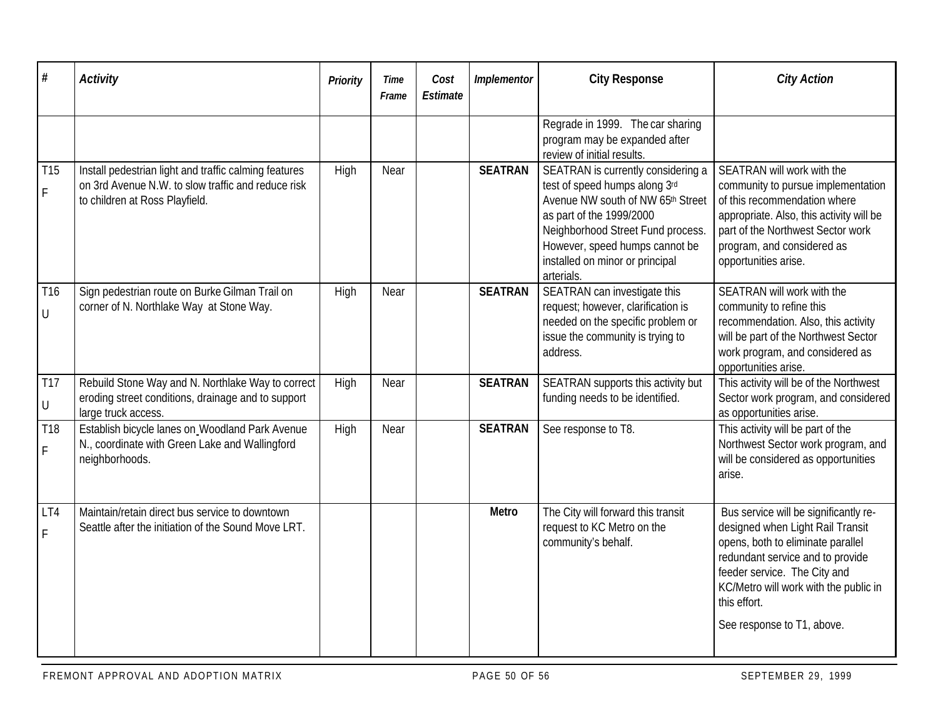| $\#$                 | <b>Activity</b>                                                                                                                               | Priority | Time<br>Frame | Cost<br>Estimate | Implementor    | <b>City Response</b>                                                                                                                                                                                                                                         | <b>City Action</b>                                                                                                                                                                                                                                                        |
|----------------------|-----------------------------------------------------------------------------------------------------------------------------------------------|----------|---------------|------------------|----------------|--------------------------------------------------------------------------------------------------------------------------------------------------------------------------------------------------------------------------------------------------------------|---------------------------------------------------------------------------------------------------------------------------------------------------------------------------------------------------------------------------------------------------------------------------|
|                      |                                                                                                                                               |          |               |                  |                | Regrade in 1999. The car sharing<br>program may be expanded after<br>review of initial results.                                                                                                                                                              |                                                                                                                                                                                                                                                                           |
| T15<br>F             | Install pedestrian light and traffic calming features<br>on 3rd Avenue N.W. to slow traffic and reduce risk<br>to children at Ross Playfield. | High     | Near          |                  | <b>SEATRAN</b> | SEATRAN is currently considering a<br>test of speed humps along 3rd<br>Avenue NW south of NW 65th Street<br>as part of the 1999/2000<br>Neighborhood Street Fund process.<br>However, speed humps cannot be<br>installed on minor or principal<br>arterials. | SEATRAN will work with the<br>community to pursue implementation<br>of this recommendation where<br>appropriate. Also, this activity will be<br>part of the Northwest Sector work<br>program, and considered as<br>opportunities arise.                                   |
| T16<br>$\cup$        | Sign pedestrian route on Burke Gilman Trail on<br>corner of N. Northlake Way at Stone Way.                                                    | High     | Near          |                  | <b>SEATRAN</b> | SEATRAN can investigate this<br>request; however, clarification is<br>needed on the specific problem or<br>issue the community is trying to<br>address.                                                                                                      | SEATRAN will work with the<br>community to refine this<br>recommendation. Also, this activity<br>will be part of the Northwest Sector<br>work program, and considered as<br>opportunities arise.                                                                          |
| <b>T17</b><br>$\cup$ | Rebuild Stone Way and N. Northlake Way to correct<br>eroding street conditions, drainage and to support<br>large truck access.                | High     | Near          |                  | <b>SEATRAN</b> | SEATRAN supports this activity but<br>funding needs to be identified.                                                                                                                                                                                        | This activity will be of the Northwest<br>Sector work program, and considered<br>as opportunities arise.                                                                                                                                                                  |
| T18<br>F             | Establish bicycle lanes on Woodland Park Avenue<br>N., coordinate with Green Lake and Wallingford<br>neighborhoods.                           | High     | Near          |                  | <b>SEATRAN</b> | See response to T8.                                                                                                                                                                                                                                          | This activity will be part of the<br>Northwest Sector work program, and<br>will be considered as opportunities<br>arise.                                                                                                                                                  |
| LT4<br>F             | Maintain/retain direct bus service to downtown<br>Seattle after the initiation of the Sound Move LRT.                                         |          |               |                  | <b>Metro</b>   | The City will forward this transit<br>request to KC Metro on the<br>community's behalf.                                                                                                                                                                      | Bus service will be significantly re-<br>designed when Light Rail Transit<br>opens, both to eliminate parallel<br>redundant service and to provide<br>feeder service. The City and<br>KC/Metro will work with the public in<br>this effort.<br>See response to T1, above. |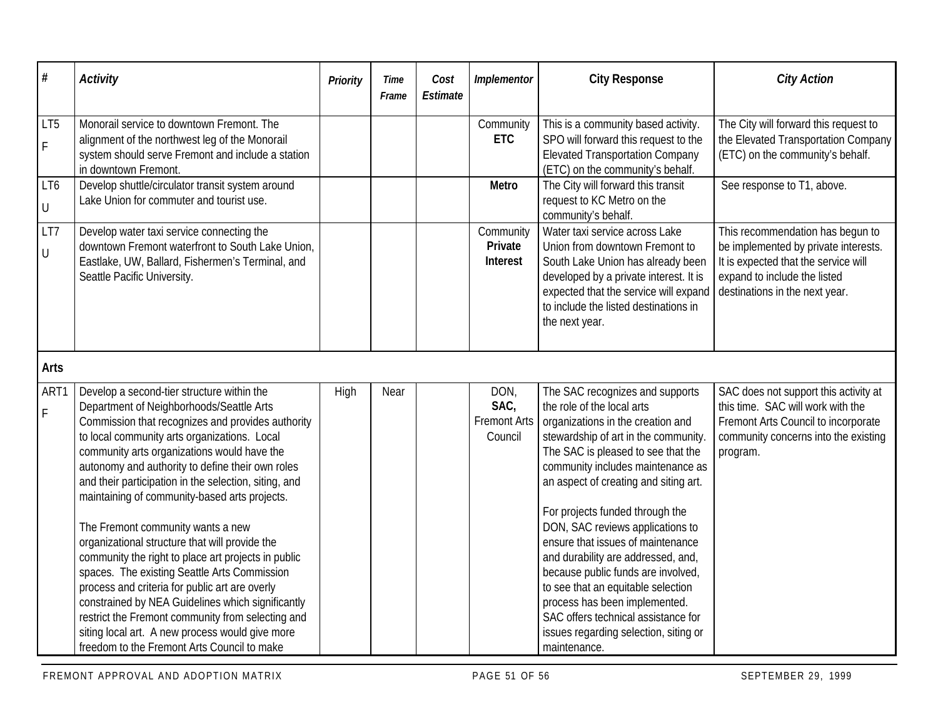| $\#$                | <b>Activity</b>                                                                                                                                                                                                                                                                                                                                                                                                                                                                                                                                                                                                                                                                                                                                                                                                                                                      | <b>Priority</b> | <b>Time</b><br>Frame | Cost<br>Estimate | Implementor                                    | <b>City Response</b>                                                                                                                                                                                                                                                                                                                                                                                                                                                                                                                                                                                                          | <b>City Action</b>                                                                                                                                                                 |
|---------------------|----------------------------------------------------------------------------------------------------------------------------------------------------------------------------------------------------------------------------------------------------------------------------------------------------------------------------------------------------------------------------------------------------------------------------------------------------------------------------------------------------------------------------------------------------------------------------------------------------------------------------------------------------------------------------------------------------------------------------------------------------------------------------------------------------------------------------------------------------------------------|-----------------|----------------------|------------------|------------------------------------------------|-------------------------------------------------------------------------------------------------------------------------------------------------------------------------------------------------------------------------------------------------------------------------------------------------------------------------------------------------------------------------------------------------------------------------------------------------------------------------------------------------------------------------------------------------------------------------------------------------------------------------------|------------------------------------------------------------------------------------------------------------------------------------------------------------------------------------|
| LT5<br>$\mathsf F$  | Monorail service to downtown Fremont. The<br>alignment of the northwest leg of the Monorail<br>system should serve Fremont and include a station<br>in downtown Fremont.                                                                                                                                                                                                                                                                                                                                                                                                                                                                                                                                                                                                                                                                                             |                 |                      |                  | Community<br><b>ETC</b>                        | This is a community based activity.<br>SPO will forward this request to the<br><b>Elevated Transportation Company</b><br>(ETC) on the community's behalf.                                                                                                                                                                                                                                                                                                                                                                                                                                                                     | The City will forward this request to<br>the Elevated Transportation Company<br>(ETC) on the community's behalf.                                                                   |
| LT6<br>$\bigcup$    | Develop shuttle/circulator transit system around<br>Lake Union for commuter and tourist use.                                                                                                                                                                                                                                                                                                                                                                                                                                                                                                                                                                                                                                                                                                                                                                         |                 |                      |                  | <b>Metro</b>                                   | The City will forward this transit<br>request to KC Metro on the<br>community's behalf.                                                                                                                                                                                                                                                                                                                                                                                                                                                                                                                                       | See response to T1, above.                                                                                                                                                         |
| LT7<br>$\bigcup$    | Develop water taxi service connecting the<br>downtown Fremont waterfront to South Lake Union,<br>Eastlake, UW, Ballard, Fishermen's Terminal, and<br>Seattle Pacific University.                                                                                                                                                                                                                                                                                                                                                                                                                                                                                                                                                                                                                                                                                     |                 |                      |                  | Community<br>Private<br>Interest               | Water taxi service across Lake<br>Union from downtown Fremont to<br>South Lake Union has already been<br>developed by a private interest. It is<br>expected that the service will expand<br>to include the listed destinations in<br>the next year.                                                                                                                                                                                                                                                                                                                                                                           | This recommendation has begun to<br>be implemented by private interests.<br>It is expected that the service will<br>expand to include the listed<br>destinations in the next year. |
| <b>Arts</b>         |                                                                                                                                                                                                                                                                                                                                                                                                                                                                                                                                                                                                                                                                                                                                                                                                                                                                      |                 |                      |                  |                                                |                                                                                                                                                                                                                                                                                                                                                                                                                                                                                                                                                                                                                               |                                                                                                                                                                                    |
| ART1<br>$\mathsf F$ | Develop a second-tier structure within the<br>Department of Neighborhoods/Seattle Arts<br>Commission that recognizes and provides authority<br>to local community arts organizations. Local<br>community arts organizations would have the<br>autonomy and authority to define their own roles<br>and their participation in the selection, siting, and<br>maintaining of community-based arts projects.<br>The Fremont community wants a new<br>organizational structure that will provide the<br>community the right to place art projects in public<br>spaces. The existing Seattle Arts Commission<br>process and criteria for public art are overly<br>constrained by NEA Guidelines which significantly<br>restrict the Fremont community from selecting and<br>siting local art. A new process would give more<br>freedom to the Fremont Arts Council to make | High            | Near                 |                  | DON,<br>SAC,<br><b>Fremont Arts</b><br>Council | The SAC recognizes and supports<br>the role of the local arts<br>organizations in the creation and<br>stewardship of art in the community.<br>The SAC is pleased to see that the<br>community includes maintenance as<br>an aspect of creating and siting art.<br>For projects funded through the<br>DON, SAC reviews applications to<br>ensure that issues of maintenance<br>and durability are addressed, and,<br>because public funds are involved,<br>to see that an equitable selection<br>process has been implemented.<br>SAC offers technical assistance for<br>issues regarding selection, siting or<br>maintenance. | SAC does not support this activity at<br>this time. SAC will work with the<br>Fremont Arts Council to incorporate<br>community concerns into the existing<br>program.              |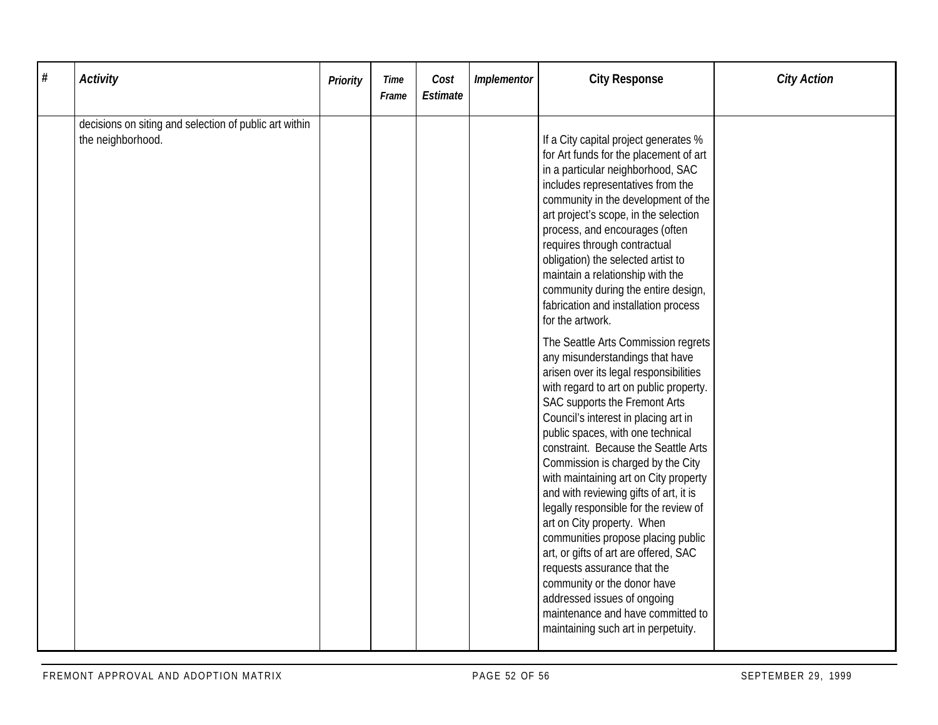| $\#$ | <b>Activity</b>                                                             | <b>Priority</b> | Time<br>Frame | Cost<br>Estimate | Implementor | <b>City Response</b>                                                                                                                                                                                                                                                                                                                                                                                                                                                                                                                                                                                                                                                                                                                                                                                                                                                                                                                                                                                                                                                                                                                                                                                                                                                | <b>City Action</b> |
|------|-----------------------------------------------------------------------------|-----------------|---------------|------------------|-------------|---------------------------------------------------------------------------------------------------------------------------------------------------------------------------------------------------------------------------------------------------------------------------------------------------------------------------------------------------------------------------------------------------------------------------------------------------------------------------------------------------------------------------------------------------------------------------------------------------------------------------------------------------------------------------------------------------------------------------------------------------------------------------------------------------------------------------------------------------------------------------------------------------------------------------------------------------------------------------------------------------------------------------------------------------------------------------------------------------------------------------------------------------------------------------------------------------------------------------------------------------------------------|--------------------|
|      | decisions on siting and selection of public art within<br>the neighborhood. |                 |               |                  |             | If a City capital project generates %<br>for Art funds for the placement of art<br>in a particular neighborhood, SAC<br>includes representatives from the<br>community in the development of the<br>art project's scope, in the selection<br>process, and encourages (often<br>requires through contractual<br>obligation) the selected artist to<br>maintain a relationship with the<br>community during the entire design,<br>fabrication and installation process<br>for the artwork.<br>The Seattle Arts Commission regrets<br>any misunderstandings that have<br>arisen over its legal responsibilities<br>with regard to art on public property.<br>SAC supports the Fremont Arts<br>Council's interest in placing art in<br>public spaces, with one technical<br>constraint. Because the Seattle Arts<br>Commission is charged by the City<br>with maintaining art on City property<br>and with reviewing gifts of art, it is<br>legally responsible for the review of<br>art on City property. When<br>communities propose placing public<br>art, or gifts of art are offered, SAC<br>requests assurance that the<br>community or the donor have<br>addressed issues of ongoing<br>maintenance and have committed to<br>maintaining such art in perpetuity. |                    |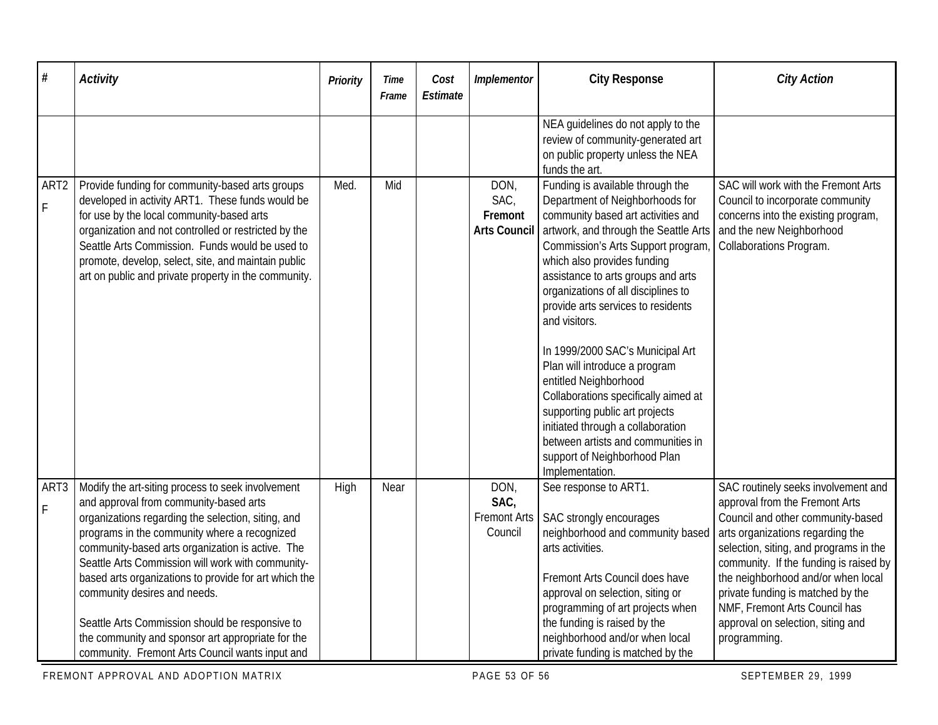| $\#$                               | <b>Activity</b>                                                                                                                                                                                                                                                                                                                                                                                                                                                                                                                                                | Priority | <b>Time</b><br>Frame | Cost<br>Estimate | Implementor                                    | <b>City Response</b>                                                                                                                                                                                                                                                                                                                                                                                                                                                                                                                                                                                                                                                             | <b>City Action</b>                                                                                                                                                                                                                                                                                                                                                                                  |
|------------------------------------|----------------------------------------------------------------------------------------------------------------------------------------------------------------------------------------------------------------------------------------------------------------------------------------------------------------------------------------------------------------------------------------------------------------------------------------------------------------------------------------------------------------------------------------------------------------|----------|----------------------|------------------|------------------------------------------------|----------------------------------------------------------------------------------------------------------------------------------------------------------------------------------------------------------------------------------------------------------------------------------------------------------------------------------------------------------------------------------------------------------------------------------------------------------------------------------------------------------------------------------------------------------------------------------------------------------------------------------------------------------------------------------|-----------------------------------------------------------------------------------------------------------------------------------------------------------------------------------------------------------------------------------------------------------------------------------------------------------------------------------------------------------------------------------------------------|
|                                    |                                                                                                                                                                                                                                                                                                                                                                                                                                                                                                                                                                |          |                      |                  |                                                | NEA guidelines do not apply to the<br>review of community-generated art<br>on public property unless the NEA<br>funds the art.                                                                                                                                                                                                                                                                                                                                                                                                                                                                                                                                                   |                                                                                                                                                                                                                                                                                                                                                                                                     |
| ART <sub>2</sub><br>$\overline{F}$ | Provide funding for community-based arts groups<br>developed in activity ART1. These funds would be<br>for use by the local community-based arts<br>organization and not controlled or restricted by the<br>Seattle Arts Commission. Funds would be used to<br>promote, develop, select, site, and maintain public<br>art on public and private property in the community.                                                                                                                                                                                     | Med.     | Mid                  |                  | DON,<br>SAC,<br>Fremont                        | Funding is available through the<br>Department of Neighborhoods for<br>community based art activities and<br>Arts Council   artwork, and through the Seattle Arts<br>Commission's Arts Support program,<br>which also provides funding<br>assistance to arts groups and arts<br>organizations of all disciplines to<br>provide arts services to residents<br>and visitors.<br>In 1999/2000 SAC's Municipal Art<br>Plan will introduce a program<br>entitled Neighborhood<br>Collaborations specifically aimed at<br>supporting public art projects<br>initiated through a collaboration<br>between artists and communities in<br>support of Neighborhood Plan<br>Implementation. | SAC will work with the Fremont Arts<br>Council to incorporate community<br>concerns into the existing program,<br>and the new Neighborhood<br>Collaborations Program.                                                                                                                                                                                                                               |
| ART3<br>$\mathsf F$                | Modify the art-siting process to seek involvement<br>and approval from community-based arts<br>organizations regarding the selection, siting, and<br>programs in the community where a recognized<br>community-based arts organization is active. The<br>Seattle Arts Commission will work with community-<br>based arts organizations to provide for art which the<br>community desires and needs.<br>Seattle Arts Commission should be responsive to<br>the community and sponsor art appropriate for the<br>community. Fremont Arts Council wants input and | High     | Near                 |                  | DON,<br>SAC,<br><b>Fremont Arts</b><br>Council | See response to ART1.<br>SAC strongly encourages<br>neighborhood and community based<br>arts activities.<br>Fremont Arts Council does have<br>approval on selection, siting or<br>programming of art projects when<br>the funding is raised by the<br>neighborhood and/or when local<br>private funding is matched by the                                                                                                                                                                                                                                                                                                                                                        | SAC routinely seeks involvement and<br>approval from the Fremont Arts<br>Council and other community-based<br>arts organizations regarding the<br>selection, siting, and programs in the<br>community. If the funding is raised by<br>the neighborhood and/or when local<br>private funding is matched by the<br>NMF, Fremont Arts Council has<br>approval on selection, siting and<br>programming. |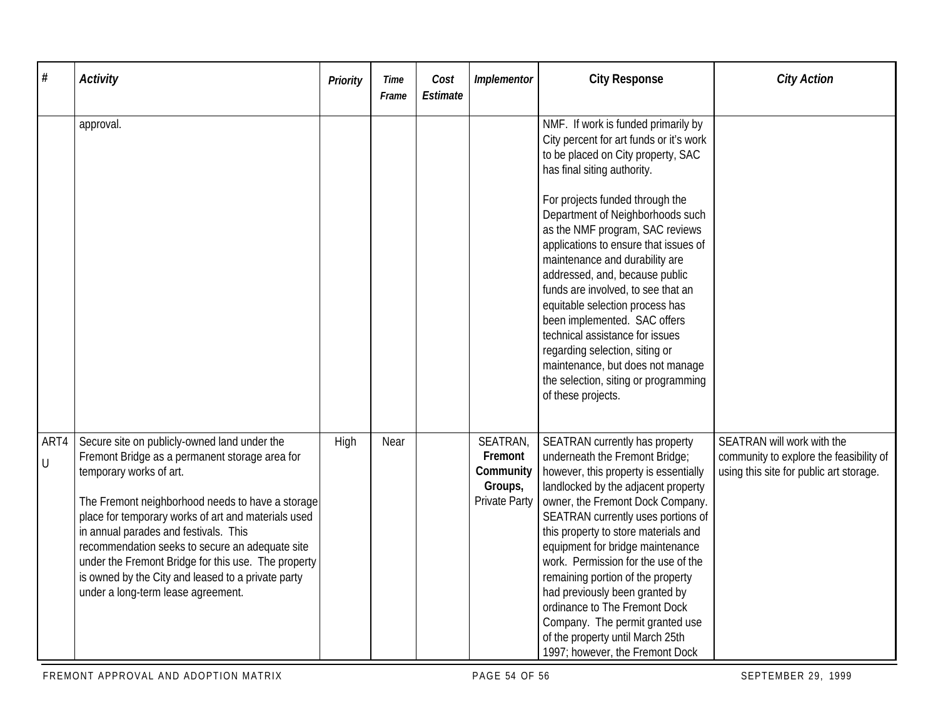| #         | <b>Activity</b>                                                                                                                                                                                                                                                                                                                                                                                                                                                                     | Priority | Time<br>Frame | Cost<br>Estimate | Implementor                                                  | <b>City Response</b>                                                                                                                                                                                                                                                                                                                                                                                                                                                                                                                                                                                                                                       | <b>City Action</b>                                                                                               |
|-----------|-------------------------------------------------------------------------------------------------------------------------------------------------------------------------------------------------------------------------------------------------------------------------------------------------------------------------------------------------------------------------------------------------------------------------------------------------------------------------------------|----------|---------------|------------------|--------------------------------------------------------------|------------------------------------------------------------------------------------------------------------------------------------------------------------------------------------------------------------------------------------------------------------------------------------------------------------------------------------------------------------------------------------------------------------------------------------------------------------------------------------------------------------------------------------------------------------------------------------------------------------------------------------------------------------|------------------------------------------------------------------------------------------------------------------|
|           | approval.                                                                                                                                                                                                                                                                                                                                                                                                                                                                           |          |               |                  |                                                              | NMF. If work is funded primarily by<br>City percent for art funds or it's work<br>to be placed on City property, SAC<br>has final siting authority.<br>For projects funded through the<br>Department of Neighborhoods such<br>as the NMF program, SAC reviews<br>applications to ensure that issues of<br>maintenance and durability are<br>addressed, and, because public<br>funds are involved, to see that an<br>equitable selection process has<br>been implemented. SAC offers<br>technical assistance for issues<br>regarding selection, siting or<br>maintenance, but does not manage<br>the selection, siting or programming<br>of these projects. |                                                                                                                  |
| ART4<br>U | Secure site on publicly-owned land under the<br>Fremont Bridge as a permanent storage area for<br>temporary works of art.<br>The Fremont neighborhood needs to have a storage<br>place for temporary works of art and materials used<br>in annual parades and festivals. This<br>recommendation seeks to secure an adequate site<br>under the Fremont Bridge for this use. The property<br>is owned by the City and leased to a private party<br>under a long-term lease agreement. | High     | Near          |                  | SEATRAN,<br>Fremont<br>Community<br>Groups,<br>Private Party | SEATRAN currently has property<br>underneath the Fremont Bridge;<br>however, this property is essentially<br>landlocked by the adjacent property<br>owner, the Fremont Dock Company.<br>SEATRAN currently uses portions of<br>this property to store materials and<br>equipment for bridge maintenance<br>work. Permission for the use of the<br>remaining portion of the property<br>had previously been granted by<br>ordinance to The Fremont Dock<br>Company. The permit granted use<br>of the property until March 25th<br>1997; however, the Fremont Dock                                                                                            | SEATRAN will work with the<br>community to explore the feasibility of<br>using this site for public art storage. |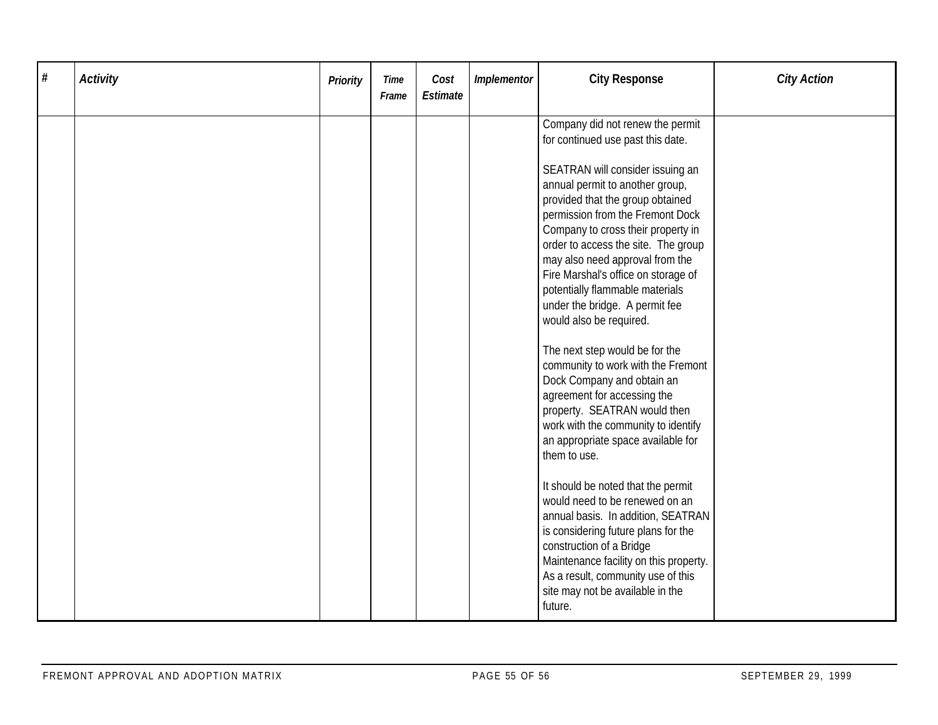| $\#$ | <b>Activity</b> | Priority | <b>Time</b><br>Frame | Cost<br>Estimate | Implementor | <b>City Response</b>                                                                                                                                                                                                                                                                                                                                                                                                                                                                                                                                                           | <b>City Action</b> |
|------|-----------------|----------|----------------------|------------------|-------------|--------------------------------------------------------------------------------------------------------------------------------------------------------------------------------------------------------------------------------------------------------------------------------------------------------------------------------------------------------------------------------------------------------------------------------------------------------------------------------------------------------------------------------------------------------------------------------|--------------------|
|      |                 |          |                      |                  |             | Company did not renew the permit<br>for continued use past this date.<br>SEATRAN will consider issuing an<br>annual permit to another group,<br>provided that the group obtained<br>permission from the Fremont Dock<br>Company to cross their property in<br>order to access the site. The group<br>may also need approval from the<br>Fire Marshal's office on storage of<br>potentially flammable materials<br>under the bridge. A permit fee<br>would also be required.                                                                                                    |                    |
|      |                 |          |                      |                  |             | The next step would be for the<br>community to work with the Fremont<br>Dock Company and obtain an<br>agreement for accessing the<br>property. SEATRAN would then<br>work with the community to identify<br>an appropriate space available for<br>them to use.<br>It should be noted that the permit<br>would need to be renewed on an<br>annual basis. In addition, SEATRAN<br>is considering future plans for the<br>construction of a Bridge<br>Maintenance facility on this property.<br>As a result, community use of this<br>site may not be available in the<br>future. |                    |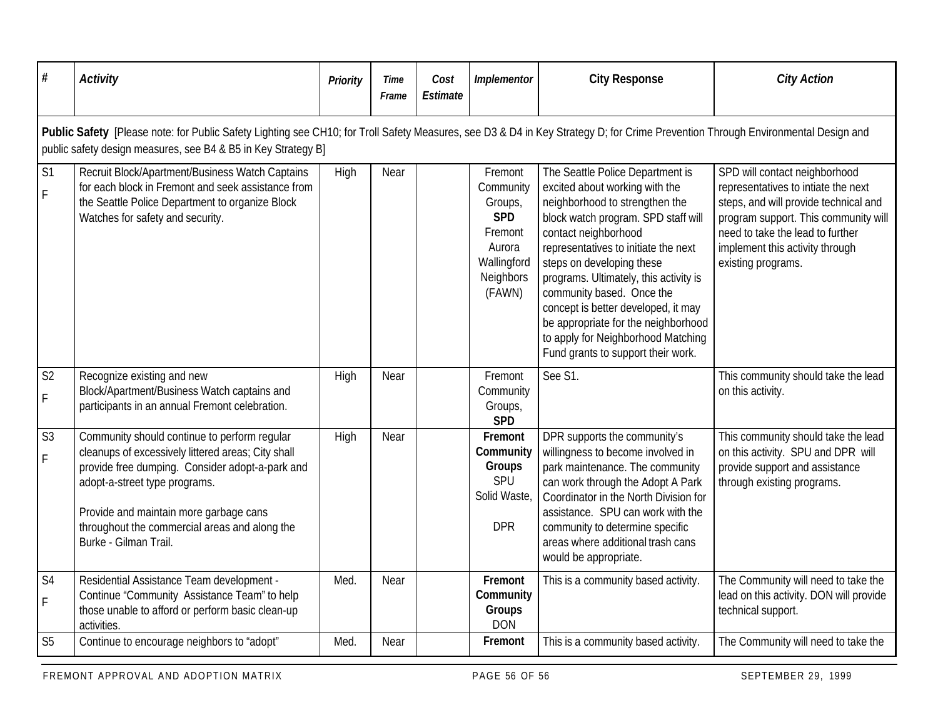| #                                | <b>Activity</b>                                                                                                                                                                                                                                                                                            | Priority | Time<br>Frame | Cost<br>Estimate | Implementor                                                                                              | <b>City Response</b>                                                                                                                                                                                                                                                                                                                                                                                                                                                      | <b>City Action</b>                                                                                                                                                                                                                                 |  |  |  |  |  |
|----------------------------------|------------------------------------------------------------------------------------------------------------------------------------------------------------------------------------------------------------------------------------------------------------------------------------------------------------|----------|---------------|------------------|----------------------------------------------------------------------------------------------------------|---------------------------------------------------------------------------------------------------------------------------------------------------------------------------------------------------------------------------------------------------------------------------------------------------------------------------------------------------------------------------------------------------------------------------------------------------------------------------|----------------------------------------------------------------------------------------------------------------------------------------------------------------------------------------------------------------------------------------------------|--|--|--|--|--|
|                                  | Public Safety [Please note: for Public Safety Lighting see CH10; for Troll Safety Measures, see D3 & D4 in Key Strategy D; for Crime Prevention Through Environmental Design and<br>public safety design measures, see B4 & B5 in Key Strategy B]                                                          |          |               |                  |                                                                                                          |                                                                                                                                                                                                                                                                                                                                                                                                                                                                           |                                                                                                                                                                                                                                                    |  |  |  |  |  |
| S <sub>1</sub><br>$\overline{F}$ | Recruit Block/Apartment/Business Watch Captains<br>for each block in Fremont and seek assistance from<br>the Seattle Police Department to organize Block<br>Watches for safety and security.                                                                                                               | High     | Near          |                  | Fremont<br>Community<br>Groups,<br><b>SPD</b><br>Fremont<br>Aurora<br>Wallingford<br>Neighbors<br>(FAWN) | The Seattle Police Department is<br>excited about working with the<br>neighborhood to strengthen the<br>block watch program. SPD staff will<br>contact neighborhood<br>representatives to initiate the next<br>steps on developing these<br>programs. Ultimately, this activity is<br>community based. Once the<br>concept is better developed, it may<br>be appropriate for the neighborhood<br>to apply for Neighborhood Matching<br>Fund grants to support their work. | SPD will contact neighborhood<br>representatives to intiate the next<br>steps, and will provide technical and<br>program support. This community will<br>need to take the lead to further<br>implement this activity through<br>existing programs. |  |  |  |  |  |
| S <sub>2</sub><br>F              | Recognize existing and new<br>Block/Apartment/Business Watch captains and<br>participants in an annual Fremont celebration.                                                                                                                                                                                | High     | Near          |                  | Fremont<br>Community<br>Groups,<br><b>SPD</b>                                                            | See S1.                                                                                                                                                                                                                                                                                                                                                                                                                                                                   | This community should take the lead<br>on this activity.                                                                                                                                                                                           |  |  |  |  |  |
| S <sub>3</sub><br>$\mathsf F$    | Community should continue to perform regular<br>cleanups of excessively littered areas; City shall<br>provide free dumping. Consider adopt-a-park and<br>adopt-a-street type programs.<br>Provide and maintain more garbage cans<br>throughout the commercial areas and along the<br>Burke - Gilman Trail. | High     | Near          |                  | Fremont<br>Community<br>Groups<br>SPU<br>Solid Waste,<br><b>DPR</b>                                      | DPR supports the community's<br>willingness to become involved in<br>park maintenance. The community<br>can work through the Adopt A Park<br>Coordinator in the North Division for<br>assistance. SPU can work with the<br>community to determine specific<br>areas where additional trash cans<br>would be appropriate.                                                                                                                                                  | This community should take the lead<br>on this activity. SPU and DPR will<br>provide support and assistance<br>through existing programs.                                                                                                          |  |  |  |  |  |
| S <sub>4</sub><br>$\mathsf F$    | Residential Assistance Team development -<br>Continue "Community Assistance Team" to help<br>those unable to afford or perform basic clean-up<br>activities.                                                                                                                                               | Med.     | Near          |                  | Fremont<br>Community<br>Groups<br><b>DON</b>                                                             | This is a community based activity.                                                                                                                                                                                                                                                                                                                                                                                                                                       | The Community will need to take the<br>lead on this activity. DON will provide<br>technical support.                                                                                                                                               |  |  |  |  |  |
| S <sub>5</sub>                   | Continue to encourage neighbors to "adopt"                                                                                                                                                                                                                                                                 | Med.     | Near          |                  | Fremont                                                                                                  | This is a community based activity.                                                                                                                                                                                                                                                                                                                                                                                                                                       | The Community will need to take the                                                                                                                                                                                                                |  |  |  |  |  |